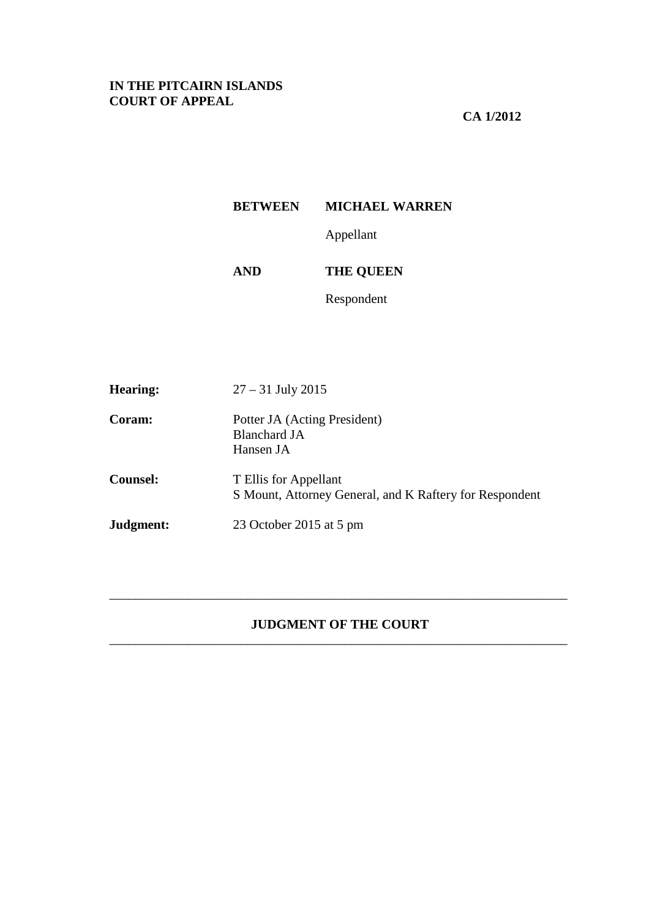# **IN THE PITCAIRN ISLANDS COURT OF APPEAL**

# **CA 1/2012**

# **BETWEEN MICHAEL WARREN**

Appellant

**AND THE QUEEN** 

Respondent

| <b>Hearing:</b> | $27 - 31$ July 2015                                                              |
|-----------------|----------------------------------------------------------------------------------|
| Coram:          | Potter JA (Acting President)<br>Blanchard JA<br>Hansen JA                        |
| <b>Counsel:</b> | T Ellis for Appellant<br>S Mount, Attorney General, and K Raftery for Respondent |
| Judgment:       | 23 October 2015 at 5 pm                                                          |

# **JUDGMENT OF THE COURT**  \_\_\_\_\_\_\_\_\_\_\_\_\_\_\_\_\_\_\_\_\_\_\_\_\_\_\_\_\_\_\_\_\_\_\_\_\_\_\_\_\_\_\_\_\_\_\_\_\_\_\_\_\_\_\_\_\_\_\_\_\_\_\_\_\_\_\_\_\_\_

\_\_\_\_\_\_\_\_\_\_\_\_\_\_\_\_\_\_\_\_\_\_\_\_\_\_\_\_\_\_\_\_\_\_\_\_\_\_\_\_\_\_\_\_\_\_\_\_\_\_\_\_\_\_\_\_\_\_\_\_\_\_\_\_\_\_\_\_\_\_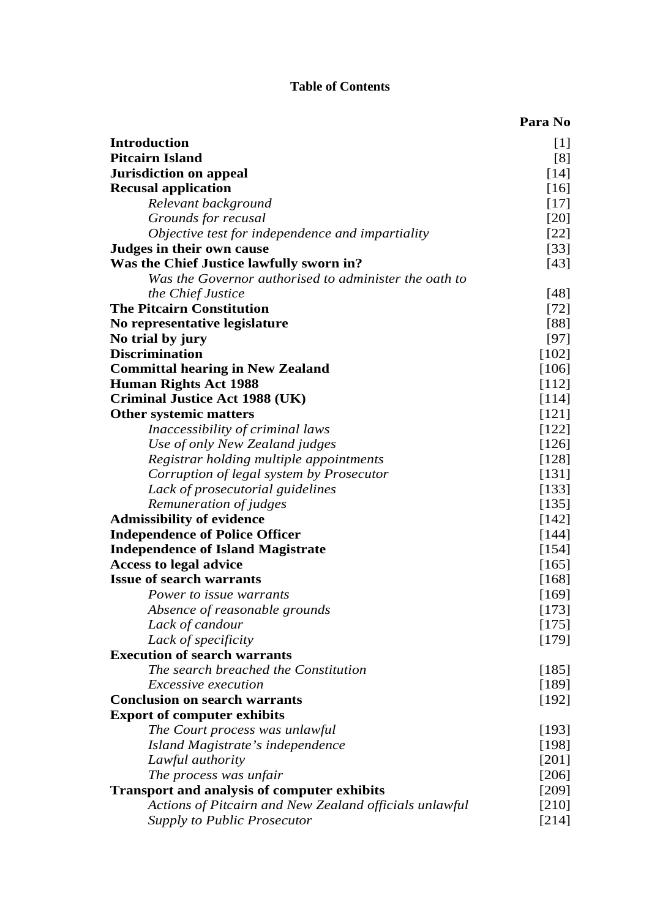# **Table of Contents**

|                                                        | Para No |
|--------------------------------------------------------|---------|
| <b>Introduction</b>                                    | $[1]$   |
| <b>Pitcairn Island</b>                                 | [8]     |
| <b>Jurisdiction on appeal</b>                          | $[14]$  |
| <b>Recusal application</b>                             | $[16]$  |
| Relevant background                                    | $[17]$  |
| Grounds for recusal                                    | $[20]$  |
| Objective test for independence and impartiality       | $[22]$  |
| Judges in their own cause                              | $[33]$  |
| Was the Chief Justice lawfully sworn in?               | $[43]$  |
| Was the Governor authorised to administer the oath to  |         |
| the Chief Justice                                      | $[48]$  |
| <b>The Pitcairn Constitution</b>                       | $[72]$  |
| No representative legislature                          | [88]    |
| No trial by jury                                       | $[97]$  |
| <b>Discrimination</b>                                  | [102]   |
| <b>Committal hearing in New Zealand</b>                | $[106]$ |
| <b>Human Rights Act 1988</b>                           | $[112]$ |
| <b>Criminal Justice Act 1988 (UK)</b>                  | [114]   |
| <b>Other systemic matters</b>                          | $[121]$ |
| Inaccessibility of criminal laws                       | [122]   |
| Use of only New Zealand judges                         | [126]   |
| Registrar holding multiple appointments                | [128]   |
| Corruption of legal system by Prosecutor               | [131]   |
| Lack of prosecutorial guidelines                       | $[133]$ |
| Remuneration of judges                                 | [135]   |
| <b>Admissibility of evidence</b>                       | $[142]$ |
| <b>Independence of Police Officer</b>                  | [144]   |
| <b>Independence of Island Magistrate</b>               | $[154]$ |
| <b>Access to legal advice</b>                          | $[165]$ |
| <b>Issue of search warrants</b>                        | [168]   |
| Power to issue warrants                                | [169]   |
| Absence of reasonable grounds                          | [173]   |
| Lack of candour                                        | $[175]$ |
| Lack of specificity                                    | [179]   |
| <b>Execution of search warrants</b>                    |         |
| The search breached the Constitution                   | $[185]$ |
| <i>Excessive execution</i>                             | $[189]$ |
| <b>Conclusion on search warrants</b>                   | [192]   |
| <b>Export of computer exhibits</b>                     |         |
| The Court process was unlawful                         | [193]   |
| Island Magistrate's independence                       | [198]   |
| Lawful authority                                       | $[201]$ |
| The process was unfair                                 | $[206]$ |
| <b>Transport and analysis of computer exhibits</b>     | $[209]$ |
| Actions of Pitcairn and New Zealand officials unlawful | $[210]$ |
| <b>Supply to Public Prosecutor</b>                     | [214]   |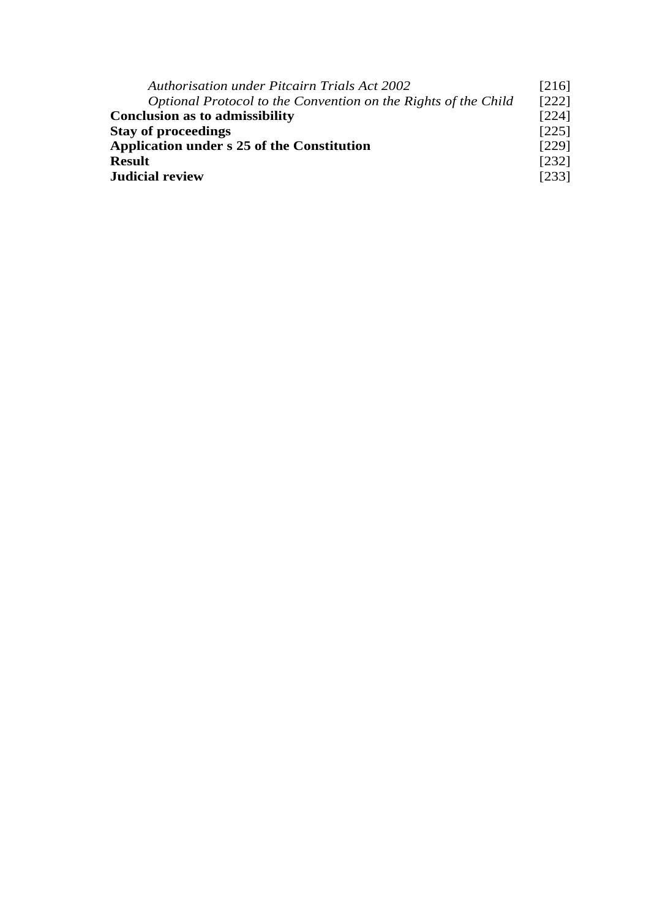| <b>Authorisation under Pitcairn Trials Act 2002</b>            |         |
|----------------------------------------------------------------|---------|
| Optional Protocol to the Convention on the Rights of the Child | $[222]$ |
| <b>Conclusion as to admissibility</b>                          |         |
| <b>Stay of proceedings</b>                                     |         |
| <b>Application under s 25 of the Constitution</b>              |         |
| <b>Result</b>                                                  |         |
| <b>Judicial review</b>                                         |         |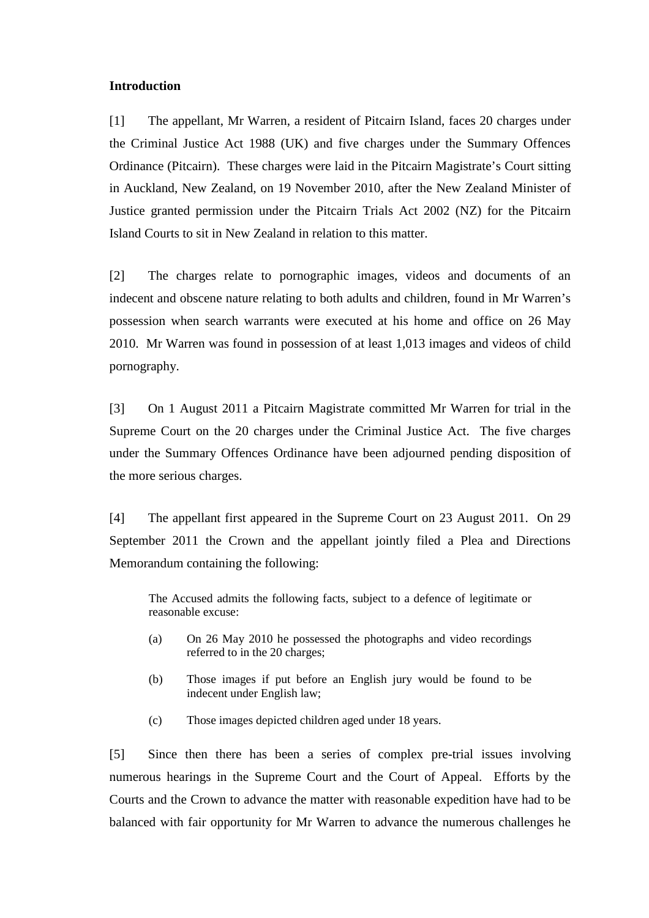### **Introduction**

[1] The appellant, Mr Warren, a resident of Pitcairn Island, faces 20 charges under the Criminal Justice Act 1988 (UK) and five charges under the Summary Offences Ordinance (Pitcairn). These charges were laid in the Pitcairn Magistrate's Court sitting in Auckland, New Zealand, on 19 November 2010, after the New Zealand Minister of Justice granted permission under the Pitcairn Trials Act 2002 (NZ) for the Pitcairn Island Courts to sit in New Zealand in relation to this matter.

[2] The charges relate to pornographic images, videos and documents of an indecent and obscene nature relating to both adults and children, found in Mr Warren's possession when search warrants were executed at his home and office on 26 May 2010. Mr Warren was found in possession of at least 1,013 images and videos of child pornography.

[3] On 1 August 2011 a Pitcairn Magistrate committed Mr Warren for trial in the Supreme Court on the 20 charges under the Criminal Justice Act. The five charges under the Summary Offences Ordinance have been adjourned pending disposition of the more serious charges.

[4] The appellant first appeared in the Supreme Court on 23 August 2011. On 29 September 2011 the Crown and the appellant jointly filed a Plea and Directions Memorandum containing the following:

The Accused admits the following facts, subject to a defence of legitimate or reasonable excuse:

- (a) On 26 May 2010 he possessed the photographs and video recordings referred to in the 20 charges;
- (b) Those images if put before an English jury would be found to be indecent under English law;
- (c) Those images depicted children aged under 18 years.

[5] Since then there has been a series of complex pre-trial issues involving numerous hearings in the Supreme Court and the Court of Appeal. Efforts by the Courts and the Crown to advance the matter with reasonable expedition have had to be balanced with fair opportunity for Mr Warren to advance the numerous challenges he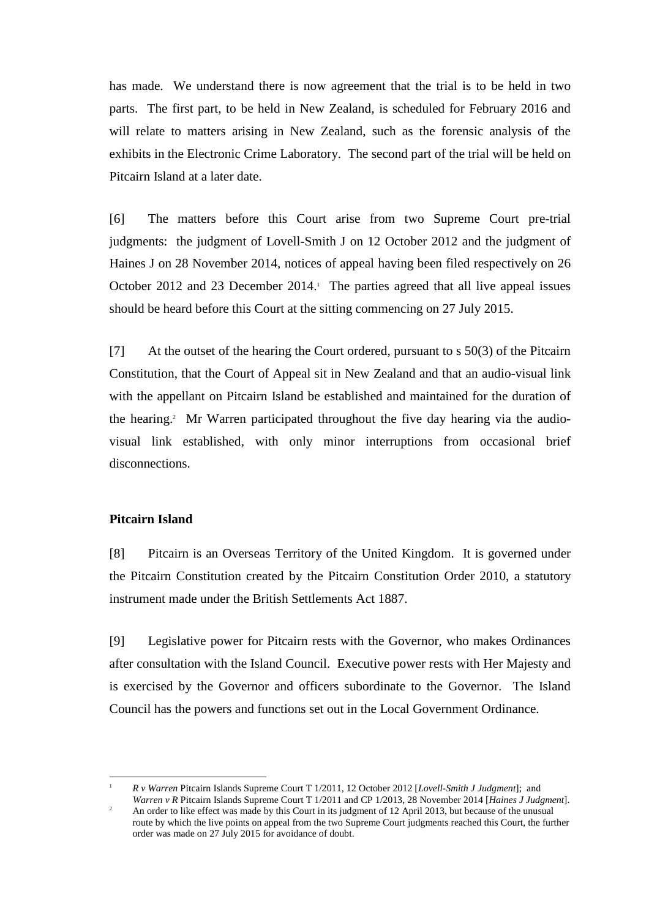has made. We understand there is now agreement that the trial is to be held in two parts. The first part, to be held in New Zealand, is scheduled for February 2016 and will relate to matters arising in New Zealand, such as the forensic analysis of the exhibits in the Electronic Crime Laboratory. The second part of the trial will be held on Pitcairn Island at a later date.

[6] The matters before this Court arise from two Supreme Court pre-trial judgments: the judgment of Lovell-Smith J on 12 October 2012 and the judgment of Haines J on 28 November 2014, notices of appeal having been filed respectively on 26 October 2012 and 23 December 2014. The parties agreed that all live appeal issues should be heard before this Court at the sitting commencing on 27 July 2015.

[7] At the outset of the hearing the Court ordered, pursuant to s 50(3) of the Pitcairn Constitution, that the Court of Appeal sit in New Zealand and that an audio-visual link with the appellant on Pitcairn Island be established and maintained for the duration of the hearing.<sup>2</sup> Mr Warren participated throughout the five day hearing via the audiovisual link established, with only minor interruptions from occasional brief disconnections.

# **Pitcairn Island**

 $\overline{a}$ 1

[8] Pitcairn is an Overseas Territory of the United Kingdom. It is governed under the Pitcairn Constitution created by the Pitcairn Constitution Order 2010, a statutory instrument made under the British Settlements Act 1887.

[9] Legislative power for Pitcairn rests with the Governor, who makes Ordinances after consultation with the Island Council. Executive power rests with Her Majesty and is exercised by the Governor and officers subordinate to the Governor. The Island Council has the powers and functions set out in the Local Government Ordinance.

 *R v Warren* Pitcairn Islands Supreme Court T 1/2011, 12 October 2012 [*Lovell-Smith J Judgment*]; and *Warren v R* Pitcairn Islands Supreme Court T 1/2011 and CP 1/2013, 28 November 2014 [*Haines J Judgment*].

 $\overline{2}$  An order to like effect was made by this Court in its judgment of 12 April 2013, but because of the unusual route by which the live points on appeal from the two Supreme Court judgments reached this Court, the further order was made on 27 July 2015 for avoidance of doubt.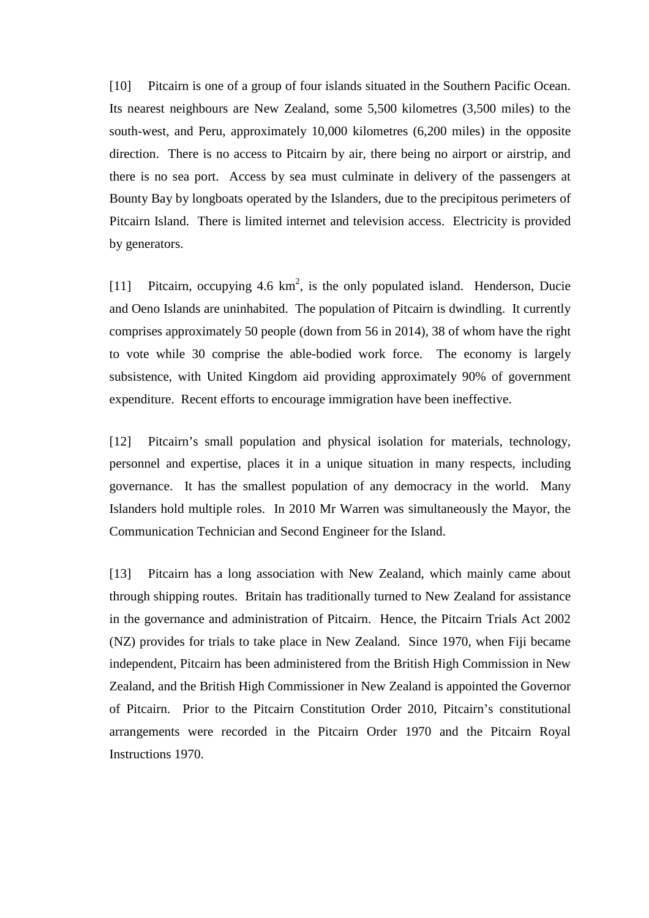[10] Pitcairn is one of a group of four islands situated in the Southern Pacific Ocean. Its nearest neighbours are New Zealand, some 5,500 kilometres (3,500 miles) to the south-west, and Peru, approximately 10,000 kilometres (6,200 miles) in the opposite direction. There is no access to Pitcairn by air, there being no airport or airstrip, and there is no sea port. Access by sea must culminate in delivery of the passengers at Bounty Bay by longboats operated by the Islanders, due to the precipitous perimeters of Pitcairn Island. There is limited internet and television access. Electricity is provided by generators.

[11] Pitcairn, occupying 4.6  $km^2$ , is the only populated island. Henderson, Ducie and Oeno Islands are uninhabited. The population of Pitcairn is dwindling. It currently comprises approximately 50 people (down from 56 in 2014), 38 of whom have the right to vote while 30 comprise the able-bodied work force. The economy is largely subsistence, with United Kingdom aid providing approximately 90% of government expenditure. Recent efforts to encourage immigration have been ineffective.

[12] Pitcairn's small population and physical isolation for materials, technology, personnel and expertise, places it in a unique situation in many respects, including governance. It has the smallest population of any democracy in the world. Many Islanders hold multiple roles. In 2010 Mr Warren was simultaneously the Mayor, the Communication Technician and Second Engineer for the Island.

[13] Pitcairn has a long association with New Zealand, which mainly came about through shipping routes. Britain has traditionally turned to New Zealand for assistance in the governance and administration of Pitcairn. Hence, the Pitcairn Trials Act 2002 (NZ) provides for trials to take place in New Zealand. Since 1970, when Fiji became independent, Pitcairn has been administered from the British High Commission in New Zealand, and the British High Commissioner in New Zealand is appointed the Governor of Pitcairn. Prior to the Pitcairn Constitution Order 2010, Pitcairn's constitutional arrangements were recorded in the Pitcairn Order 1970 and the Pitcairn Royal Instructions 1970.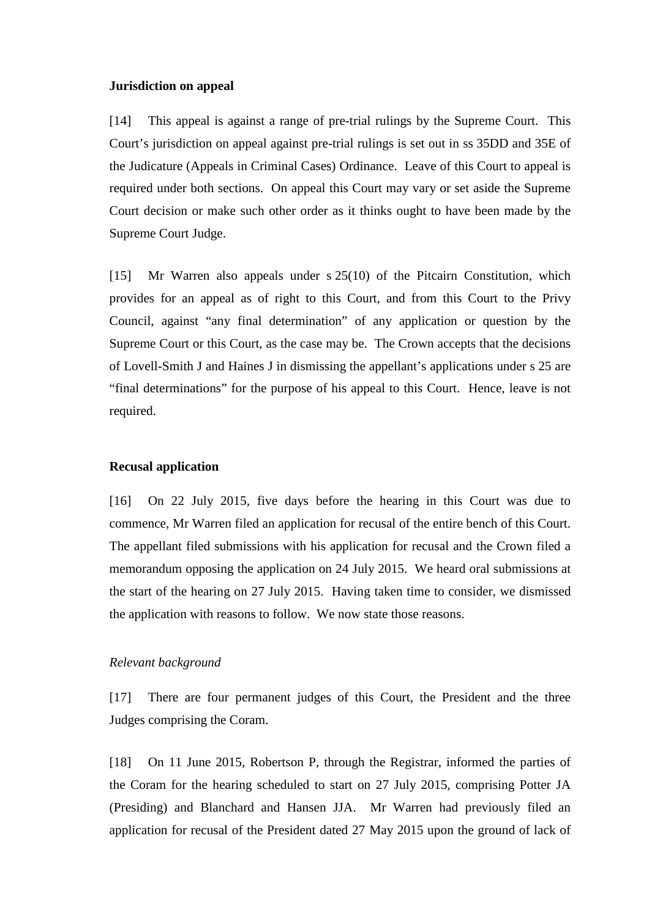#### **Jurisdiction on appeal**

[14] This appeal is against a range of pre-trial rulings by the Supreme Court. This Court's jurisdiction on appeal against pre-trial rulings is set out in ss 35DD and 35E of the Judicature (Appeals in Criminal Cases) Ordinance. Leave of this Court to appeal is required under both sections. On appeal this Court may vary or set aside the Supreme Court decision or make such other order as it thinks ought to have been made by the Supreme Court Judge.

[15] Mr Warren also appeals under s 25(10) of the Pitcairn Constitution, which provides for an appeal as of right to this Court, and from this Court to the Privy Council, against "any final determination" of any application or question by the Supreme Court or this Court, as the case may be. The Crown accepts that the decisions of Lovell-Smith J and Haines J in dismissing the appellant's applications under s 25 are "final determinations" for the purpose of his appeal to this Court. Hence, leave is not required.

### **Recusal application**

[16] On 22 July 2015, five days before the hearing in this Court was due to commence, Mr Warren filed an application for recusal of the entire bench of this Court. The appellant filed submissions with his application for recusal and the Crown filed a memorandum opposing the application on 24 July 2015. We heard oral submissions at the start of the hearing on 27 July 2015. Having taken time to consider, we dismissed the application with reasons to follow. We now state those reasons.

### *Relevant background*

[17] There are four permanent judges of this Court, the President and the three Judges comprising the Coram.

[18] On 11 June 2015, Robertson P, through the Registrar, informed the parties of the Coram for the hearing scheduled to start on 27 July 2015, comprising Potter JA (Presiding) and Blanchard and Hansen JJA. Mr Warren had previously filed an application for recusal of the President dated 27 May 2015 upon the ground of lack of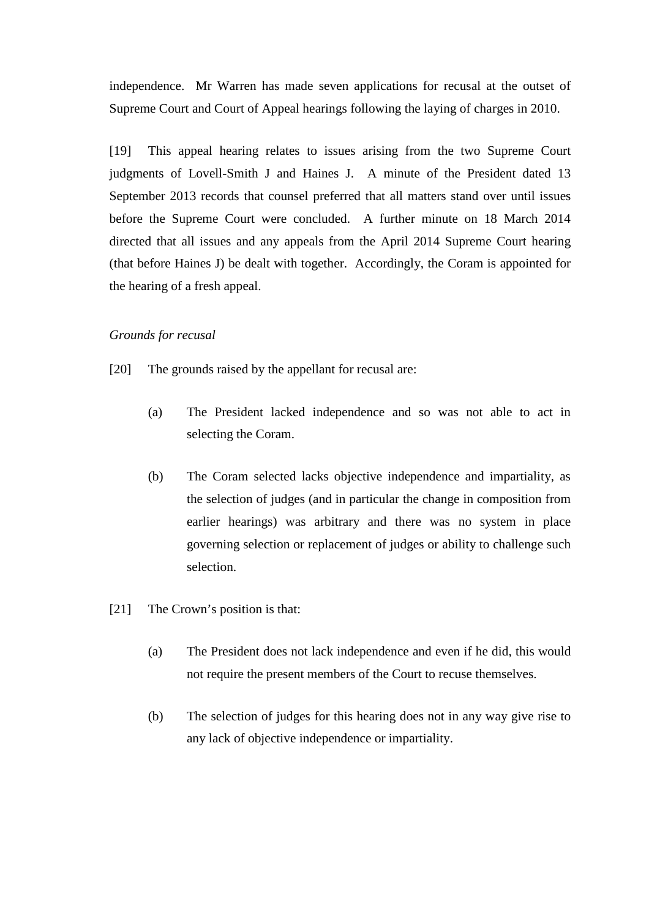independence. Mr Warren has made seven applications for recusal at the outset of Supreme Court and Court of Appeal hearings following the laying of charges in 2010.

[19] This appeal hearing relates to issues arising from the two Supreme Court judgments of Lovell-Smith J and Haines J. A minute of the President dated 13 September 2013 records that counsel preferred that all matters stand over until issues before the Supreme Court were concluded. A further minute on 18 March 2014 directed that all issues and any appeals from the April 2014 Supreme Court hearing (that before Haines J) be dealt with together. Accordingly, the Coram is appointed for the hearing of a fresh appeal.

# *Grounds for recusal*

- [20] The grounds raised by the appellant for recusal are:
	- (a) The President lacked independence and so was not able to act in selecting the Coram.
	- (b) The Coram selected lacks objective independence and impartiality, as the selection of judges (and in particular the change in composition from earlier hearings) was arbitrary and there was no system in place governing selection or replacement of judges or ability to challenge such selection.
- [21] The Crown's position is that:
	- (a) The President does not lack independence and even if he did, this would not require the present members of the Court to recuse themselves.
	- (b) The selection of judges for this hearing does not in any way give rise to any lack of objective independence or impartiality.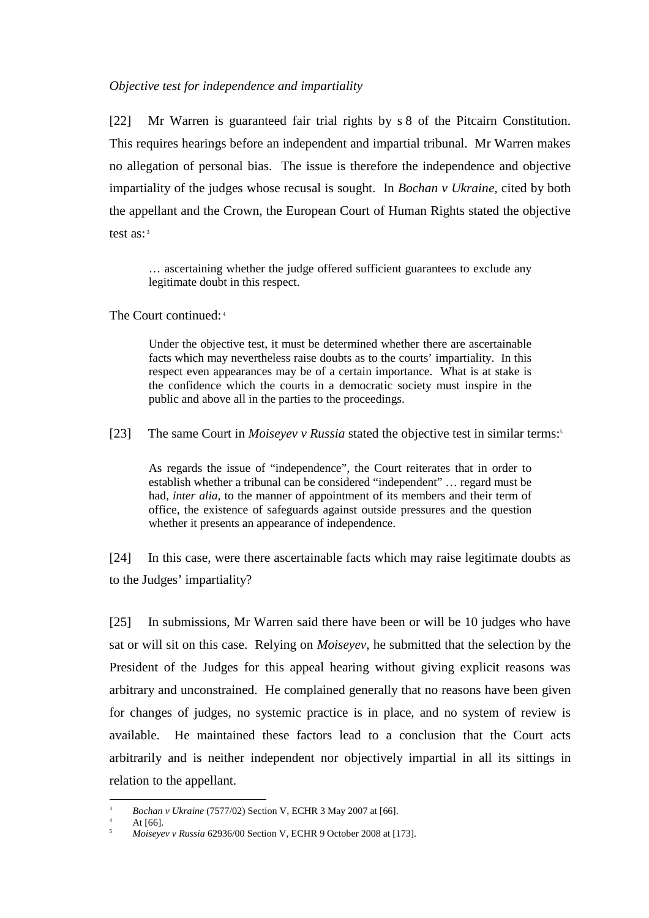### *Objective test for independence and impartiality*

[22] Mr Warren is guaranteed fair trial rights by s 8 of the Pitcairn Constitution. This requires hearings before an independent and impartial tribunal. Mr Warren makes no allegation of personal bias. The issue is therefore the independence and objective impartiality of the judges whose recusal is sought. In *Bochan v Ukraine,* cited by both the appellant and the Crown, the European Court of Human Rights stated the objective test as: <sup>3</sup>

… ascertaining whether the judge offered sufficient guarantees to exclude any legitimate doubt in this respect.

The Court continued: 4

Under the objective test, it must be determined whether there are ascertainable facts which may nevertheless raise doubts as to the courts' impartiality. In this respect even appearances may be of a certain importance. What is at stake is the confidence which the courts in a democratic society must inspire in the public and above all in the parties to the proceedings.

[23] The same Court in *Moiseyev v Russia* stated the objective test in similar terms:<sup>5</sup>

As regards the issue of "independence", the Court reiterates that in order to establish whether a tribunal can be considered "independent" … regard must be had, *inter alia*, to the manner of appointment of its members and their term of office, the existence of safeguards against outside pressures and the question whether it presents an appearance of independence.

[24] In this case, were there ascertainable facts which may raise legitimate doubts as to the Judges' impartiality?

[25] In submissions, Mr Warren said there have been or will be 10 judges who have sat or will sit on this case. Relying on *Moiseyev*, he submitted that the selection by the President of the Judges for this appeal hearing without giving explicit reasons was arbitrary and unconstrained. He complained generally that no reasons have been given for changes of judges, no systemic practice is in place, and no system of review is available. He maintained these factors lead to a conclusion that the Court acts arbitrarily and is neither independent nor objectively impartial in all its sittings in relation to the appellant.

 $\overline{a}$ 3 *Bochan v Ukraine* (7577/02) Section V, ECHR 3 May 2007 at [66].

<sup>4</sup> At [66].

<sup>5</sup> *Moiseyev v Russia* 62936/00 Section V, ECHR 9 October 2008 at [173].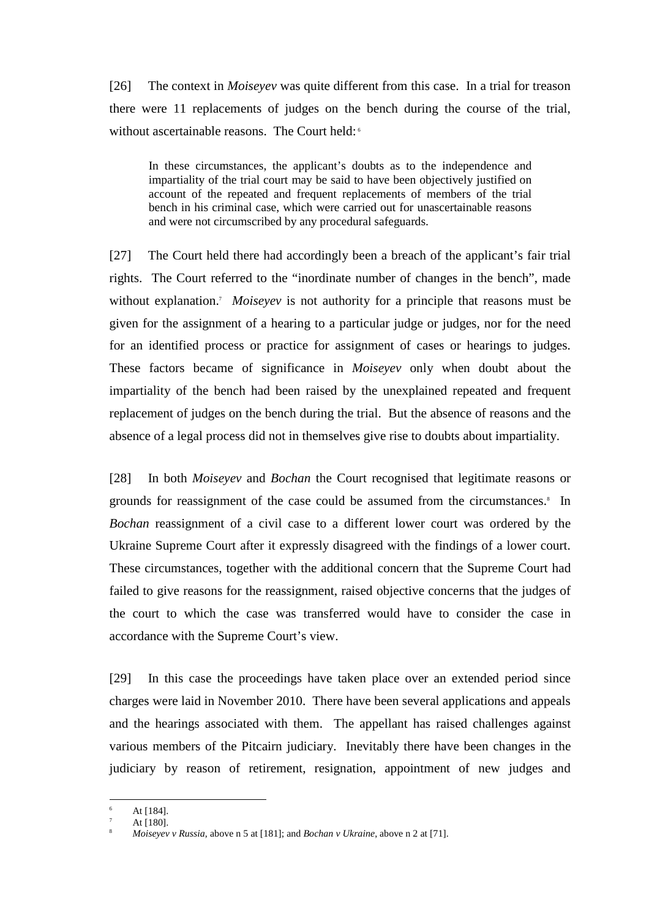[26] The context in *Moiseyev* was quite different from this case. In a trial for treason there were 11 replacements of judges on the bench during the course of the trial, without ascertainable reasons. The Court held:<sup>6</sup>

In these circumstances, the applicant's doubts as to the independence and impartiality of the trial court may be said to have been objectively justified on account of the repeated and frequent replacements of members of the trial bench in his criminal case, which were carried out for unascertainable reasons and were not circumscribed by any procedural safeguards.

[27] The Court held there had accordingly been a breach of the applicant's fair trial rights. The Court referred to the "inordinate number of changes in the bench", made without explanation.<sup>7</sup> Moiseyev is not authority for a principle that reasons must be given for the assignment of a hearing to a particular judge or judges, nor for the need for an identified process or practice for assignment of cases or hearings to judges. These factors became of significance in *Moiseyev* only when doubt about the impartiality of the bench had been raised by the unexplained repeated and frequent replacement of judges on the bench during the trial. But the absence of reasons and the absence of a legal process did not in themselves give rise to doubts about impartiality.

[28] In both *Moiseyev* and *Bochan* the Court recognised that legitimate reasons or grounds for reassignment of the case could be assumed from the circumstances.<sup>8</sup> In *Bochan* reassignment of a civil case to a different lower court was ordered by the Ukraine Supreme Court after it expressly disagreed with the findings of a lower court. These circumstances, together with the additional concern that the Supreme Court had failed to give reasons for the reassignment, raised objective concerns that the judges of the court to which the case was transferred would have to consider the case in accordance with the Supreme Court's view.

[29] In this case the proceedings have taken place over an extended period since charges were laid in November 2010. There have been several applications and appeals and the hearings associated with them. The appellant has raised challenges against various members of the Pitcairn judiciary. Inevitably there have been changes in the judiciary by reason of retirement, resignation, appointment of new judges and

<sup>6</sup> At [184].

<sup>7</sup> At [180].

<sup>8</sup> *Moiseyev v Russia*, above n 5 at [181]; and *Bochan v Ukraine*, above n 2 at [71].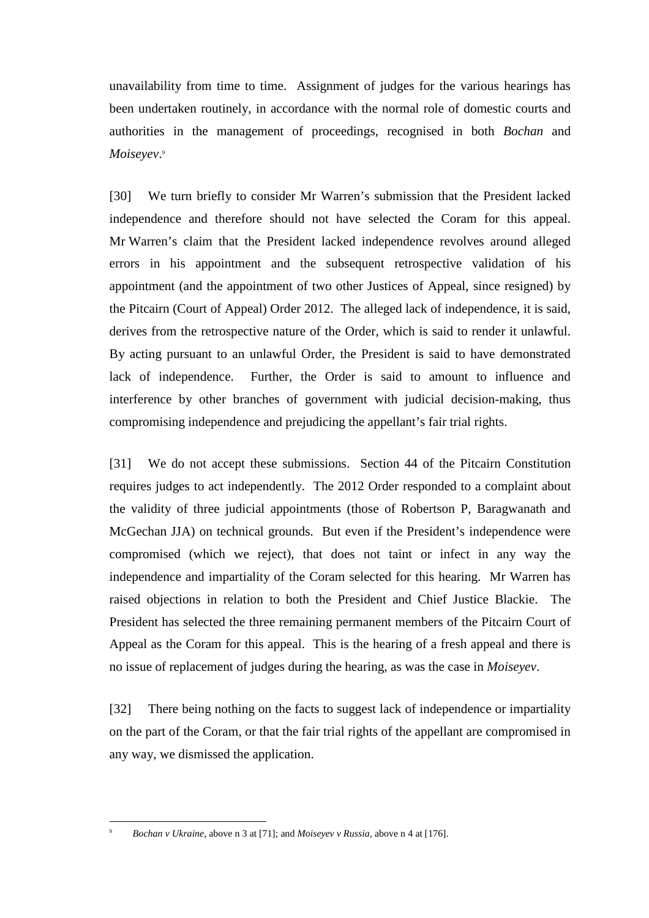unavailability from time to time. Assignment of judges for the various hearings has been undertaken routinely, in accordance with the normal role of domestic courts and authorities in the management of proceedings, recognised in both *Bochan* and *Moiseyev*. 9

[30] We turn briefly to consider Mr Warren's submission that the President lacked independence and therefore should not have selected the Coram for this appeal. Mr Warren's claim that the President lacked independence revolves around alleged errors in his appointment and the subsequent retrospective validation of his appointment (and the appointment of two other Justices of Appeal, since resigned) by the Pitcairn (Court of Appeal) Order 2012. The alleged lack of independence, it is said, derives from the retrospective nature of the Order, which is said to render it unlawful. By acting pursuant to an unlawful Order, the President is said to have demonstrated lack of independence. Further, the Order is said to amount to influence and interference by other branches of government with judicial decision-making, thus compromising independence and prejudicing the appellant's fair trial rights.

[31] We do not accept these submissions. Section 44 of the Pitcairn Constitution requires judges to act independently. The 2012 Order responded to a complaint about the validity of three judicial appointments (those of Robertson P, Baragwanath and McGechan JJA) on technical grounds. But even if the President's independence were compromised (which we reject), that does not taint or infect in any way the independence and impartiality of the Coram selected for this hearing. Mr Warren has raised objections in relation to both the President and Chief Justice Blackie. The President has selected the three remaining permanent members of the Pitcairn Court of Appeal as the Coram for this appeal. This is the hearing of a fresh appeal and there is no issue of replacement of judges during the hearing, as was the case in *Moiseyev*.

[32] There being nothing on the facts to suggest lack of independence or impartiality on the part of the Coram, or that the fair trial rights of the appellant are compromised in any way, we dismissed the application.

*Bochan v Ukraine*, above n 3 at [71]; and *Moiseyev v Russia*, above n 4 at [176].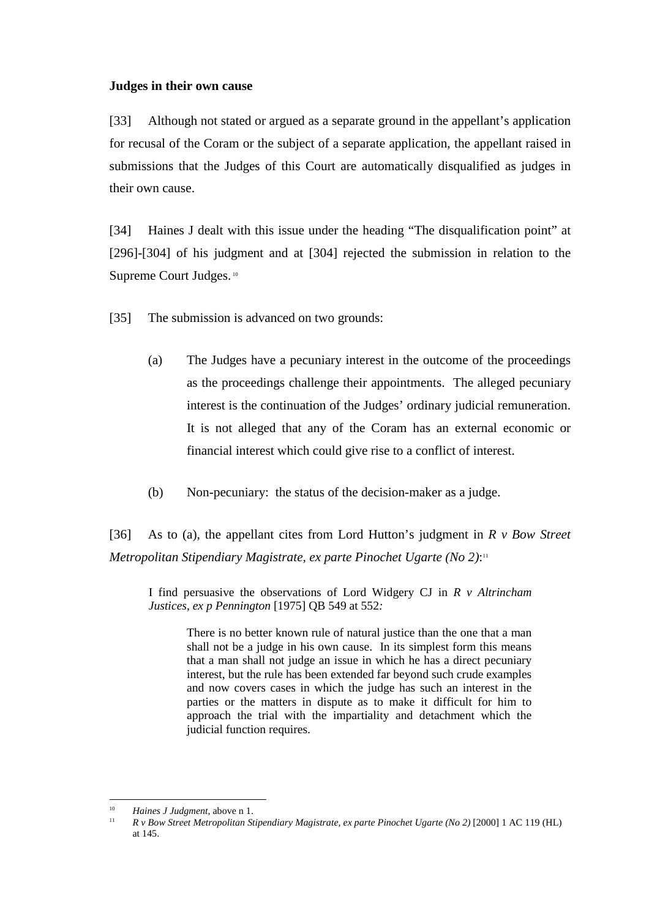### **Judges in their own cause**

[33] Although not stated or argued as a separate ground in the appellant's application for recusal of the Coram or the subject of a separate application, the appellant raised in submissions that the Judges of this Court are automatically disqualified as judges in their own cause.

[34] Haines J dealt with this issue under the heading "The disqualification point" at [296]-[304] of his judgment and at [304] rejected the submission in relation to the Supreme Court Judges.<sup>10</sup>

[35] The submission is advanced on two grounds:

- (a) The Judges have a pecuniary interest in the outcome of the proceedings as the proceedings challenge their appointments. The alleged pecuniary interest is the continuation of the Judges' ordinary judicial remuneration. It is not alleged that any of the Coram has an external economic or financial interest which could give rise to a conflict of interest.
- (b) Non-pecuniary: the status of the decision-maker as a judge.

[36] As to (a), the appellant cites from Lord Hutton's judgment in *R v Bow Street Metropolitan Stipendiary Magistrate, ex parte Pinochet Ugarte (No 2)*: 11

I find persuasive the observations of Lord Widgery CJ in *R v Altrincham Justices*, *ex p Pennington* [1975] QB 549 at 552*:*

There is no better known rule of natural justice than the one that a man shall not be a judge in his own cause. In its simplest form this means that a man shall not judge an issue in which he has a direct pecuniary interest, but the rule has been extended far beyond such crude examples and now covers cases in which the judge has such an interest in the parties or the matters in dispute as to make it difficult for him to approach the trial with the impartiality and detachment which the judicial function requires.

<sup>|&</sup>lt;br>|<br>|<br>| *Haines J Judgment*, above n 1. 11

*R v Bow Street Metropolitan Stipendiary Magistrate, ex parte Pinochet Ugarte (No 2)* [2000] 1 AC 119 (HL) at 145.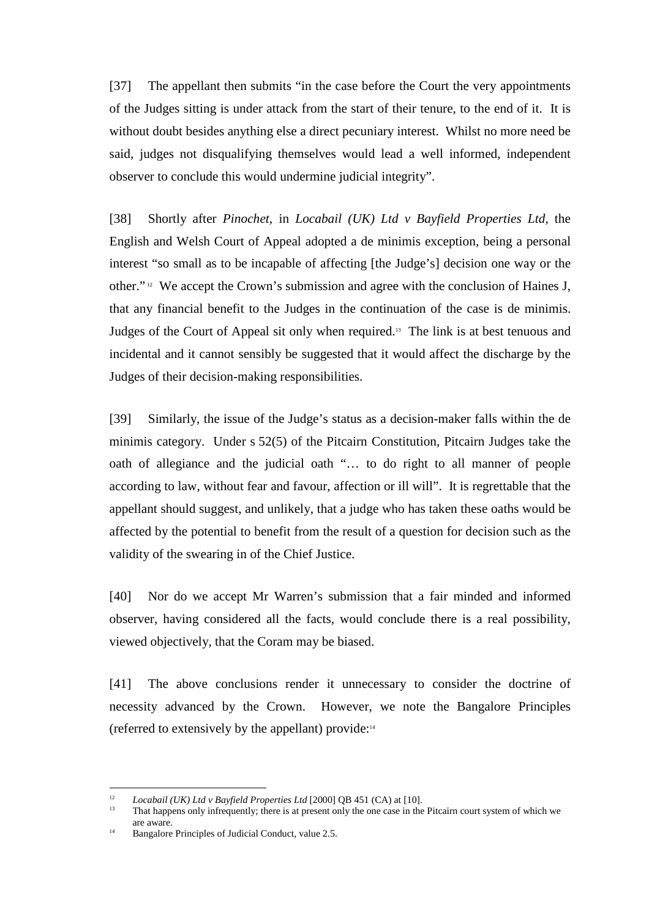[37] The appellant then submits "in the case before the Court the very appointments of the Judges sitting is under attack from the start of their tenure, to the end of it. It is without doubt besides anything else a direct pecuniary interest. Whilst no more need be said, judges not disqualifying themselves would lead a well informed, independent observer to conclude this would undermine judicial integrity".

[38] Shortly after *Pinochet*, in *Locabail (UK) Ltd v Bayfield Properties Ltd,* the English and Welsh Court of Appeal adopted a de minimis exception, being a personal interest "so small as to be incapable of affecting [the Judge's] decision one way or the other." 12 We accept the Crown's submission and agree with the conclusion of Haines J, that any financial benefit to the Judges in the continuation of the case is de minimis. Judges of the Court of Appeal sit only when required.13 The link is at best tenuous and incidental and it cannot sensibly be suggested that it would affect the discharge by the Judges of their decision-making responsibilities.

[39] Similarly, the issue of the Judge's status as a decision-maker falls within the de minimis category. Under s 52(5) of the Pitcairn Constitution, Pitcairn Judges take the oath of allegiance and the judicial oath "… to do right to all manner of people according to law, without fear and favour, affection or ill will". It is regrettable that the appellant should suggest, and unlikely, that a judge who has taken these oaths would be affected by the potential to benefit from the result of a question for decision such as the validity of the swearing in of the Chief Justice.

[40] Nor do we accept Mr Warren's submission that a fair minded and informed observer, having considered all the facts, would conclude there is a real possibility, viewed objectively, that the Coram may be biased.

[41] The above conclusions render it unnecessary to consider the doctrine of necessity advanced by the Crown. However, we note the Bangalore Principles (referred to extensively by the appellant) provide:<sup>14</sup>

 $12$ <sup>12</sup> *Locabail (UK) Ltd v Bayfield Properties Ltd* [2000] QB 451 (CA) at [10].

<sup>13</sup> That happens only infrequently; there is at present only the one case in the Pitcairn court system of which we are aware.

<sup>&</sup>lt;sup>14</sup> Bangalore Principles of Judicial Conduct, value 2.5.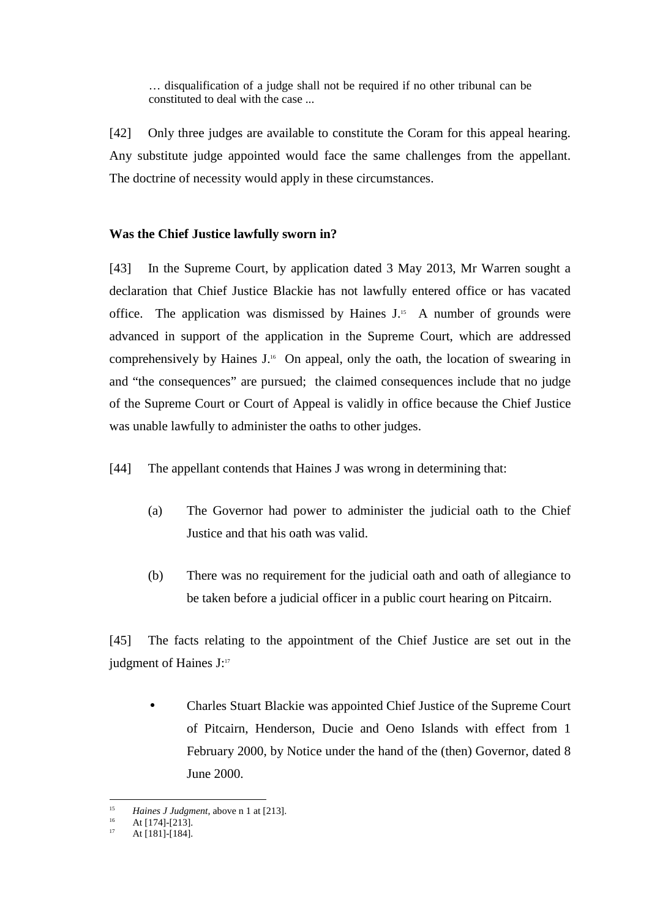… disqualification of a judge shall not be required if no other tribunal can be constituted to deal with the case ...

[42] Only three judges are available to constitute the Coram for this appeal hearing. Any substitute judge appointed would face the same challenges from the appellant. The doctrine of necessity would apply in these circumstances.

# **Was the Chief Justice lawfully sworn in?**

[43] In the Supreme Court, by application dated 3 May 2013, Mr Warren sought a declaration that Chief Justice Blackie has not lawfully entered office or has vacated office. The application was dismissed by Haines  $J<sup>15</sup>$ . A number of grounds were advanced in support of the application in the Supreme Court, which are addressed comprehensively by Haines J.16 On appeal, only the oath, the location of swearing in and "the consequences" are pursued; the claimed consequences include that no judge of the Supreme Court or Court of Appeal is validly in office because the Chief Justice was unable lawfully to administer the oaths to other judges.

- [44] The appellant contends that Haines J was wrong in determining that:
	- (a) The Governor had power to administer the judicial oath to the Chief Justice and that his oath was valid.
	- (b) There was no requirement for the judicial oath and oath of allegiance to be taken before a judicial officer in a public court hearing on Pitcairn.

[45] The facts relating to the appointment of the Chief Justice are set out in the judgment of Haines J:17

• Charles Stuart Blackie was appointed Chief Justice of the Supreme Court of Pitcairn, Henderson, Ducie and Oeno Islands with effect from 1 February 2000, by Notice under the hand of the (then) Governor, dated 8 June 2000.

 $\overline{a}$ 15 *<sup>15</sup> Haines J Judgment*, above n 1 at [213].

 $16$  At [174]-[213].

At [181]-[184].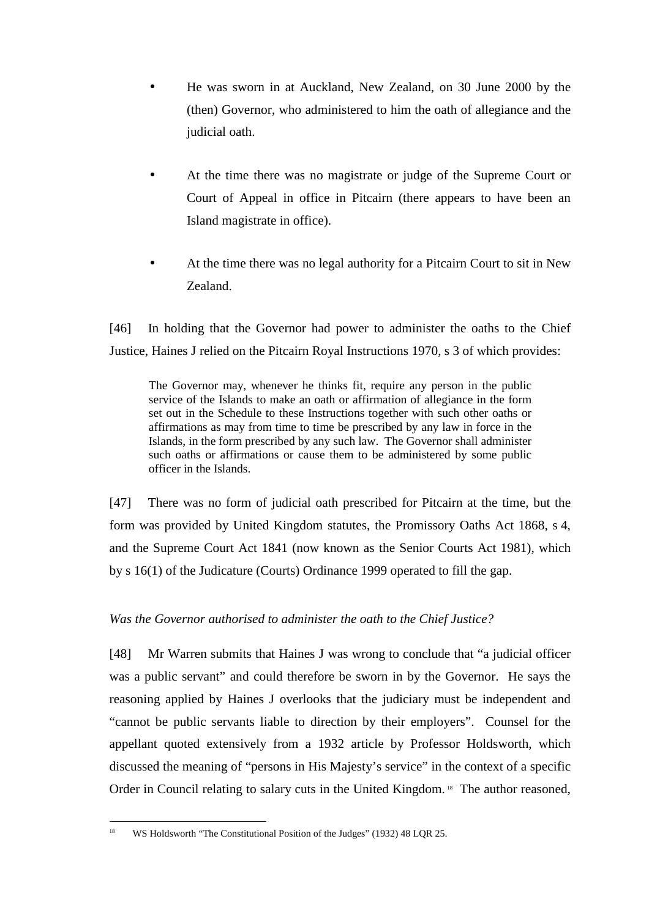- He was sworn in at Auckland, New Zealand, on 30 June 2000 by the (then) Governor, who administered to him the oath of allegiance and the judicial oath.
- At the time there was no magistrate or judge of the Supreme Court or Court of Appeal in office in Pitcairn (there appears to have been an Island magistrate in office).
- At the time there was no legal authority for a Pitcairn Court to sit in New Zealand.

[46] In holding that the Governor had power to administer the oaths to the Chief Justice, Haines J relied on the Pitcairn Royal Instructions 1970, s 3 of which provides:

The Governor may, whenever he thinks fit, require any person in the public service of the Islands to make an oath or affirmation of allegiance in the form set out in the Schedule to these Instructions together with such other oaths or affirmations as may from time to time be prescribed by any law in force in the Islands, in the form prescribed by any such law. The Governor shall administer such oaths or affirmations or cause them to be administered by some public officer in the Islands.

[47] There was no form of judicial oath prescribed for Pitcairn at the time, but the form was provided by United Kingdom statutes, the Promissory Oaths Act 1868, s 4, and the Supreme Court Act 1841 (now known as the Senior Courts Act 1981), which by s 16(1) of the Judicature (Courts) Ordinance 1999 operated to fill the gap.

# *Was the Governor authorised to administer the oath to the Chief Justice?*

[48] Mr Warren submits that Haines J was wrong to conclude that "a judicial officer was a public servant" and could therefore be sworn in by the Governor. He says the reasoning applied by Haines J overlooks that the judiciary must be independent and "cannot be public servants liable to direction by their employers". Counsel for the appellant quoted extensively from a 1932 article by Professor Holdsworth, which discussed the meaning of "persons in His Majesty's service" in the context of a specific Order in Council relating to salary cuts in the United Kingdom.<sup>18</sup> The author reasoned,

 $\overline{a}$ WS Holdsworth "The Constitutional Position of the Judges" (1932) 48 LQR 25.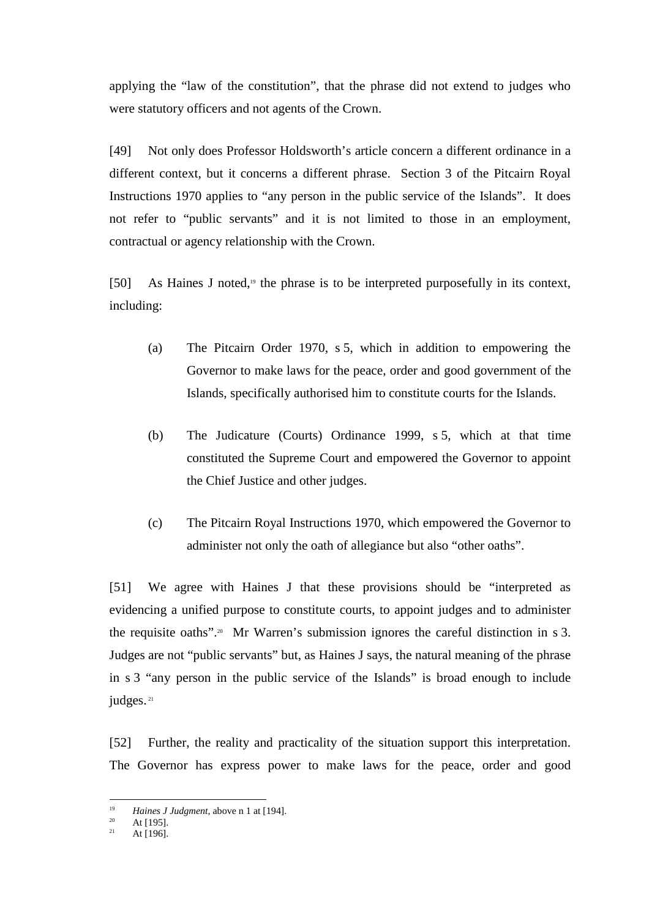applying the "law of the constitution", that the phrase did not extend to judges who were statutory officers and not agents of the Crown.

[49] Not only does Professor Holdsworth's article concern a different ordinance in a different context, but it concerns a different phrase. Section 3 of the Pitcairn Royal Instructions 1970 applies to "any person in the public service of the Islands". It does not refer to "public servants" and it is not limited to those in an employment, contractual or agency relationship with the Crown.

[50] As Haines J noted, $19$  the phrase is to be interpreted purposefully in its context, including:

- (a) The Pitcairn Order 1970, s 5, which in addition to empowering the Governor to make laws for the peace, order and good government of the Islands, specifically authorised him to constitute courts for the Islands.
- (b) The Judicature (Courts) Ordinance 1999, s 5, which at that time constituted the Supreme Court and empowered the Governor to appoint the Chief Justice and other judges.
- (c) The Pitcairn Royal Instructions 1970, which empowered the Governor to administer not only the oath of allegiance but also "other oaths".

[51] We agree with Haines J that these provisions should be "interpreted as evidencing a unified purpose to constitute courts, to appoint judges and to administer the requisite oaths".<sup>20</sup> Mr Warren's submission ignores the careful distinction in s 3. Judges are not "public servants" but, as Haines J says, the natural meaning of the phrase in s 3 "any person in the public service of the Islands" is broad enough to include judges.<sup>21</sup>

[52] Further, the reality and practicality of the situation support this interpretation. The Governor has express power to make laws for the peace, order and good

<sup>&</sup>lt;sup>19</sup> <sup>19</sup> *Haines J Judgment*, above n 1 at [194].

<sup>&</sup>lt;sup>20</sup> At [195].

At [196].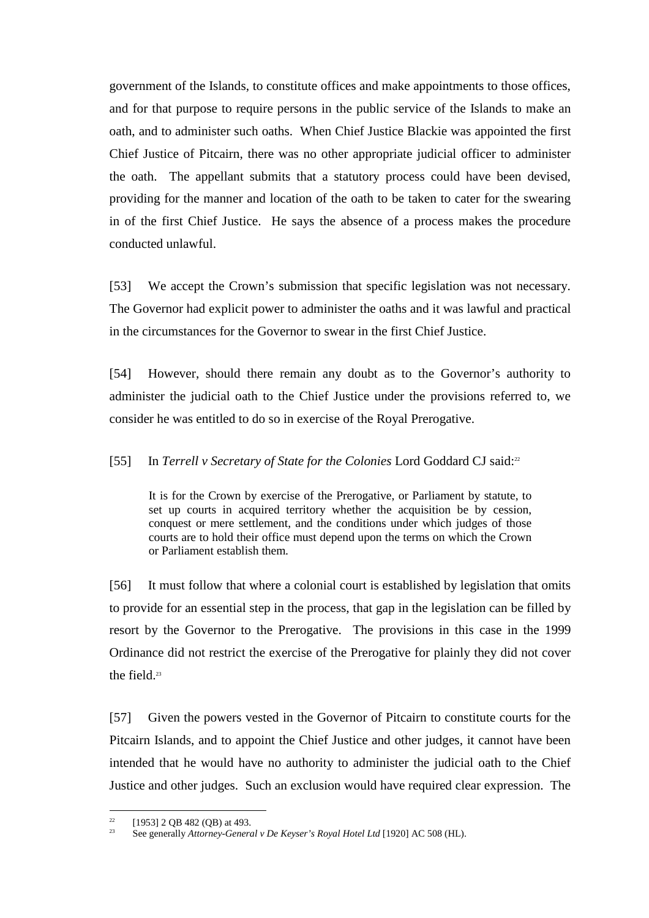government of the Islands, to constitute offices and make appointments to those offices, and for that purpose to require persons in the public service of the Islands to make an oath, and to administer such oaths. When Chief Justice Blackie was appointed the first Chief Justice of Pitcairn, there was no other appropriate judicial officer to administer the oath. The appellant submits that a statutory process could have been devised, providing for the manner and location of the oath to be taken to cater for the swearing in of the first Chief Justice. He says the absence of a process makes the procedure conducted unlawful.

[53] We accept the Crown's submission that specific legislation was not necessary. The Governor had explicit power to administer the oaths and it was lawful and practical in the circumstances for the Governor to swear in the first Chief Justice.

[54] However, should there remain any doubt as to the Governor's authority to administer the judicial oath to the Chief Justice under the provisions referred to, we consider he was entitled to do so in exercise of the Royal Prerogative.

# [55] In *Terrell v Secretary of State for the Colonies* Lord Goddard CJ said:<sup>22</sup>

It is for the Crown by exercise of the Prerogative, or Parliament by statute, to set up courts in acquired territory whether the acquisition be by cession, conquest or mere settlement, and the conditions under which judges of those courts are to hold their office must depend upon the terms on which the Crown or Parliament establish them.

[56] It must follow that where a colonial court is established by legislation that omits to provide for an essential step in the process, that gap in the legislation can be filled by resort by the Governor to the Prerogative. The provisions in this case in the 1999 Ordinance did not restrict the exercise of the Prerogative for plainly they did not cover the field.<sup>23</sup>

[57] Given the powers vested in the Governor of Pitcairn to constitute courts for the Pitcairn Islands, and to appoint the Chief Justice and other judges, it cannot have been intended that he would have no authority to administer the judicial oath to the Chief Justice and other judges. Such an exclusion would have required clear expression. The

 $22$ <sup>22</sup> [1953] 2 QB 482 (QB) at 493.

<sup>23</sup> See generally *Attorney-General v De Keyser's Royal Hotel Ltd* [1920] AC 508 (HL).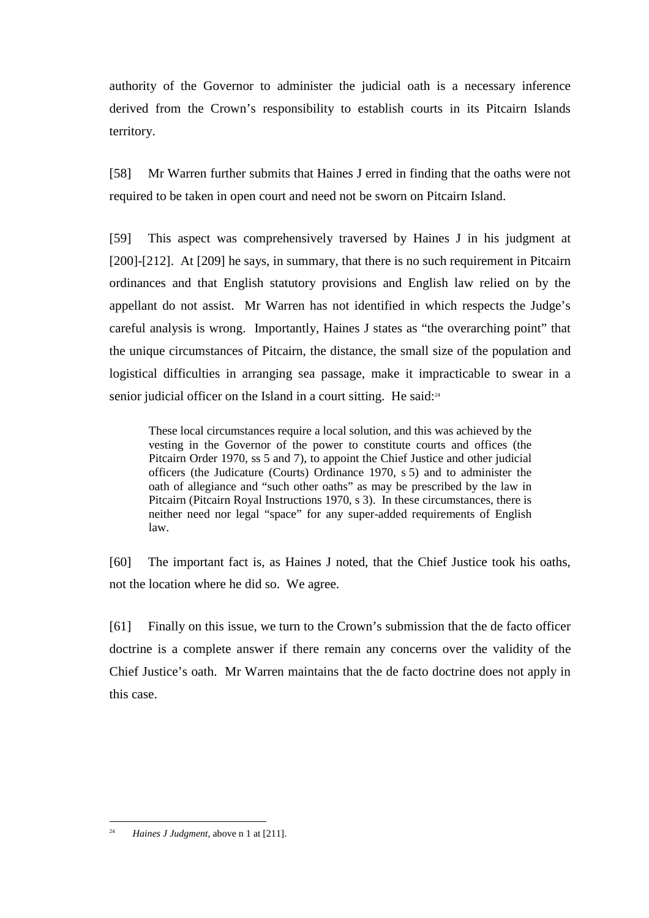authority of the Governor to administer the judicial oath is a necessary inference derived from the Crown's responsibility to establish courts in its Pitcairn Islands territory.

[58] Mr Warren further submits that Haines J erred in finding that the oaths were not required to be taken in open court and need not be sworn on Pitcairn Island.

[59] This aspect was comprehensively traversed by Haines J in his judgment at [200]-[212]. At [209] he says, in summary, that there is no such requirement in Pitcairn ordinances and that English statutory provisions and English law relied on by the appellant do not assist. Mr Warren has not identified in which respects the Judge's careful analysis is wrong. Importantly, Haines J states as "the overarching point" that the unique circumstances of Pitcairn, the distance, the small size of the population and logistical difficulties in arranging sea passage, make it impracticable to swear in a senior judicial officer on the Island in a court sitting. He said:<sup>24</sup>

These local circumstances require a local solution, and this was achieved by the vesting in the Governor of the power to constitute courts and offices (the Pitcairn Order 1970, ss 5 and 7), to appoint the Chief Justice and other judicial officers (the Judicature (Courts) Ordinance 1970, s 5) and to administer the oath of allegiance and "such other oaths" as may be prescribed by the law in Pitcairn (Pitcairn Royal Instructions 1970, s 3). In these circumstances, there is neither need nor legal "space" for any super-added requirements of English law.

[60] The important fact is, as Haines J noted, that the Chief Justice took his oaths, not the location where he did so. We agree.

[61] Finally on this issue, we turn to the Crown's submission that the de facto officer doctrine is a complete answer if there remain any concerns over the validity of the Chief Justice's oath. Mr Warren maintains that the de facto doctrine does not apply in this case.

 $\frac{1}{24}$ *Haines J Judgment*, above n 1 at [211].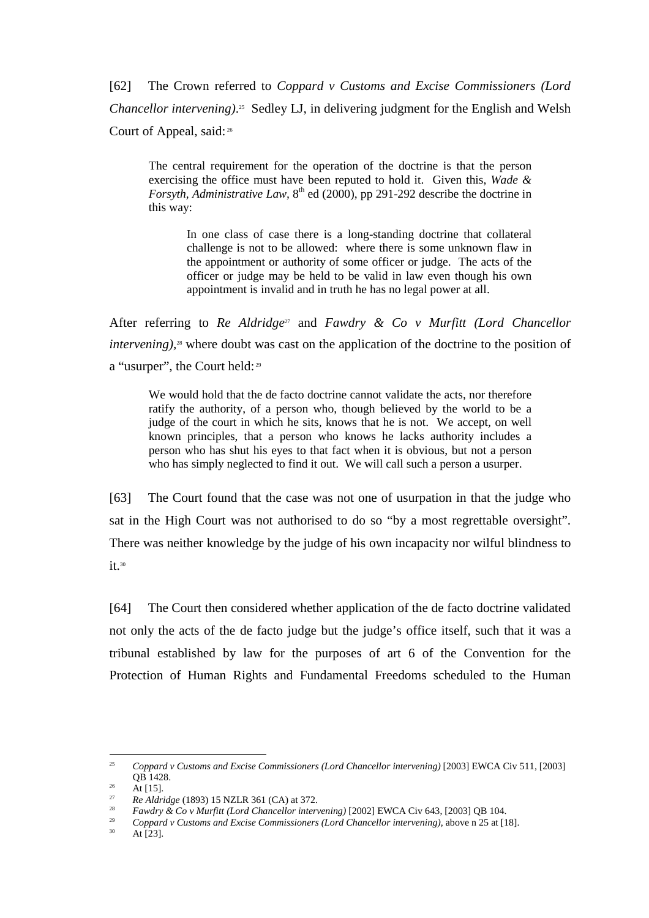[62] The Crown referred to *Coppard v Customs and Excise Commissioners (Lord Chancellor intervening*).<sup>25</sup> Sedley LJ, in delivering judgment for the English and Welsh Court of Appeal, said:<sup>26</sup>

The central requirement for the operation of the doctrine is that the person exercising the office must have been reputed to hold it. Given this, *Wade & Forsyth, Administrative Law,* 8<sup>th</sup> ed (2000), pp 291-292 describe the doctrine in this way:

In one class of case there is a long-standing doctrine that collateral challenge is not to be allowed: where there is some unknown flaw in the appointment or authority of some officer or judge. The acts of the officer or judge may be held to be valid in law even though his own appointment is invalid and in truth he has no legal power at all.

After referring to *Re Aldridge<sup>27</sup>* and *Fawdry & Co v Murfitt (Lord Chancellor intervening*),<sup>28</sup> where doubt was cast on the application of the doctrine to the position of a "usurper", the Court held:<sup>29</sup>

We would hold that the de facto doctrine cannot validate the acts, nor therefore ratify the authority, of a person who, though believed by the world to be a judge of the court in which he sits, knows that he is not. We accept, on well known principles, that a person who knows he lacks authority includes a person who has shut his eyes to that fact when it is obvious, but not a person who has simply neglected to find it out. We will call such a person a usurper.

[63] The Court found that the case was not one of usurpation in that the judge who sat in the High Court was not authorised to do so "by a most regrettable oversight". There was neither knowledge by the judge of his own incapacity nor wilful blindness to  $it.^{30}$ 

[64] The Court then considered whether application of the de facto doctrine validated not only the acts of the de facto judge but the judge's office itself, such that it was a tribunal established by law for the purposes of art 6 of the Convention for the Protection of Human Rights and Fundamental Freedoms scheduled to the Human

<sup>25</sup> *Coppard v Customs and Excise Commissioners (Lord Chancellor intervening)* [2003] EWCA Civ 511, [2003] QB 1428.

 $^{26}$  At [15].

 $27$ *Re Aldridge* (1893) 15 NZLR 361 (CA) at 372.

 $28$ *Fawdry & Co v Murfitt (Lord Chancellor intervening)* [2002] EWCA Civ 643, [2003] QB 104.

<sup>29</sup> <sup>29</sup> Coppard v Customs and Excise Commissioners (Lord Chancellor intervening), above n 25 at [18].

At [23].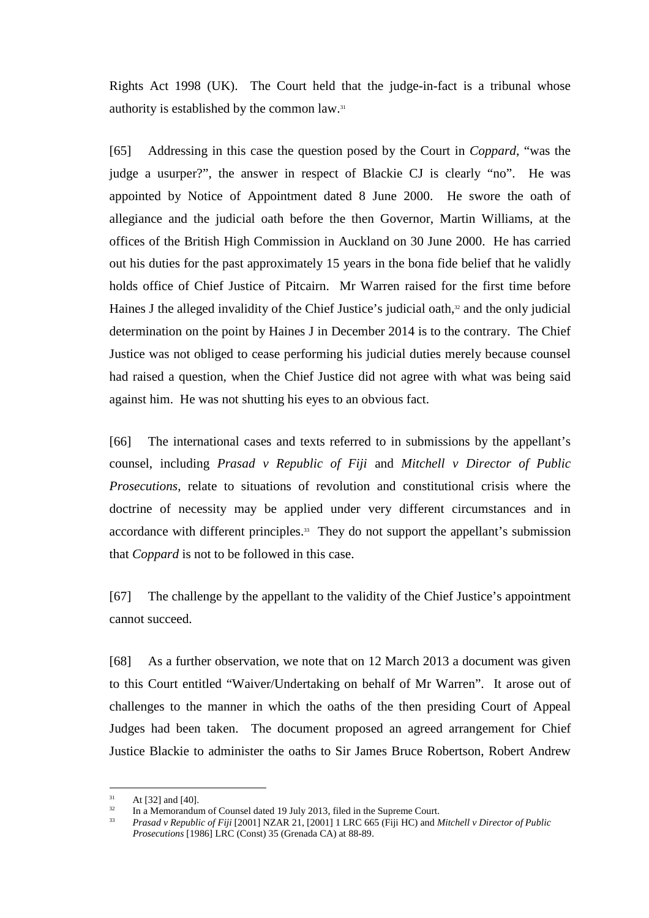Rights Act 1998 (UK). The Court held that the judge-in-fact is a tribunal whose authority is established by the common law.<sup>31</sup>

[65] Addressing in this case the question posed by the Court in *Coppard*, "was the judge a usurper?", the answer in respect of Blackie CJ is clearly "no". He was appointed by Notice of Appointment dated 8 June 2000. He swore the oath of allegiance and the judicial oath before the then Governor, Martin Williams, at the offices of the British High Commission in Auckland on 30 June 2000. He has carried out his duties for the past approximately 15 years in the bona fide belief that he validly holds office of Chief Justice of Pitcairn. Mr Warren raised for the first time before Haines J the alleged invalidity of the Chief Justice's judicial oath, $32$  and the only judicial determination on the point by Haines J in December 2014 is to the contrary. The Chief Justice was not obliged to cease performing his judicial duties merely because counsel had raised a question, when the Chief Justice did not agree with what was being said against him. He was not shutting his eyes to an obvious fact.

[66] The international cases and texts referred to in submissions by the appellant's counsel, including *Prasad v Republic of Fiji* and *Mitchell v Director of Public Prosecutions*, relate to situations of revolution and constitutional crisis where the doctrine of necessity may be applied under very different circumstances and in accordance with different principles.<sup>33</sup> They do not support the appellant's submission that *Coppard* is not to be followed in this case.

[67] The challenge by the appellant to the validity of the Chief Justice's appointment cannot succeed.

[68] As a further observation, we note that on 12 March 2013 a document was given to this Court entitled "Waiver/Undertaking on behalf of Mr Warren". It arose out of challenges to the manner in which the oaths of the then presiding Court of Appeal Judges had been taken. The document proposed an agreed arrangement for Chief Justice Blackie to administer the oaths to Sir James Bruce Robertson, Robert Andrew

 $31$  At [32] and [40].

In a Memorandum of Counsel dated 19 July 2013, filed in the Supreme Court.

<sup>33</sup> *Prasad v Republic of Fiji* [2001] NZAR 21, [2001] 1 LRC 665 (Fiji HC) and *Mitchell v Director of Public Prosecutions* [1986] LRC (Const) 35 (Grenada CA) at 88-89.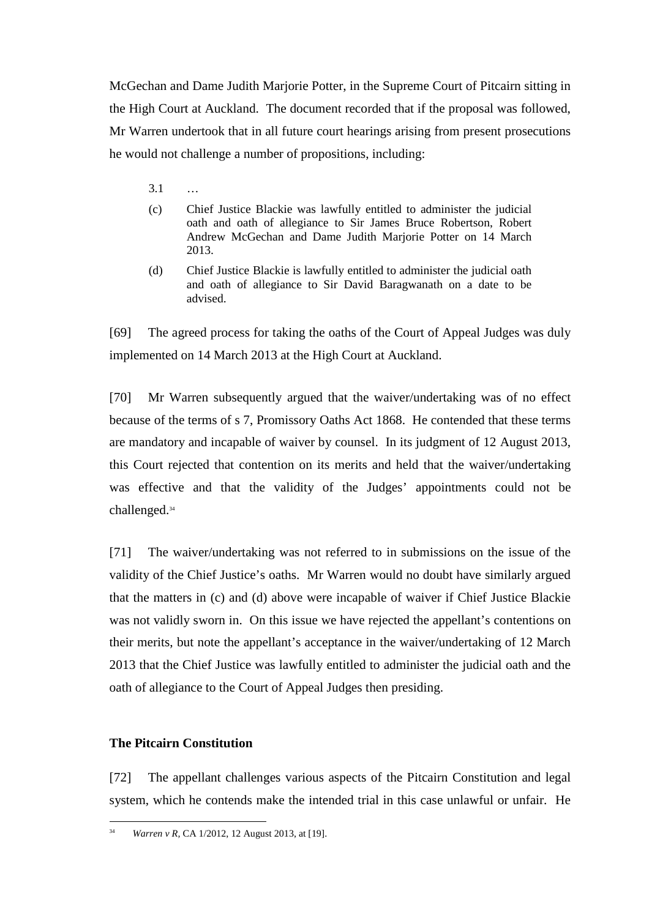McGechan and Dame Judith Marjorie Potter, in the Supreme Court of Pitcairn sitting in the High Court at Auckland. The document recorded that if the proposal was followed, Mr Warren undertook that in all future court hearings arising from present prosecutions he would not challenge a number of propositions, including:

- 3.1 …
- (c) Chief Justice Blackie was lawfully entitled to administer the judicial oath and oath of allegiance to Sir James Bruce Robertson, Robert Andrew McGechan and Dame Judith Marjorie Potter on 14 March 2013.
- (d) Chief Justice Blackie is lawfully entitled to administer the judicial oath and oath of allegiance to Sir David Baragwanath on a date to be advised.

[69] The agreed process for taking the oaths of the Court of Appeal Judges was duly implemented on 14 March 2013 at the High Court at Auckland.

[70] Mr Warren subsequently argued that the waiver/undertaking was of no effect because of the terms of s 7, Promissory Oaths Act 1868. He contended that these terms are mandatory and incapable of waiver by counsel. In its judgment of 12 August 2013, this Court rejected that contention on its merits and held that the waiver/undertaking was effective and that the validity of the Judges' appointments could not be challenged.<sup>34</sup>

[71] The waiver/undertaking was not referred to in submissions on the issue of the validity of the Chief Justice's oaths. Mr Warren would no doubt have similarly argued that the matters in (c) and (d) above were incapable of waiver if Chief Justice Blackie was not validly sworn in. On this issue we have rejected the appellant's contentions on their merits, but note the appellant's acceptance in the waiver/undertaking of 12 March 2013 that the Chief Justice was lawfully entitled to administer the judicial oath and the oath of allegiance to the Court of Appeal Judges then presiding.

# **The Pitcairn Constitution**

[72] The appellant challenges various aspects of the Pitcairn Constitution and legal system, which he contends make the intended trial in this case unlawful or unfair. He

 $\overline{a}$ 34 *Warren v R,* CA 1/2012, 12 August 2013, at [19].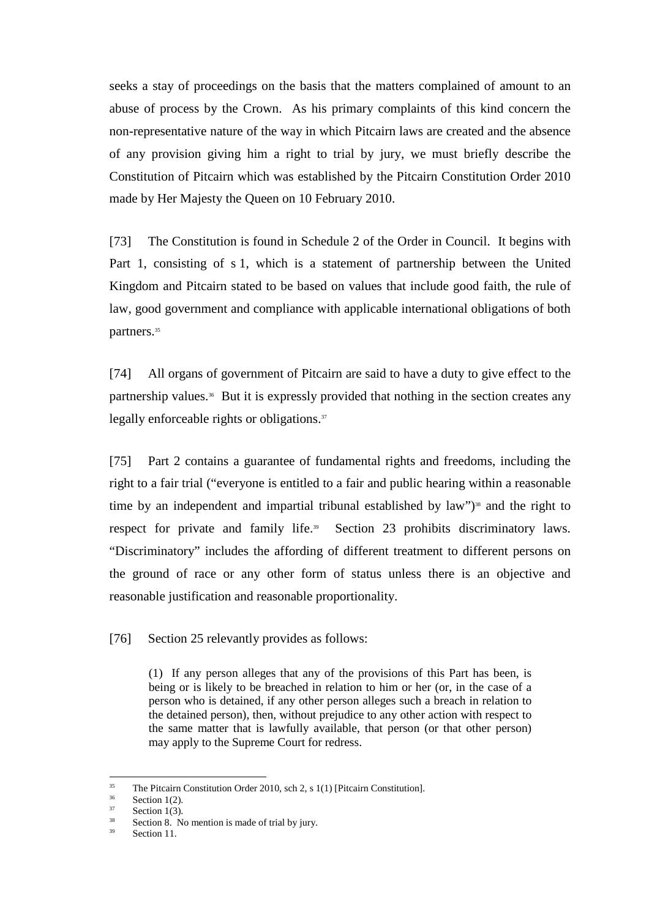seeks a stay of proceedings on the basis that the matters complained of amount to an abuse of process by the Crown. As his primary complaints of this kind concern the non-representative nature of the way in which Pitcairn laws are created and the absence of any provision giving him a right to trial by jury, we must briefly describe the Constitution of Pitcairn which was established by the Pitcairn Constitution Order 2010 made by Her Majesty the Queen on 10 February 2010.

[73] The Constitution is found in Schedule 2 of the Order in Council. It begins with Part 1, consisting of s 1, which is a statement of partnership between the United Kingdom and Pitcairn stated to be based on values that include good faith, the rule of law, good government and compliance with applicable international obligations of both partners.<sup>35</sup>

[74] All organs of government of Pitcairn are said to have a duty to give effect to the partnership values.36 But it is expressly provided that nothing in the section creates any legally enforceable rights or obligations.<sup>37</sup>

[75] Part 2 contains a guarantee of fundamental rights and freedoms, including the right to a fair trial ("everyone is entitled to a fair and public hearing within a reasonable time by an independent and impartial tribunal established by law")<sup>38</sup> and the right to respect for private and family life.<sup>39</sup> Section 23 prohibits discriminatory laws. "Discriminatory" includes the affording of different treatment to different persons on the ground of race or any other form of status unless there is an objective and reasonable justification and reasonable proportionality.

[76] Section 25 relevantly provides as follows:

(1) If any person alleges that any of the provisions of this Part has been, is being or is likely to be breached in relation to him or her (or, in the case of a person who is detained, if any other person alleges such a breach in relation to the detained person), then, without prejudice to any other action with respect to the same matter that is lawfully available, that person (or that other person) may apply to the Supreme Court for redress.

<sup>&</sup>lt;sup>35</sup> The Pitcairn Constitution Order 2010, sch 2, s 1(1) [Pitcairn Constitution].

 $\frac{36}{37}$  Section 1(2).

 $rac{37}{38}$  Section 1(3).

 $38$  Section 8. No mention is made of trial by jury.

Section 11.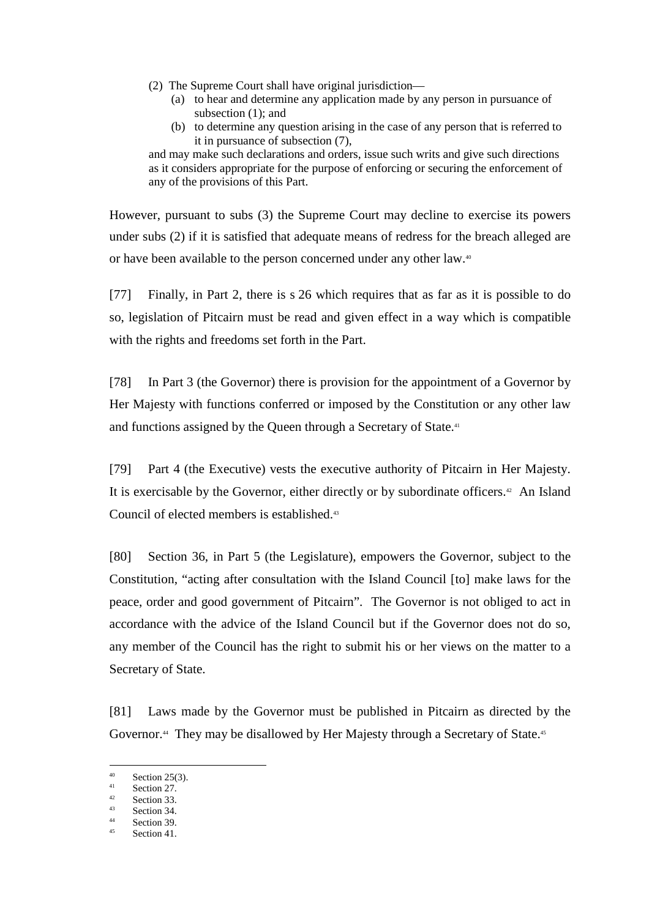- (2) The Supreme Court shall have original jurisdiction—
	- (a) to hear and determine any application made by any person in pursuance of subsection (1); and
	- (b) to determine any question arising in the case of any person that is referred to it in pursuance of subsection (7),

and may make such declarations and orders, issue such writs and give such directions as it considers appropriate for the purpose of enforcing or securing the enforcement of any of the provisions of this Part.

However, pursuant to subs (3) the Supreme Court may decline to exercise its powers under subs (2) if it is satisfied that adequate means of redress for the breach alleged are or have been available to the person concerned under any other law.<sup>40</sup>

[77] Finally, in Part 2, there is s 26 which requires that as far as it is possible to do so, legislation of Pitcairn must be read and given effect in a way which is compatible with the rights and freedoms set forth in the Part.

[78] In Part 3 (the Governor) there is provision for the appointment of a Governor by Her Majesty with functions conferred or imposed by the Constitution or any other law and functions assigned by the Queen through a Secretary of State.<sup>41</sup>

[79] Part 4 (the Executive) vests the executive authority of Pitcairn in Her Majesty. It is exercisable by the Governor, either directly or by subordinate officers.<sup>42</sup> An Island Council of elected members is established.<sup>43</sup>

[80] Section 36, in Part 5 (the Legislature), empowers the Governor, subject to the Constitution, "acting after consultation with the Island Council [to] make laws for the peace, order and good government of Pitcairn". The Governor is not obliged to act in accordance with the advice of the Island Council but if the Governor does not do so, any member of the Council has the right to submit his or her views on the matter to a Secretary of State.

[81] Laws made by the Governor must be published in Pitcairn as directed by the Governor.<sup>44</sup> They may be disallowed by Her Majesty through a Secretary of State.<sup>45</sup>

 $40^{\circ}$  $^{40}$  Section 25(3).

 $\frac{41}{42}$  Section 27.

 $\frac{42}{43}$  Section 33.

 $\frac{43}{44}$  Section 34.

 $\frac{44}{45}$  Section 39.

Section 41.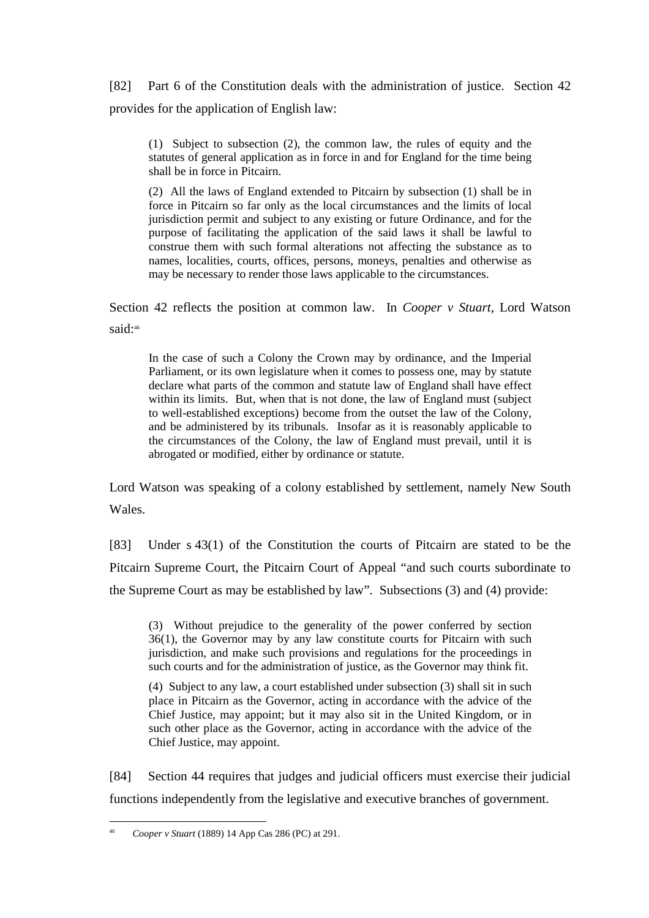[82] Part 6 of the Constitution deals with the administration of justice. Section 42 provides for the application of English law:

(1) Subject to subsection (2), the common law, the rules of equity and the statutes of general application as in force in and for England for the time being shall be in force in Pitcairn.

(2) All the laws of England extended to Pitcairn by subsection (1) shall be in force in Pitcairn so far only as the local circumstances and the limits of local jurisdiction permit and subject to any existing or future Ordinance, and for the purpose of facilitating the application of the said laws it shall be lawful to construe them with such formal alterations not affecting the substance as to names, localities, courts, offices, persons, moneys, penalties and otherwise as may be necessary to render those laws applicable to the circumstances.

Section 42 reflects the position at common law. In *Cooper v Stuart*, Lord Watson said:46

In the case of such a Colony the Crown may by ordinance, and the Imperial Parliament, or its own legislature when it comes to possess one, may by statute declare what parts of the common and statute law of England shall have effect within its limits. But, when that is not done, the law of England must (subject to well-established exceptions) become from the outset the law of the Colony, and be administered by its tribunals. Insofar as it is reasonably applicable to the circumstances of the Colony, the law of England must prevail, until it is abrogated or modified, either by ordinance or statute.

Lord Watson was speaking of a colony established by settlement, namely New South Wales.

[83] Under s 43(1) of the Constitution the courts of Pitcairn are stated to be the Pitcairn Supreme Court, the Pitcairn Court of Appeal "and such courts subordinate to the Supreme Court as may be established by law". Subsections (3) and (4) provide:

(3) Without prejudice to the generality of the power conferred by section 36(1), the Governor may by any law constitute courts for Pitcairn with such jurisdiction, and make such provisions and regulations for the proceedings in such courts and for the administration of justice, as the Governor may think fit.

(4) Subject to any law, a court established under subsection (3) shall sit in such place in Pitcairn as the Governor, acting in accordance with the advice of the Chief Justice, may appoint; but it may also sit in the United Kingdom, or in such other place as the Governor, acting in accordance with the advice of the Chief Justice, may appoint.

[84] Section 44 requires that judges and judicial officers must exercise their judicial functions independently from the legislative and executive branches of government.

 $\overline{a}$ 46 *Cooper v Stuart* (1889) 14 App Cas 286 (PC) at 291.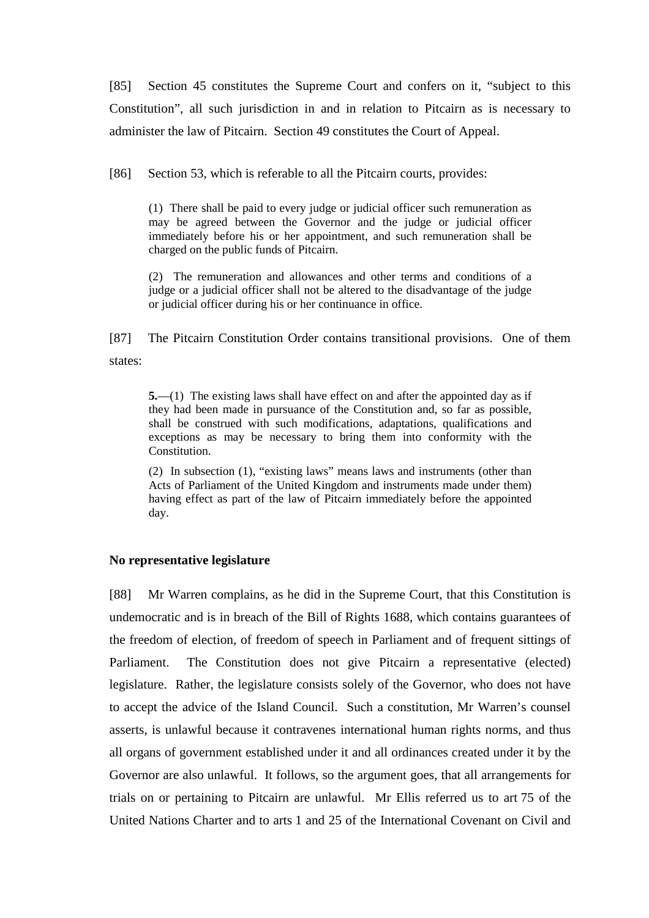[85] Section 45 constitutes the Supreme Court and confers on it, "subject to this Constitution", all such jurisdiction in and in relation to Pitcairn as is necessary to administer the law of Pitcairn. Section 49 constitutes the Court of Appeal.

[86] Section 53, which is referable to all the Pitcairn courts, provides:

(1) There shall be paid to every judge or judicial officer such remuneration as may be agreed between the Governor and the judge or judicial officer immediately before his or her appointment, and such remuneration shall be charged on the public funds of Pitcairn.

(2) The remuneration and allowances and other terms and conditions of a judge or a judicial officer shall not be altered to the disadvantage of the judge or judicial officer during his or her continuance in office.

[87] The Pitcairn Constitution Order contains transitional provisions. One of them states:

**5.**—(1) The existing laws shall have effect on and after the appointed day as if they had been made in pursuance of the Constitution and, so far as possible, shall be construed with such modifications, adaptations, qualifications and exceptions as may be necessary to bring them into conformity with the Constitution.

(2) In subsection (1), "existing laws" means laws and instruments (other than Acts of Parliament of the United Kingdom and instruments made under them) having effect as part of the law of Pitcairn immediately before the appointed day.

### **No representative legislature**

[88] Mr Warren complains, as he did in the Supreme Court, that this Constitution is undemocratic and is in breach of the Bill of Rights 1688, which contains guarantees of the freedom of election, of freedom of speech in Parliament and of frequent sittings of Parliament. The Constitution does not give Pitcairn a representative (elected) legislature. Rather, the legislature consists solely of the Governor, who does not have to accept the advice of the Island Council. Such a constitution, Mr Warren's counsel asserts, is unlawful because it contravenes international human rights norms, and thus all organs of government established under it and all ordinances created under it by the Governor are also unlawful. It follows, so the argument goes, that all arrangements for trials on or pertaining to Pitcairn are unlawful. Mr Ellis referred us to art 75 of the United Nations Charter and to arts 1 and 25 of the International Covenant on Civil and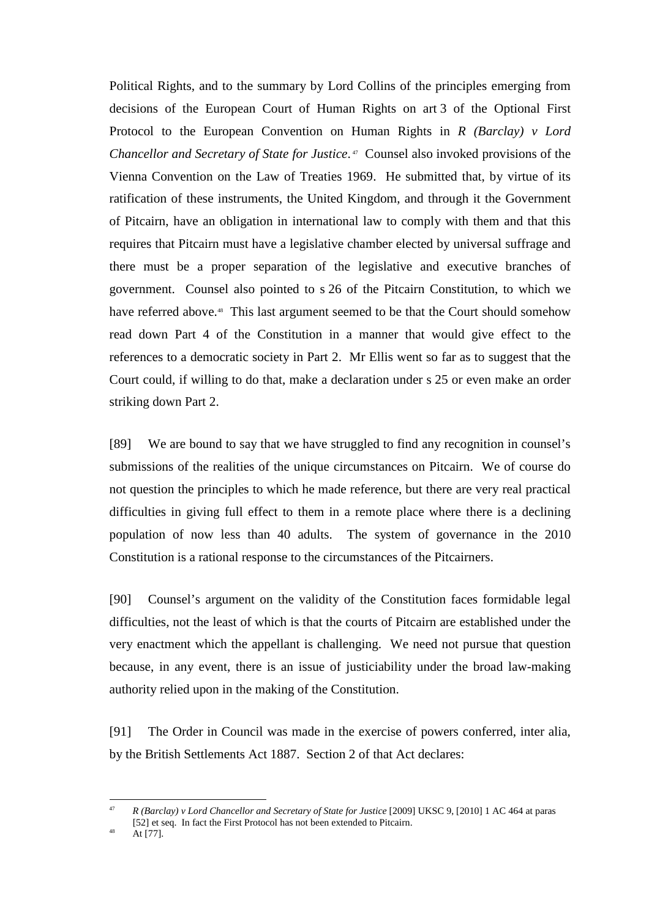Political Rights, and to the summary by Lord Collins of the principles emerging from decisions of the European Court of Human Rights on art 3 of the Optional First Protocol to the European Convention on Human Rights in *R (Barclay) v Lord Chancellor and Secretary of State for Justice*. <sup>47</sup> Counsel also invoked provisions of the Vienna Convention on the Law of Treaties 1969. He submitted that, by virtue of its ratification of these instruments, the United Kingdom, and through it the Government of Pitcairn, have an obligation in international law to comply with them and that this requires that Pitcairn must have a legislative chamber elected by universal suffrage and there must be a proper separation of the legislative and executive branches of government. Counsel also pointed to s 26 of the Pitcairn Constitution, to which we have referred above.<sup>48</sup> This last argument seemed to be that the Court should somehow read down Part 4 of the Constitution in a manner that would give effect to the references to a democratic society in Part 2. Mr Ellis went so far as to suggest that the Court could, if willing to do that, make a declaration under s 25 or even make an order striking down Part 2.

[89] We are bound to say that we have struggled to find any recognition in counsel's submissions of the realities of the unique circumstances on Pitcairn. We of course do not question the principles to which he made reference, but there are very real practical difficulties in giving full effect to them in a remote place where there is a declining population of now less than 40 adults. The system of governance in the 2010 Constitution is a rational response to the circumstances of the Pitcairners.

[90] Counsel's argument on the validity of the Constitution faces formidable legal difficulties, not the least of which is that the courts of Pitcairn are established under the very enactment which the appellant is challenging. We need not pursue that question because, in any event, there is an issue of justiciability under the broad law-making authority relied upon in the making of the Constitution.

[91] The Order in Council was made in the exercise of powers conferred, inter alia, by the British Settlements Act 1887. Section 2 of that Act declares:

 $\overline{a}$ 47 *R (Barclay) v Lord Chancellor and Secretary of State for Justice* [2009] UKSC 9, [2010] 1 AC 464 at paras [52] et seq. In fact the First Protocol has not been extended to Pitcairn.

At [77].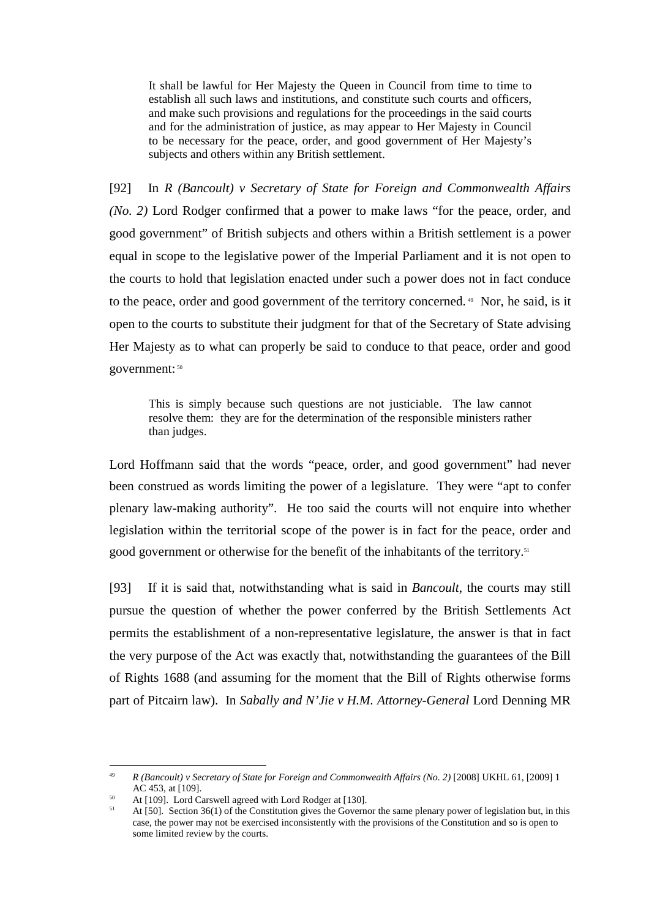It shall be lawful for Her Majesty the Queen in Council from time to time to establish all such laws and institutions, and constitute such courts and officers, and make such provisions and regulations for the proceedings in the said courts and for the administration of justice, as may appear to Her Majesty in Council to be necessary for the peace, order, and good government of Her Majesty's subjects and others within any British settlement.

[92] In *R (Bancoult) v Secretary of State for Foreign and Commonwealth Affairs (No. 2)* Lord Rodger confirmed that a power to make laws "for the peace, order, and good government" of British subjects and others within a British settlement is a power equal in scope to the legislative power of the Imperial Parliament and it is not open to the courts to hold that legislation enacted under such a power does not in fact conduce to the peace, order and good government of the territory concerned.<sup>49</sup> Nor, he said, is it open to the courts to substitute their judgment for that of the Secretary of State advising Her Majesty as to what can properly be said to conduce to that peace, order and good government: 50

This is simply because such questions are not justiciable. The law cannot resolve them: they are for the determination of the responsible ministers rather than judges.

Lord Hoffmann said that the words "peace, order, and good government" had never been construed as words limiting the power of a legislature. They were "apt to confer plenary law-making authority". He too said the courts will not enquire into whether legislation within the territorial scope of the power is in fact for the peace, order and good government or otherwise for the benefit of the inhabitants of the territory.<sup>51</sup>

[93] If it is said that, notwithstanding what is said in *Bancoult*, the courts may still pursue the question of whether the power conferred by the British Settlements Act permits the establishment of a non-representative legislature, the answer is that in fact the very purpose of the Act was exactly that, notwithstanding the guarantees of the Bill of Rights 1688 (and assuming for the moment that the Bill of Rights otherwise forms part of Pitcairn law). In *Sabally and N'Jie v H.M. Attorney-General* Lord Denning MR

<sup>49</sup> *R (Bancoult) v Secretary of State for Foreign and Commonwealth Affairs (No. 2)* [2008] UKHL 61, [2009] 1 AC 453, at [109].

 $^{50}$  At [109]. Lord Carswell agreed with Lord Rodger at [130].

<sup>51</sup> At [50]. Section 36(1) of the Constitution gives the Governor the same plenary power of legislation but, in this case, the power may not be exercised inconsistently with the provisions of the Constitution and so is open to some limited review by the courts.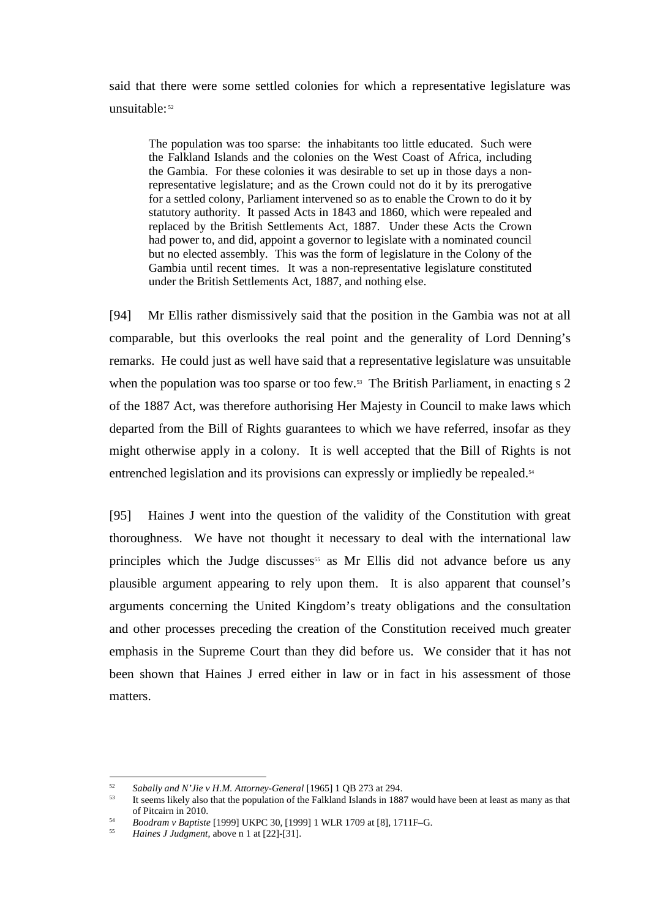said that there were some settled colonies for which a representative legislature was unsuitable:<sup>52</sup>

The population was too sparse: the inhabitants too little educated. Such were the Falkland Islands and the colonies on the West Coast of Africa, including the Gambia. For these colonies it was desirable to set up in those days a nonrepresentative legislature; and as the Crown could not do it by its prerogative for a settled colony, Parliament intervened so as to enable the Crown to do it by statutory authority. It passed Acts in 1843 and 1860, which were repealed and replaced by the British Settlements Act, 1887. Under these Acts the Crown had power to, and did, appoint a governor to legislate with a nominated council but no elected assembly. This was the form of legislature in the Colony of the Gambia until recent times. It was a non-representative legislature constituted under the British Settlements Act, 1887, and nothing else.

[94] Mr Ellis rather dismissively said that the position in the Gambia was not at all comparable, but this overlooks the real point and the generality of Lord Denning's remarks. He could just as well have said that a representative legislature was unsuitable when the population was too sparse or too few.<sup>53</sup> The British Parliament, in enacting s 2 of the 1887 Act, was therefore authorising Her Majesty in Council to make laws which departed from the Bill of Rights guarantees to which we have referred, insofar as they might otherwise apply in a colony. It is well accepted that the Bill of Rights is not entrenched legislation and its provisions can expressly or impliedly be repealed.<sup>54</sup>

[95] Haines J went into the question of the validity of the Constitution with great thoroughness. We have not thought it necessary to deal with the international law principles which the Judge discusses<sup>55</sup> as Mr Ellis did not advance before us any plausible argument appearing to rely upon them. It is also apparent that counsel's arguments concerning the United Kingdom's treaty obligations and the consultation and other processes preceding the creation of the Constitution received much greater emphasis in the Supreme Court than they did before us. We consider that it has not been shown that Haines J erred either in law or in fact in his assessment of those matters.

 $52$ *Sabally and N'Jie v H.M. Attorney-General* [1965] 1 QB 273 at 294.

<sup>53</sup> It seems likely also that the population of the Falkland Islands in 1887 would have been at least as many as that of Pitcairn in 2010.

<sup>54</sup> *Boodram v Baptiste* [1999] UKPC 30, [1999] 1 WLR 1709 at [8], 1711F–G.

<sup>55</sup> *Haines J Judgment*, above n 1 at [22]-[31].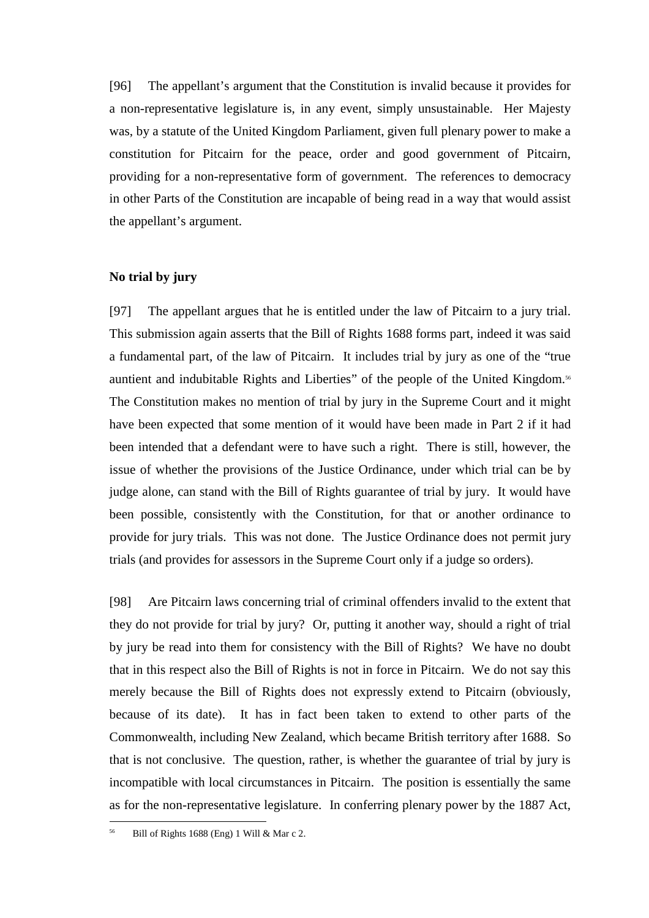[96] The appellant's argument that the Constitution is invalid because it provides for a non-representative legislature is, in any event, simply unsustainable. Her Majesty was, by a statute of the United Kingdom Parliament, given full plenary power to make a constitution for Pitcairn for the peace, order and good government of Pitcairn, providing for a non-representative form of government. The references to democracy in other Parts of the Constitution are incapable of being read in a way that would assist the appellant's argument.

### **No trial by jury**

[97] The appellant argues that he is entitled under the law of Pitcairn to a jury trial. This submission again asserts that the Bill of Rights 1688 forms part, indeed it was said a fundamental part, of the law of Pitcairn. It includes trial by jury as one of the "true auntient and indubitable Rights and Liberties" of the people of the United Kingdom.<sup>56</sup> The Constitution makes no mention of trial by jury in the Supreme Court and it might have been expected that some mention of it would have been made in Part 2 if it had been intended that a defendant were to have such a right. There is still, however, the issue of whether the provisions of the Justice Ordinance, under which trial can be by judge alone, can stand with the Bill of Rights guarantee of trial by jury. It would have been possible, consistently with the Constitution, for that or another ordinance to provide for jury trials. This was not done. The Justice Ordinance does not permit jury trials (and provides for assessors in the Supreme Court only if a judge so orders).

[98] Are Pitcairn laws concerning trial of criminal offenders invalid to the extent that they do not provide for trial by jury? Or, putting it another way, should a right of trial by jury be read into them for consistency with the Bill of Rights? We have no doubt that in this respect also the Bill of Rights is not in force in Pitcairn. We do not say this merely because the Bill of Rights does not expressly extend to Pitcairn (obviously, because of its date). It has in fact been taken to extend to other parts of the Commonwealth, including New Zealand, which became British territory after 1688. So that is not conclusive. The question, rather, is whether the guarantee of trial by jury is incompatible with local circumstances in Pitcairn. The position is essentially the same as for the non-representative legislature. In conferring plenary power by the 1887 Act,

Bill of Rights 1688 (Eng) 1 Will & Mar c 2.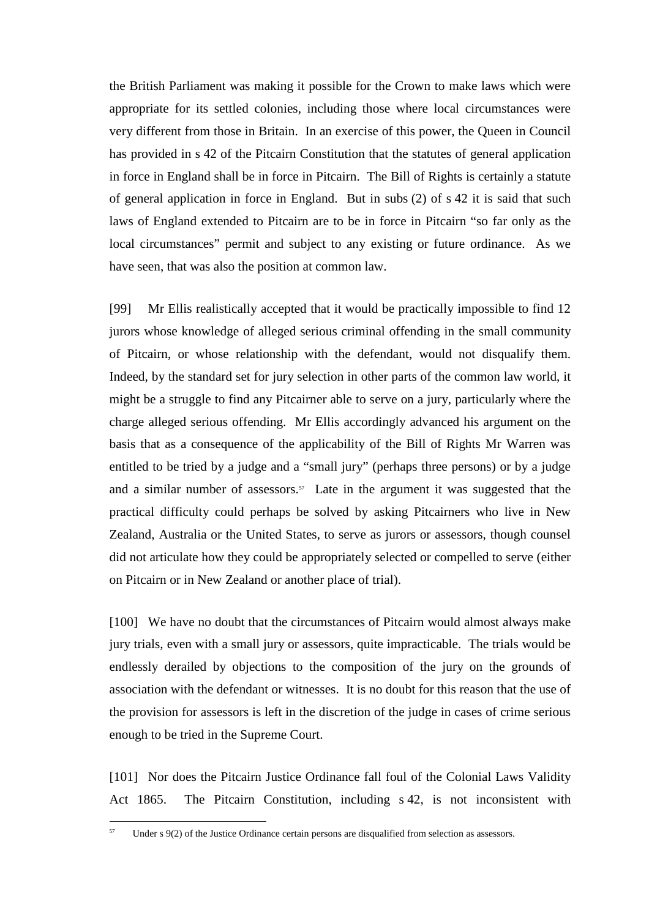the British Parliament was making it possible for the Crown to make laws which were appropriate for its settled colonies, including those where local circumstances were very different from those in Britain. In an exercise of this power, the Queen in Council has provided in s 42 of the Pitcairn Constitution that the statutes of general application in force in England shall be in force in Pitcairn. The Bill of Rights is certainly a statute of general application in force in England. But in subs (2) of s 42 it is said that such laws of England extended to Pitcairn are to be in force in Pitcairn "so far only as the local circumstances" permit and subject to any existing or future ordinance. As we have seen, that was also the position at common law.

[99] Mr Ellis realistically accepted that it would be practically impossible to find 12 jurors whose knowledge of alleged serious criminal offending in the small community of Pitcairn, or whose relationship with the defendant, would not disqualify them. Indeed, by the standard set for jury selection in other parts of the common law world, it might be a struggle to find any Pitcairner able to serve on a jury, particularly where the charge alleged serious offending. Mr Ellis accordingly advanced his argument on the basis that as a consequence of the applicability of the Bill of Rights Mr Warren was entitled to be tried by a judge and a "small jury" (perhaps three persons) or by a judge and a similar number of assessors. $57$  Late in the argument it was suggested that the practical difficulty could perhaps be solved by asking Pitcairners who live in New Zealand, Australia or the United States, to serve as jurors or assessors, though counsel did not articulate how they could be appropriately selected or compelled to serve (either on Pitcairn or in New Zealand or another place of trial).

[100] We have no doubt that the circumstances of Pitcairn would almost always make jury trials, even with a small jury or assessors, quite impracticable. The trials would be endlessly derailed by objections to the composition of the jury on the grounds of association with the defendant or witnesses. It is no doubt for this reason that the use of the provision for assessors is left in the discretion of the judge in cases of crime serious enough to be tried in the Supreme Court.

[101] Nor does the Pitcairn Justice Ordinance fall foul of the Colonial Laws Validity Act 1865. The Pitcairn Constitution, including s 42, is not inconsistent with

Under s 9(2) of the Justice Ordinance certain persons are disqualified from selection as assessors.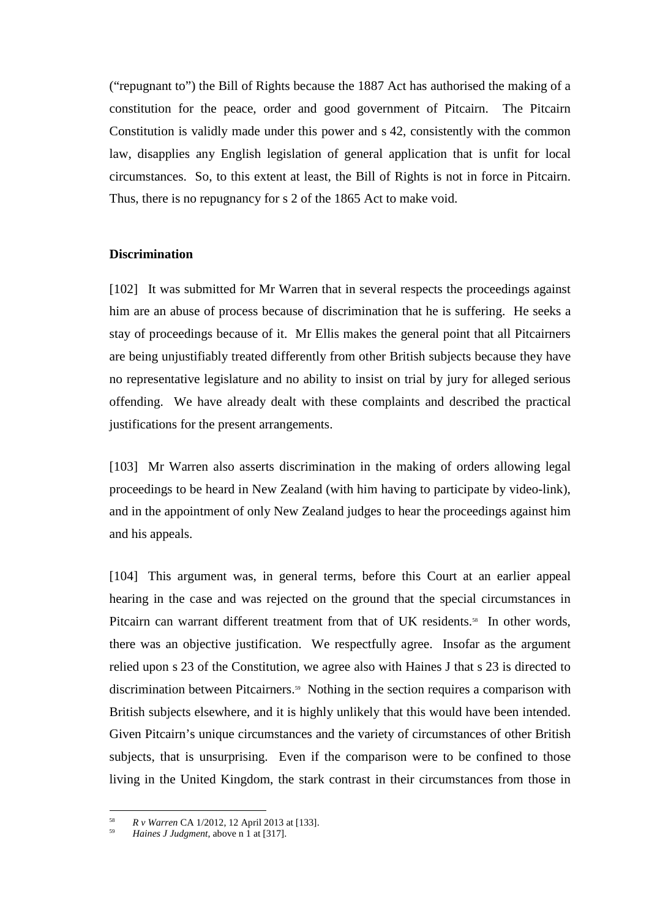("repugnant to") the Bill of Rights because the 1887 Act has authorised the making of a constitution for the peace, order and good government of Pitcairn. The Pitcairn Constitution is validly made under this power and s 42, consistently with the common law, disapplies any English legislation of general application that is unfit for local circumstances. So, to this extent at least, the Bill of Rights is not in force in Pitcairn. Thus, there is no repugnancy for s 2 of the 1865 Act to make void.

### **Discrimination**

[102] It was submitted for Mr Warren that in several respects the proceedings against him are an abuse of process because of discrimination that he is suffering. He seeks a stay of proceedings because of it. Mr Ellis makes the general point that all Pitcairners are being unjustifiably treated differently from other British subjects because they have no representative legislature and no ability to insist on trial by jury for alleged serious offending. We have already dealt with these complaints and described the practical justifications for the present arrangements.

[103] Mr Warren also asserts discrimination in the making of orders allowing legal proceedings to be heard in New Zealand (with him having to participate by video-link), and in the appointment of only New Zealand judges to hear the proceedings against him and his appeals.

[104] This argument was, in general terms, before this Court at an earlier appeal hearing in the case and was rejected on the ground that the special circumstances in Pitcairn can warrant different treatment from that of UK residents.<sup>58</sup> In other words, there was an objective justification. We respectfully agree. Insofar as the argument relied upon s 23 of the Constitution, we agree also with Haines J that s 23 is directed to discrimination between Pitcairners.<sup>59</sup> Nothing in the section requires a comparison with British subjects elsewhere, and it is highly unlikely that this would have been intended. Given Pitcairn's unique circumstances and the variety of circumstances of other British subjects, that is unsurprising. Even if the comparison were to be confined to those living in the United Kingdom, the stark contrast in their circumstances from those in

<sup>58</sup> *R v Warren* CA 1/2012, 12 April 2013 at [133].

<sup>59</sup> *Haines J Judgment*, above n 1 at [317].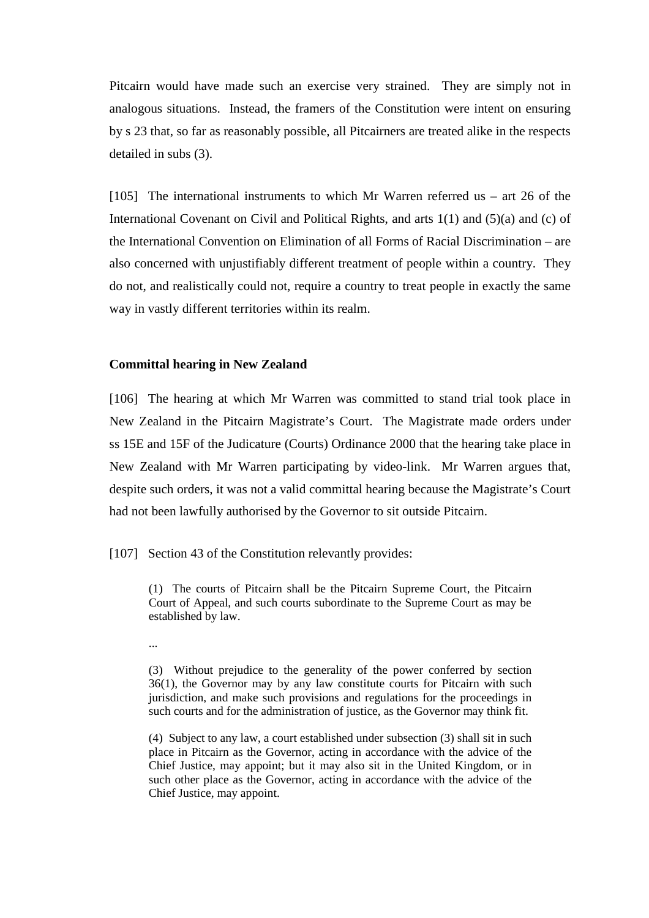Pitcairn would have made such an exercise very strained. They are simply not in analogous situations. Instead, the framers of the Constitution were intent on ensuring by s 23 that, so far as reasonably possible, all Pitcairners are treated alike in the respects detailed in subs (3).

[105] The international instruments to which Mr Warren referred us – art 26 of the International Covenant on Civil and Political Rights, and arts 1(1) and (5)(a) and (c) of the International Convention on Elimination of all Forms of Racial Discrimination – are also concerned with unjustifiably different treatment of people within a country. They do not, and realistically could not, require a country to treat people in exactly the same way in vastly different territories within its realm.

### **Committal hearing in New Zealand**

[106] The hearing at which Mr Warren was committed to stand trial took place in New Zealand in the Pitcairn Magistrate's Court. The Magistrate made orders under ss 15E and 15F of the Judicature (Courts) Ordinance 2000 that the hearing take place in New Zealand with Mr Warren participating by video-link. Mr Warren argues that, despite such orders, it was not a valid committal hearing because the Magistrate's Court had not been lawfully authorised by the Governor to sit outside Pitcairn.

[107] Section 43 of the Constitution relevantly provides:

(1) The courts of Pitcairn shall be the Pitcairn Supreme Court, the Pitcairn Court of Appeal, and such courts subordinate to the Supreme Court as may be established by law.

...

(3) Without prejudice to the generality of the power conferred by section 36(1), the Governor may by any law constitute courts for Pitcairn with such jurisdiction, and make such provisions and regulations for the proceedings in such courts and for the administration of justice, as the Governor may think fit.

(4) Subject to any law, a court established under subsection (3) shall sit in such place in Pitcairn as the Governor, acting in accordance with the advice of the Chief Justice, may appoint; but it may also sit in the United Kingdom, or in such other place as the Governor, acting in accordance with the advice of the Chief Justice, may appoint.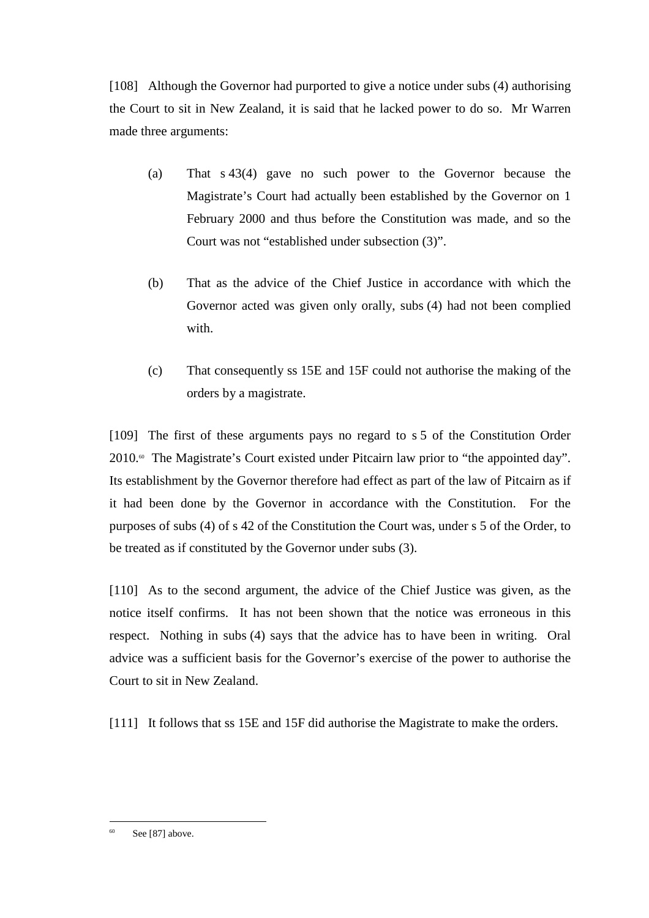[108] Although the Governor had purported to give a notice under subs (4) authorising the Court to sit in New Zealand, it is said that he lacked power to do so. Mr Warren made three arguments:

- (a) That s 43(4) gave no such power to the Governor because the Magistrate's Court had actually been established by the Governor on 1 February 2000 and thus before the Constitution was made, and so the Court was not "established under subsection (3)".
- (b) That as the advice of the Chief Justice in accordance with which the Governor acted was given only orally, subs (4) had not been complied with.
- (c) That consequently ss 15E and 15F could not authorise the making of the orders by a magistrate.

[109] The first of these arguments pays no regard to s 5 of the Constitution Order  $2010$ .<sup> $\circ$ </sup> The Magistrate's Court existed under Pitcairn law prior to "the appointed day". Its establishment by the Governor therefore had effect as part of the law of Pitcairn as if it had been done by the Governor in accordance with the Constitution. For the purposes of subs (4) of s 42 of the Constitution the Court was, under s 5 of the Order, to be treated as if constituted by the Governor under subs (3).

[110] As to the second argument, the advice of the Chief Justice was given, as the notice itself confirms. It has not been shown that the notice was erroneous in this respect. Nothing in subs (4) says that the advice has to have been in writing. Oral advice was a sufficient basis for the Governor's exercise of the power to authorise the Court to sit in New Zealand.

[111] It follows that ss 15E and 15F did authorise the Magistrate to make the orders.

See [87] above.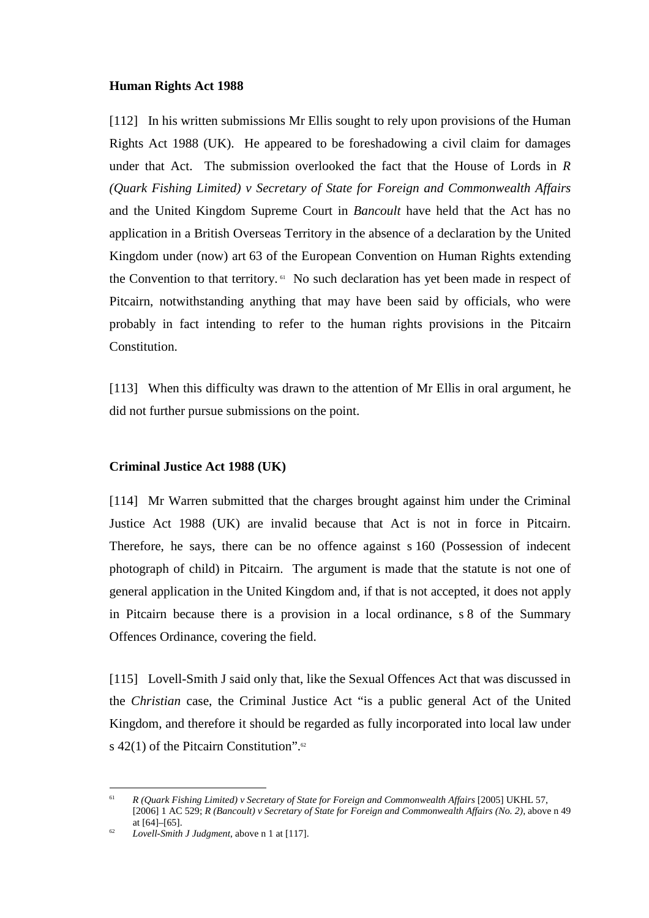### **Human Rights Act 1988**

[112] In his written submissions Mr Ellis sought to rely upon provisions of the Human Rights Act 1988 (UK). He appeared to be foreshadowing a civil claim for damages under that Act. The submission overlooked the fact that the House of Lords in *R (Quark Fishing Limited) v Secretary of State for Foreign and Commonwealth Affairs* and the United Kingdom Supreme Court in *Bancoult* have held that the Act has no application in a British Overseas Territory in the absence of a declaration by the United Kingdom under (now) art 63 of the European Convention on Human Rights extending the Convention to that territory.<sup>61</sup> No such declaration has yet been made in respect of Pitcairn, notwithstanding anything that may have been said by officials, who were probably in fact intending to refer to the human rights provisions in the Pitcairn Constitution.

[113] When this difficulty was drawn to the attention of Mr Ellis in oral argument, he did not further pursue submissions on the point.

# **Criminal Justice Act 1988 (UK)**

[114] Mr Warren submitted that the charges brought against him under the Criminal Justice Act 1988 (UK) are invalid because that Act is not in force in Pitcairn. Therefore, he says, there can be no offence against s 160 (Possession of indecent photograph of child) in Pitcairn. The argument is made that the statute is not one of general application in the United Kingdom and, if that is not accepted, it does not apply in Pitcairn because there is a provision in a local ordinance, s 8 of the Summary Offences Ordinance, covering the field.

[115] Lovell-Smith J said only that, like the Sexual Offences Act that was discussed in the *Christian* case, the Criminal Justice Act "is a public general Act of the United Kingdom, and therefore it should be regarded as fully incorporated into local law under s 42(1) of the Pitcairn Constitution".<sup>62</sup>

 $\overline{a}$ 61 *R (Quark Fishing Limited) v Secretary of State for Foreign and Commonwealth Affairs* [2005] UKHL 57, [2006] 1 AC 529; *R (Bancoult) v Secretary of State for Foreign and Commonwealth Affairs (No. 2)*, above n 49 at [64]–[65].

<sup>62</sup> *Lovell-Smith J Judgment*, above n 1 at [117].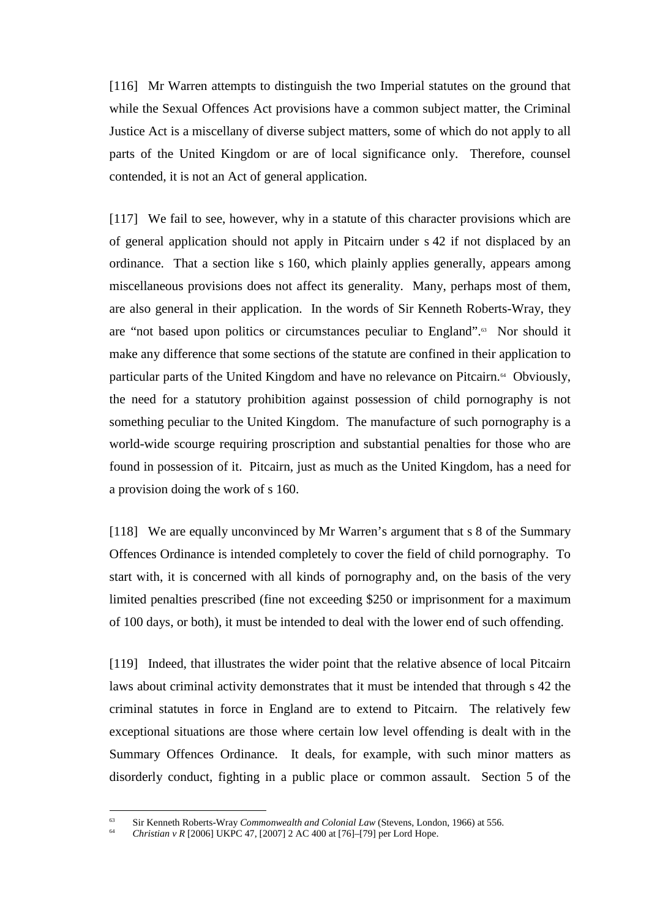[116] Mr Warren attempts to distinguish the two Imperial statutes on the ground that while the Sexual Offences Act provisions have a common subject matter, the Criminal Justice Act is a miscellany of diverse subject matters, some of which do not apply to all parts of the United Kingdom or are of local significance only. Therefore, counsel contended, it is not an Act of general application.

[117] We fail to see, however, why in a statute of this character provisions which are of general application should not apply in Pitcairn under s 42 if not displaced by an ordinance. That a section like s 160, which plainly applies generally, appears among miscellaneous provisions does not affect its generality. Many, perhaps most of them, are also general in their application. In the words of Sir Kenneth Roberts-Wray, they are "not based upon politics or circumstances peculiar to England".<sup>63</sup> Nor should it make any difference that some sections of the statute are confined in their application to particular parts of the United Kingdom and have no relevance on Pitcairn.<sup> $64$ </sup> Obviously, the need for a statutory prohibition against possession of child pornography is not something peculiar to the United Kingdom. The manufacture of such pornography is a world-wide scourge requiring proscription and substantial penalties for those who are found in possession of it. Pitcairn, just as much as the United Kingdom, has a need for a provision doing the work of s 160.

[118] We are equally unconvinced by Mr Warren's argument that s 8 of the Summary Offences Ordinance is intended completely to cover the field of child pornography. To start with, it is concerned with all kinds of pornography and, on the basis of the very limited penalties prescribed (fine not exceeding \$250 or imprisonment for a maximum of 100 days, or both), it must be intended to deal with the lower end of such offending.

[119] Indeed, that illustrates the wider point that the relative absence of local Pitcairn laws about criminal activity demonstrates that it must be intended that through s 42 the criminal statutes in force in England are to extend to Pitcairn. The relatively few exceptional situations are those where certain low level offending is dealt with in the Summary Offences Ordinance. It deals, for example, with such minor matters as disorderly conduct, fighting in a public place or common assault. Section 5 of the

<sup>63</sup> Sir Kenneth Roberts-Wray *Commonwealth and Colonial Law* (Stevens, London, 1966) at 556.

<sup>64</sup> *Christian v R* [2006] UKPC 47, [2007] 2 AC 400 at [76]–[79] per Lord Hope.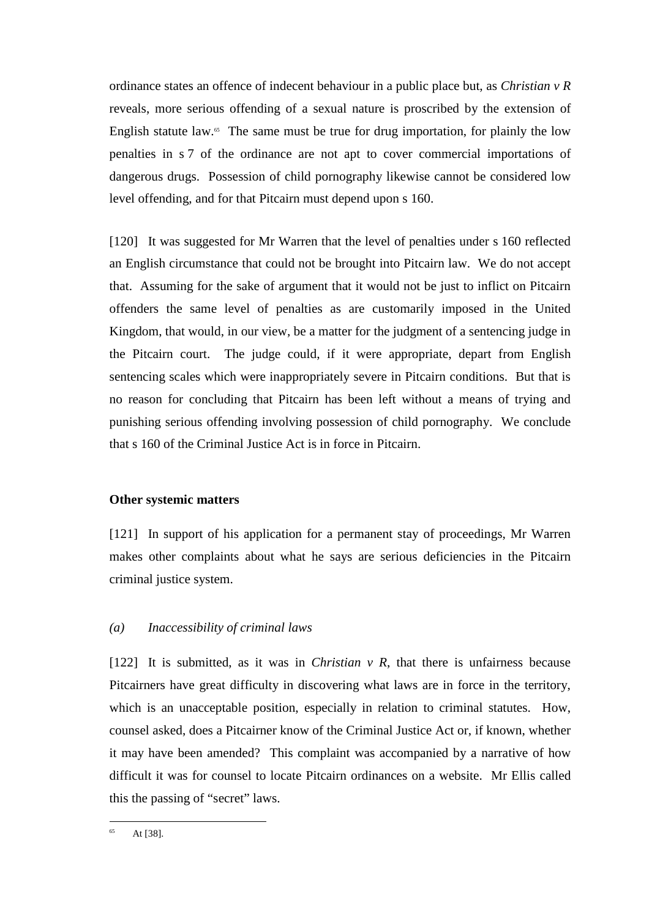ordinance states an offence of indecent behaviour in a public place but, as *Christian v R* reveals, more serious offending of a sexual nature is proscribed by the extension of English statute law.<sup>65</sup> The same must be true for drug importation, for plainly the low penalties in s 7 of the ordinance are not apt to cover commercial importations of dangerous drugs. Possession of child pornography likewise cannot be considered low level offending, and for that Pitcairn must depend upon s 160.

[120] It was suggested for Mr Warren that the level of penalties under s 160 reflected an English circumstance that could not be brought into Pitcairn law. We do not accept that. Assuming for the sake of argument that it would not be just to inflict on Pitcairn offenders the same level of penalties as are customarily imposed in the United Kingdom, that would, in our view, be a matter for the judgment of a sentencing judge in the Pitcairn court. The judge could, if it were appropriate, depart from English sentencing scales which were inappropriately severe in Pitcairn conditions. But that is no reason for concluding that Pitcairn has been left without a means of trying and punishing serious offending involving possession of child pornography. We conclude that s 160 of the Criminal Justice Act is in force in Pitcairn.

# **Other systemic matters**

[121] In support of his application for a permanent stay of proceedings, Mr Warren makes other complaints about what he says are serious deficiencies in the Pitcairn criminal justice system.

# *(a) Inaccessibility of criminal laws*

[122] It is submitted, as it was in *Christian v R*, that there is unfairness because Pitcairners have great difficulty in discovering what laws are in force in the territory, which is an unacceptable position, especially in relation to criminal statutes. How, counsel asked, does a Pitcairner know of the Criminal Justice Act or, if known, whether it may have been amended? This complaint was accompanied by a narrative of how difficult it was for counsel to locate Pitcairn ordinances on a website. Mr Ellis called this the passing of "secret" laws.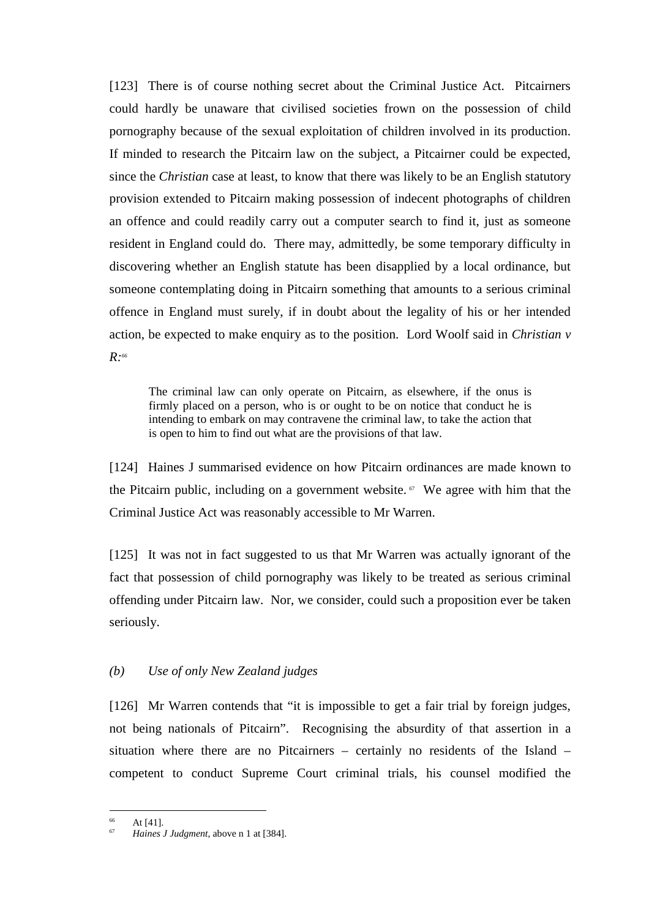[123] There is of course nothing secret about the Criminal Justice Act. Pitcairners could hardly be unaware that civilised societies frown on the possession of child pornography because of the sexual exploitation of children involved in its production. If minded to research the Pitcairn law on the subject, a Pitcairner could be expected, since the *Christian* case at least, to know that there was likely to be an English statutory provision extended to Pitcairn making possession of indecent photographs of children an offence and could readily carry out a computer search to find it, just as someone resident in England could do. There may, admittedly, be some temporary difficulty in discovering whether an English statute has been disapplied by a local ordinance, but someone contemplating doing in Pitcairn something that amounts to a serious criminal offence in England must surely, if in doubt about the legality of his or her intended action, be expected to make enquiry as to the position. Lord Woolf said in *Christian v R:<sup>66</sup>*

The criminal law can only operate on Pitcairn, as elsewhere, if the onus is firmly placed on a person, who is or ought to be on notice that conduct he is intending to embark on may contravene the criminal law, to take the action that is open to him to find out what are the provisions of that law.

[124] Haines J summarised evidence on how Pitcairn ordinances are made known to the Pitcairn public, including on a government website.  $\sigma$  We agree with him that the Criminal Justice Act was reasonably accessible to Mr Warren.

[125] It was not in fact suggested to us that Mr Warren was actually ignorant of the fact that possession of child pornography was likely to be treated as serious criminal offending under Pitcairn law. Nor, we consider, could such a proposition ever be taken seriously.

# *(b) Use of only New Zealand judges*

[126] Mr Warren contends that "it is impossible to get a fair trial by foreign judges, not being nationals of Pitcairn". Recognising the absurdity of that assertion in a situation where there are no Pitcairners – certainly no residents of the Island – competent to conduct Supreme Court criminal trials, his counsel modified the

 $\overline{a}$ At [41].

<sup>67</sup> *Haines J Judgment*, above n 1 at [384].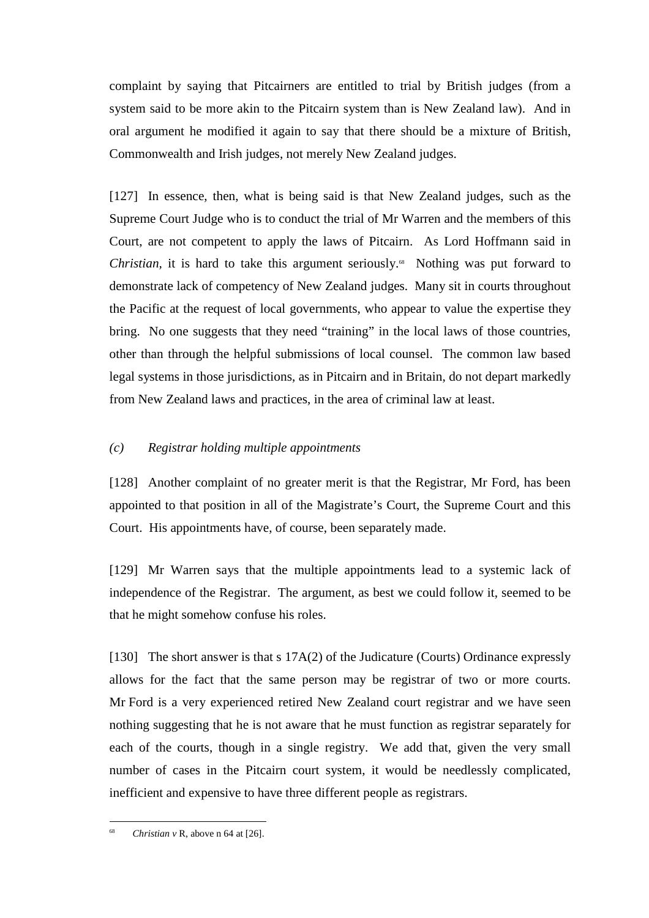complaint by saying that Pitcairners are entitled to trial by British judges (from a system said to be more akin to the Pitcairn system than is New Zealand law). And in oral argument he modified it again to say that there should be a mixture of British, Commonwealth and Irish judges, not merely New Zealand judges.

[127] In essence, then, what is being said is that New Zealand judges, such as the Supreme Court Judge who is to conduct the trial of Mr Warren and the members of this Court, are not competent to apply the laws of Pitcairn. As Lord Hoffmann said in *Christian,* it is hard to take this argument seriously.<sup>88</sup> Nothing was put forward to demonstrate lack of competency of New Zealand judges. Many sit in courts throughout the Pacific at the request of local governments, who appear to value the expertise they bring. No one suggests that they need "training" in the local laws of those countries, other than through the helpful submissions of local counsel. The common law based legal systems in those jurisdictions, as in Pitcairn and in Britain, do not depart markedly from New Zealand laws and practices, in the area of criminal law at least.

# *(c) Registrar holding multiple appointments*

[128] Another complaint of no greater merit is that the Registrar, Mr Ford, has been appointed to that position in all of the Magistrate's Court, the Supreme Court and this Court. His appointments have, of course, been separately made.

[129] Mr Warren says that the multiple appointments lead to a systemic lack of independence of the Registrar. The argument, as best we could follow it, seemed to be that he might somehow confuse his roles.

[130] The short answer is that s 17A(2) of the Judicature (Courts) Ordinance expressly allows for the fact that the same person may be registrar of two or more courts. Mr Ford is a very experienced retired New Zealand court registrar and we have seen nothing suggesting that he is not aware that he must function as registrar separately for each of the courts, though in a single registry. We add that, given the very small number of cases in the Pitcairn court system, it would be needlessly complicated, inefficient and expensive to have three different people as registrars.

<sup>68</sup> *Christian v* R, above n 64 at [26].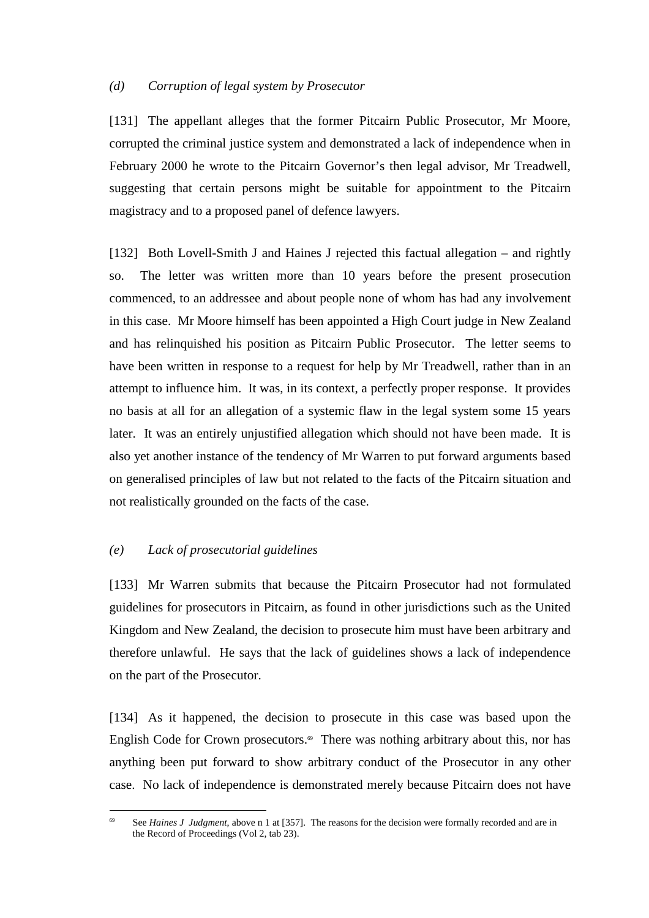### *(d) Corruption of legal system by Prosecutor*

[131] The appellant alleges that the former Pitcairn Public Prosecutor, Mr Moore, corrupted the criminal justice system and demonstrated a lack of independence when in February 2000 he wrote to the Pitcairn Governor's then legal advisor, Mr Treadwell, suggesting that certain persons might be suitable for appointment to the Pitcairn magistracy and to a proposed panel of defence lawyers.

[132] Both Lovell-Smith J and Haines J rejected this factual allegation – and rightly so. The letter was written more than 10 years before the present prosecution commenced, to an addressee and about people none of whom has had any involvement in this case. Mr Moore himself has been appointed a High Court judge in New Zealand and has relinquished his position as Pitcairn Public Prosecutor. The letter seems to have been written in response to a request for help by Mr Treadwell, rather than in an attempt to influence him. It was, in its context, a perfectly proper response. It provides no basis at all for an allegation of a systemic flaw in the legal system some 15 years later. It was an entirely unjustified allegation which should not have been made. It is also yet another instance of the tendency of Mr Warren to put forward arguments based on generalised principles of law but not related to the facts of the Pitcairn situation and not realistically grounded on the facts of the case.

# *(e) Lack of prosecutorial guidelines*

 $\overline{a}$ 

[133] Mr Warren submits that because the Pitcairn Prosecutor had not formulated guidelines for prosecutors in Pitcairn, as found in other jurisdictions such as the United Kingdom and New Zealand, the decision to prosecute him must have been arbitrary and therefore unlawful. He says that the lack of guidelines shows a lack of independence on the part of the Prosecutor.

[134] As it happened, the decision to prosecute in this case was based upon the English Code for Crown prosecutors.<sup> $\omega$ </sup> There was nothing arbitrary about this, nor has anything been put forward to show arbitrary conduct of the Prosecutor in any other case. No lack of independence is demonstrated merely because Pitcairn does not have

See *Haines J Judgment*, above n 1 at [357]. The reasons for the decision were formally recorded and are in the Record of Proceedings (Vol 2, tab 23).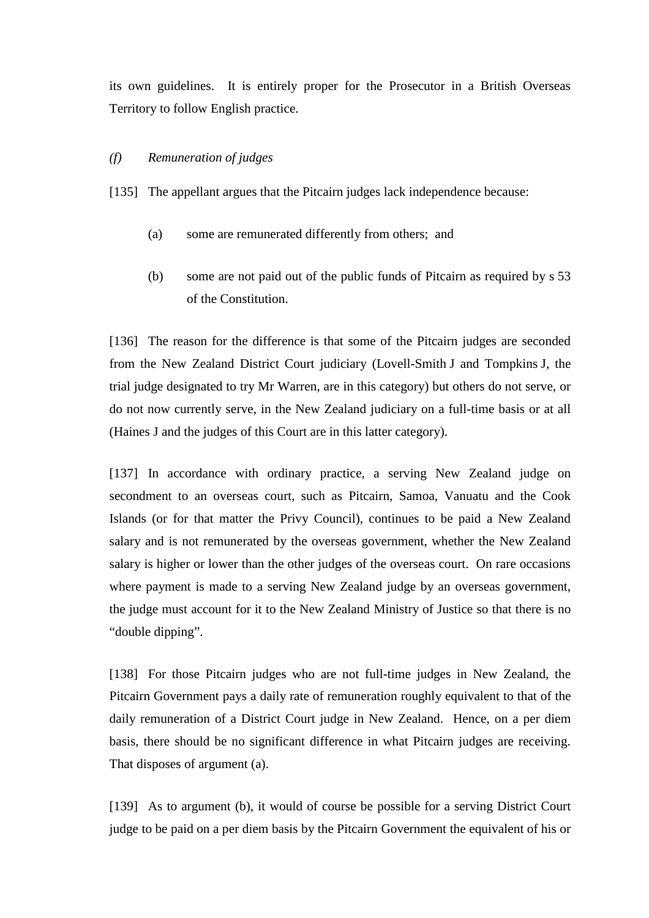its own guidelines. It is entirely proper for the Prosecutor in a British Overseas Territory to follow English practice.

# *(f) Remuneration of judges*

[135] The appellant argues that the Pitcairn judges lack independence because:

- (a) some are remunerated differently from others; and
- (b) some are not paid out of the public funds of Pitcairn as required by s 53 of the Constitution.

[136] The reason for the difference is that some of the Pitcairn judges are seconded from the New Zealand District Court judiciary (Lovell-Smith J and Tompkins J, the trial judge designated to try Mr Warren, are in this category) but others do not serve, or do not now currently serve, in the New Zealand judiciary on a full-time basis or at all (Haines J and the judges of this Court are in this latter category).

[137] In accordance with ordinary practice, a serving New Zealand judge on secondment to an overseas court, such as Pitcairn, Samoa, Vanuatu and the Cook Islands (or for that matter the Privy Council), continues to be paid a New Zealand salary and is not remunerated by the overseas government, whether the New Zealand salary is higher or lower than the other judges of the overseas court. On rare occasions where payment is made to a serving New Zealand judge by an overseas government, the judge must account for it to the New Zealand Ministry of Justice so that there is no "double dipping".

[138] For those Pitcairn judges who are not full-time judges in New Zealand, the Pitcairn Government pays a daily rate of remuneration roughly equivalent to that of the daily remuneration of a District Court judge in New Zealand. Hence, on a per diem basis, there should be no significant difference in what Pitcairn judges are receiving. That disposes of argument (a).

[139] As to argument (b), it would of course be possible for a serving District Court judge to be paid on a per diem basis by the Pitcairn Government the equivalent of his or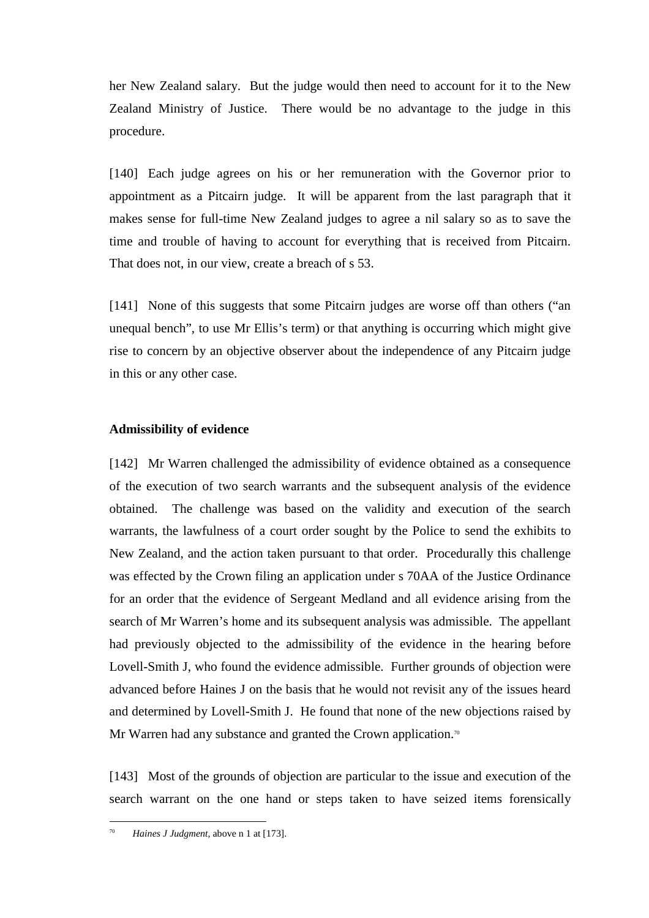her New Zealand salary. But the judge would then need to account for it to the New Zealand Ministry of Justice. There would be no advantage to the judge in this procedure.

[140] Each judge agrees on his or her remuneration with the Governor prior to appointment as a Pitcairn judge. It will be apparent from the last paragraph that it makes sense for full-time New Zealand judges to agree a nil salary so as to save the time and trouble of having to account for everything that is received from Pitcairn. That does not, in our view, create a breach of s 53.

[141] None of this suggests that some Pitcairn judges are worse off than others ("an unequal bench", to use Mr Ellis's term) or that anything is occurring which might give rise to concern by an objective observer about the independence of any Pitcairn judge in this or any other case.

### **Admissibility of evidence**

[142] Mr Warren challenged the admissibility of evidence obtained as a consequence of the execution of two search warrants and the subsequent analysis of the evidence obtained. The challenge was based on the validity and execution of the search warrants, the lawfulness of a court order sought by the Police to send the exhibits to New Zealand, and the action taken pursuant to that order. Procedurally this challenge was effected by the Crown filing an application under s 70AA of the Justice Ordinance for an order that the evidence of Sergeant Medland and all evidence arising from the search of Mr Warren's home and its subsequent analysis was admissible. The appellant had previously objected to the admissibility of the evidence in the hearing before Lovell-Smith J, who found the evidence admissible. Further grounds of objection were advanced before Haines J on the basis that he would not revisit any of the issues heard and determined by Lovell-Smith J. He found that none of the new objections raised by Mr Warren had any substance and granted the Crown application.<sup>70</sup>

[143] Most of the grounds of objection are particular to the issue and execution of the search warrant on the one hand or steps taken to have seized items forensically

<sup>70</sup> *Haines J Judgment*, above n 1 at [173].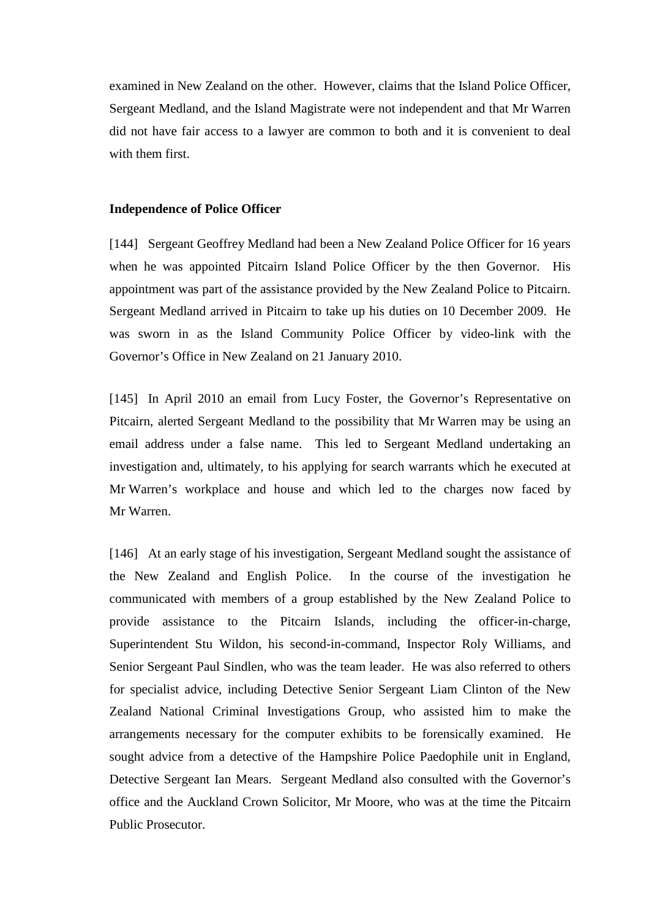examined in New Zealand on the other. However, claims that the Island Police Officer, Sergeant Medland, and the Island Magistrate were not independent and that Mr Warren did not have fair access to a lawyer are common to both and it is convenient to deal with them first.

### **Independence of Police Officer**

[144] Sergeant Geoffrey Medland had been a New Zealand Police Officer for 16 years when he was appointed Pitcairn Island Police Officer by the then Governor. His appointment was part of the assistance provided by the New Zealand Police to Pitcairn. Sergeant Medland arrived in Pitcairn to take up his duties on 10 December 2009. He was sworn in as the Island Community Police Officer by video-link with the Governor's Office in New Zealand on 21 January 2010.

[145] In April 2010 an email from Lucy Foster, the Governor's Representative on Pitcairn, alerted Sergeant Medland to the possibility that Mr Warren may be using an email address under a false name. This led to Sergeant Medland undertaking an investigation and, ultimately, to his applying for search warrants which he executed at Mr Warren's workplace and house and which led to the charges now faced by Mr Warren.

[146] At an early stage of his investigation, Sergeant Medland sought the assistance of the New Zealand and English Police. In the course of the investigation he communicated with members of a group established by the New Zealand Police to provide assistance to the Pitcairn Islands, including the officer-in-charge, Superintendent Stu Wildon, his second-in-command, Inspector Roly Williams, and Senior Sergeant Paul Sindlen, who was the team leader. He was also referred to others for specialist advice, including Detective Senior Sergeant Liam Clinton of the New Zealand National Criminal Investigations Group, who assisted him to make the arrangements necessary for the computer exhibits to be forensically examined. He sought advice from a detective of the Hampshire Police Paedophile unit in England, Detective Sergeant Ian Mears. Sergeant Medland also consulted with the Governor's office and the Auckland Crown Solicitor, Mr Moore, who was at the time the Pitcairn Public Prosecutor.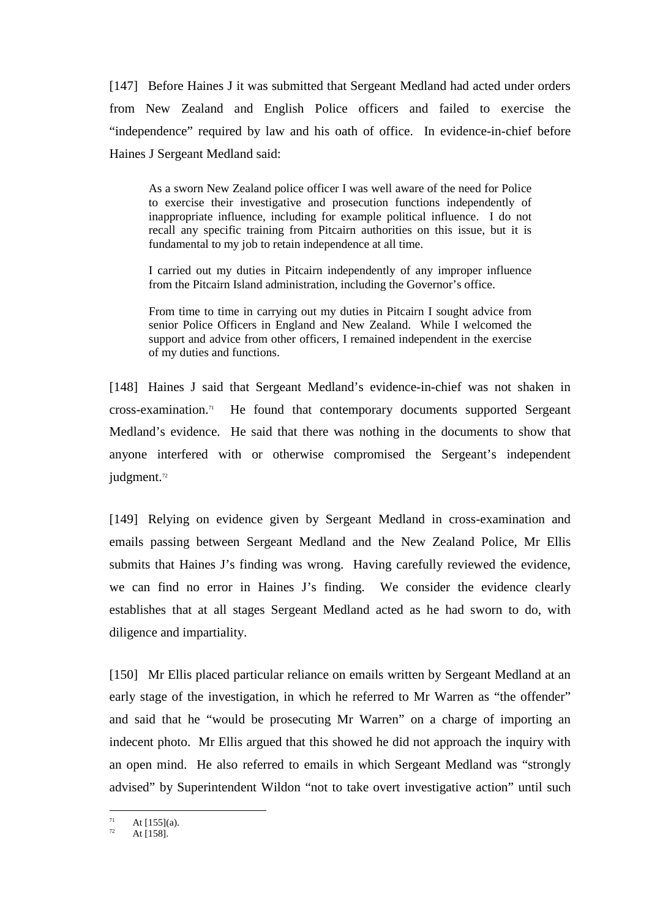[147] Before Haines J it was submitted that Sergeant Medland had acted under orders from New Zealand and English Police officers and failed to exercise the "independence" required by law and his oath of office. In evidence-in-chief before Haines J Sergeant Medland said:

As a sworn New Zealand police officer I was well aware of the need for Police to exercise their investigative and prosecution functions independently of inappropriate influence, including for example political influence. I do not recall any specific training from Pitcairn authorities on this issue, but it is fundamental to my job to retain independence at all time.

I carried out my duties in Pitcairn independently of any improper influence from the Pitcairn Island administration, including the Governor's office.

From time to time in carrying out my duties in Pitcairn I sought advice from senior Police Officers in England and New Zealand. While I welcomed the support and advice from other officers, I remained independent in the exercise of my duties and functions.

[148] Haines J said that Sergeant Medland's evidence-in-chief was not shaken in cross-examination.<sup>71</sup> He found that contemporary documents supported Sergeant Medland's evidence. He said that there was nothing in the documents to show that anyone interfered with or otherwise compromised the Sergeant's independent judgment.<sup>72</sup>

[149] Relying on evidence given by Sergeant Medland in cross-examination and emails passing between Sergeant Medland and the New Zealand Police, Mr Ellis submits that Haines J's finding was wrong. Having carefully reviewed the evidence, we can find no error in Haines J's finding. We consider the evidence clearly establishes that at all stages Sergeant Medland acted as he had sworn to do, with diligence and impartiality.

[150] Mr Ellis placed particular reliance on emails written by Sergeant Medland at an early stage of the investigation, in which he referred to Mr Warren as "the offender" and said that he "would be prosecuting Mr Warren" on a charge of importing an indecent photo. Mr Ellis argued that this showed he did not approach the inquiry with an open mind. He also referred to emails in which Sergeant Medland was "strongly advised" by Superintendent Wildon "not to take overt investigative action" until such

 $\overline{a}$  $71$  At [155](a).

At [158].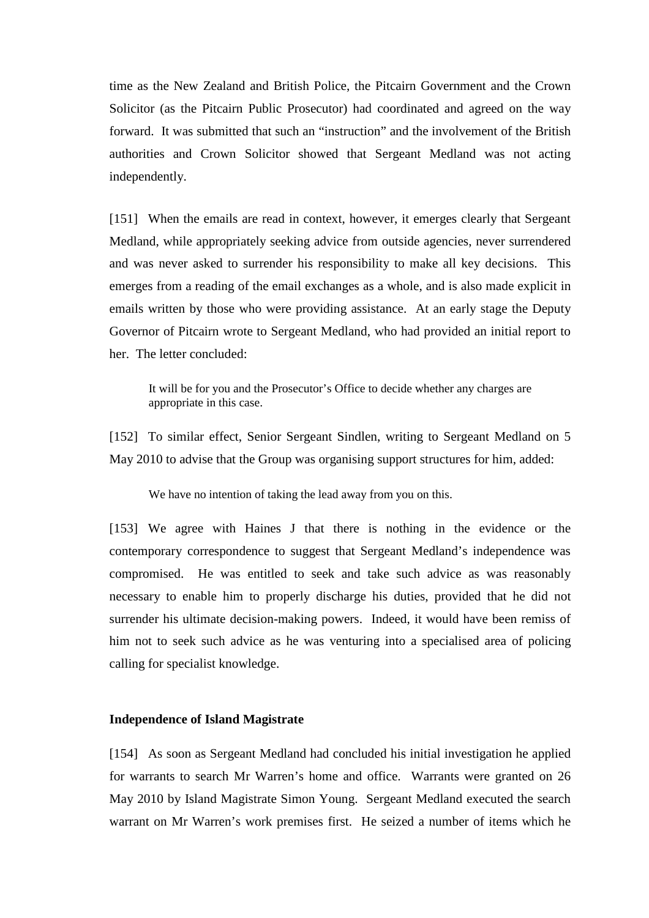time as the New Zealand and British Police, the Pitcairn Government and the Crown Solicitor (as the Pitcairn Public Prosecutor) had coordinated and agreed on the way forward. It was submitted that such an "instruction" and the involvement of the British authorities and Crown Solicitor showed that Sergeant Medland was not acting independently.

[151] When the emails are read in context, however, it emerges clearly that Sergeant Medland, while appropriately seeking advice from outside agencies, never surrendered and was never asked to surrender his responsibility to make all key decisions. This emerges from a reading of the email exchanges as a whole, and is also made explicit in emails written by those who were providing assistance. At an early stage the Deputy Governor of Pitcairn wrote to Sergeant Medland, who had provided an initial report to her. The letter concluded:

It will be for you and the Prosecutor's Office to decide whether any charges are appropriate in this case.

[152] To similar effect, Senior Sergeant Sindlen, writing to Sergeant Medland on 5 May 2010 to advise that the Group was organising support structures for him, added:

We have no intention of taking the lead away from you on this.

[153] We agree with Haines J that there is nothing in the evidence or the contemporary correspondence to suggest that Sergeant Medland's independence was compromised. He was entitled to seek and take such advice as was reasonably necessary to enable him to properly discharge his duties, provided that he did not surrender his ultimate decision-making powers. Indeed, it would have been remiss of him not to seek such advice as he was venturing into a specialised area of policing calling for specialist knowledge.

#### **Independence of Island Magistrate**

[154] As soon as Sergeant Medland had concluded his initial investigation he applied for warrants to search Mr Warren's home and office. Warrants were granted on 26 May 2010 by Island Magistrate Simon Young. Sergeant Medland executed the search warrant on Mr Warren's work premises first. He seized a number of items which he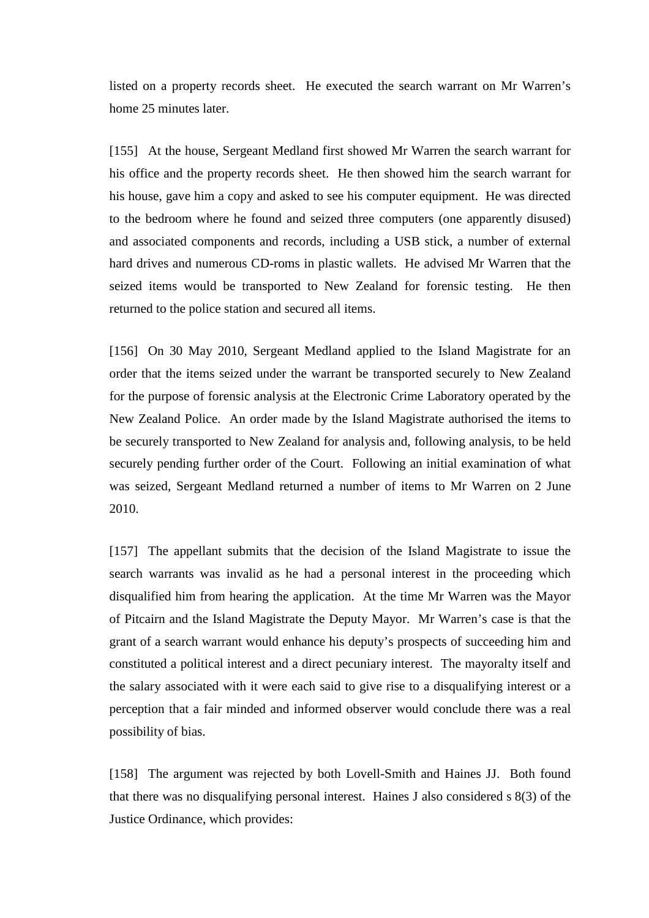listed on a property records sheet. He executed the search warrant on Mr Warren's home 25 minutes later.

[155] At the house, Sergeant Medland first showed Mr Warren the search warrant for his office and the property records sheet. He then showed him the search warrant for his house, gave him a copy and asked to see his computer equipment. He was directed to the bedroom where he found and seized three computers (one apparently disused) and associated components and records, including a USB stick, a number of external hard drives and numerous CD-roms in plastic wallets. He advised Mr Warren that the seized items would be transported to New Zealand for forensic testing. He then returned to the police station and secured all items.

[156] On 30 May 2010, Sergeant Medland applied to the Island Magistrate for an order that the items seized under the warrant be transported securely to New Zealand for the purpose of forensic analysis at the Electronic Crime Laboratory operated by the New Zealand Police. An order made by the Island Magistrate authorised the items to be securely transported to New Zealand for analysis and, following analysis, to be held securely pending further order of the Court. Following an initial examination of what was seized, Sergeant Medland returned a number of items to Mr Warren on 2 June 2010.

[157] The appellant submits that the decision of the Island Magistrate to issue the search warrants was invalid as he had a personal interest in the proceeding which disqualified him from hearing the application. At the time Mr Warren was the Mayor of Pitcairn and the Island Magistrate the Deputy Mayor. Mr Warren's case is that the grant of a search warrant would enhance his deputy's prospects of succeeding him and constituted a political interest and a direct pecuniary interest. The mayoralty itself and the salary associated with it were each said to give rise to a disqualifying interest or a perception that a fair minded and informed observer would conclude there was a real possibility of bias.

[158] The argument was rejected by both Lovell-Smith and Haines JJ. Both found that there was no disqualifying personal interest. Haines J also considered s 8(3) of the Justice Ordinance, which provides: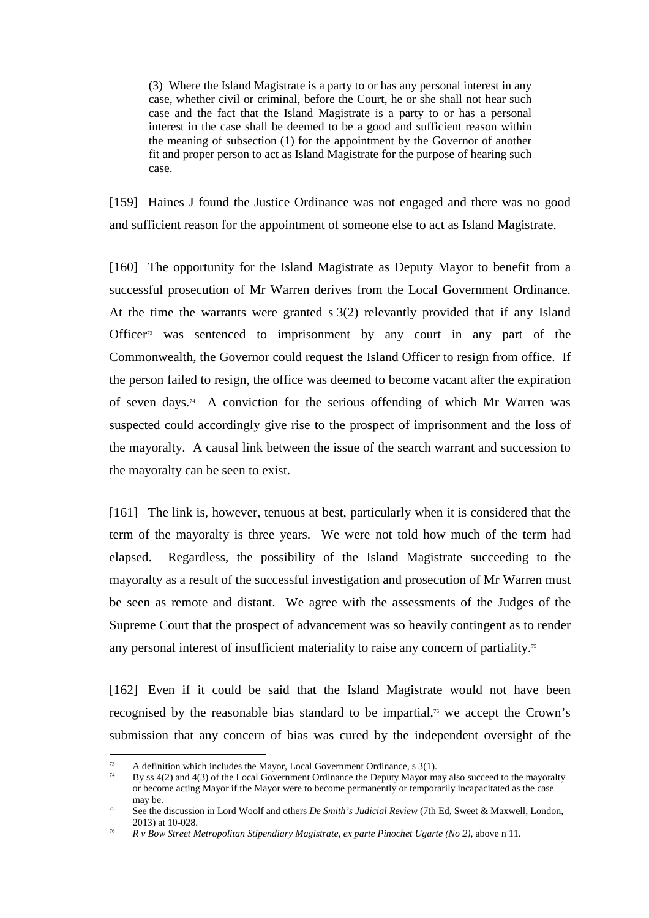(3) Where the Island Magistrate is a party to or has any personal interest in any case, whether civil or criminal, before the Court, he or she shall not hear such case and the fact that the Island Magistrate is a party to or has a personal interest in the case shall be deemed to be a good and sufficient reason within the meaning of subsection (1) for the appointment by the Governor of another fit and proper person to act as Island Magistrate for the purpose of hearing such case.

[159] Haines J found the Justice Ordinance was not engaged and there was no good and sufficient reason for the appointment of someone else to act as Island Magistrate.

[160] The opportunity for the Island Magistrate as Deputy Mayor to benefit from a successful prosecution of Mr Warren derives from the Local Government Ordinance. At the time the warrants were granted s 3(2) relevantly provided that if any Island Officer<sup>73</sup> was sentenced to imprisonment by any court in any part of the Commonwealth, the Governor could request the Island Officer to resign from office. If the person failed to resign, the office was deemed to become vacant after the expiration of seven days.<sup>74</sup> A conviction for the serious offending of which Mr Warren was suspected could accordingly give rise to the prospect of imprisonment and the loss of the mayoralty. A causal link between the issue of the search warrant and succession to the mayoralty can be seen to exist.

[161] The link is, however, tenuous at best, particularly when it is considered that the term of the mayoralty is three years. We were not told how much of the term had elapsed. Regardless, the possibility of the Island Magistrate succeeding to the mayoralty as a result of the successful investigation and prosecution of Mr Warren must be seen as remote and distant. We agree with the assessments of the Judges of the Supreme Court that the prospect of advancement was so heavily contingent as to render any personal interest of insufficient materiality to raise any concern of partiality.<sup>75</sup>

[162] Even if it could be said that the Island Magistrate would not have been recognised by the reasonable bias standard to be impartial,<sup>76</sup> we accept the Crown's submission that any concern of bias was cured by the independent oversight of the

<sup>&</sup>lt;sup>73</sup> A definition which includes the Mayor, Local Government Ordinance, s  $3(1)$ .

<sup>74</sup> By ss 4(2) and 4(3) of the Local Government Ordinance the Deputy Mayor may also succeed to the mayoralty or become acting Mayor if the Mayor were to become permanently or temporarily incapacitated as the case may be.

<sup>&</sup>lt;sup>75</sup> See the discussion in Lord Woolf and others *De Smith's Judicial Review* (7th Ed, Sweet & Maxwell, London, 2013) at 10-028.

<sup>76</sup> *R v Bow Street Metropolitan Stipendiary Magistrate, ex parte Pinochet Ugarte (No 2)*, above n 11.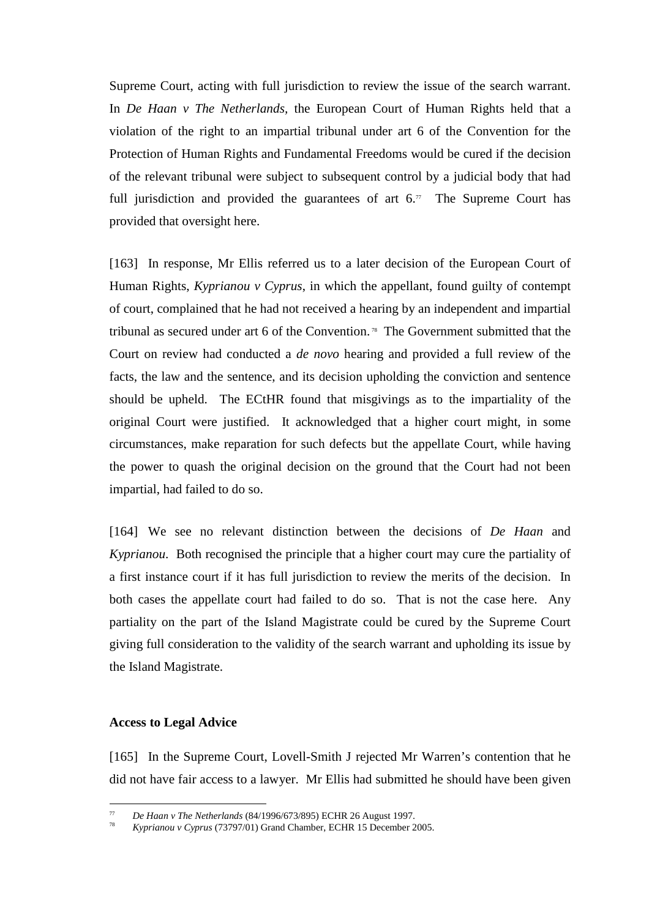Supreme Court, acting with full jurisdiction to review the issue of the search warrant. In *De Haan v The Netherlands,* the European Court of Human Rights held that a violation of the right to an impartial tribunal under art 6 of the Convention for the Protection of Human Rights and Fundamental Freedoms would be cured if the decision of the relevant tribunal were subject to subsequent control by a judicial body that had full jurisdiction and provided the guarantees of art  $6.7$ . The Supreme Court has provided that oversight here.

[163] In response, Mr Ellis referred us to a later decision of the European Court of Human Rights, *Kyprianou v Cyprus*, in which the appellant, found guilty of contempt of court, complained that he had not received a hearing by an independent and impartial tribunal as secured under art 6 of the Convention. 78 The Government submitted that the Court on review had conducted a *de novo* hearing and provided a full review of the facts, the law and the sentence, and its decision upholding the conviction and sentence should be upheld. The ECtHR found that misgivings as to the impartiality of the original Court were justified. It acknowledged that a higher court might, in some circumstances, make reparation for such defects but the appellate Court, while having the power to quash the original decision on the ground that the Court had not been impartial, had failed to do so.

[164] We see no relevant distinction between the decisions of *De Haan* and *Kyprianou*. Both recognised the principle that a higher court may cure the partiality of a first instance court if it has full jurisdiction to review the merits of the decision. In both cases the appellate court had failed to do so. That is not the case here. Any partiality on the part of the Island Magistrate could be cured by the Supreme Court giving full consideration to the validity of the search warrant and upholding its issue by the Island Magistrate.

### **Access to Legal Advice**

 $\overline{a}$ 

[165] In the Supreme Court, Lovell-Smith J rejected Mr Warren's contention that he did not have fair access to a lawyer. Mr Ellis had submitted he should have been given

<sup>77</sup> *De Haan v The Netherlands* (84/1996/673/895) ECHR 26 August 1997.

<sup>78</sup> *Kyprianou v Cyprus* (73797/01) Grand Chamber, ECHR 15 December 2005.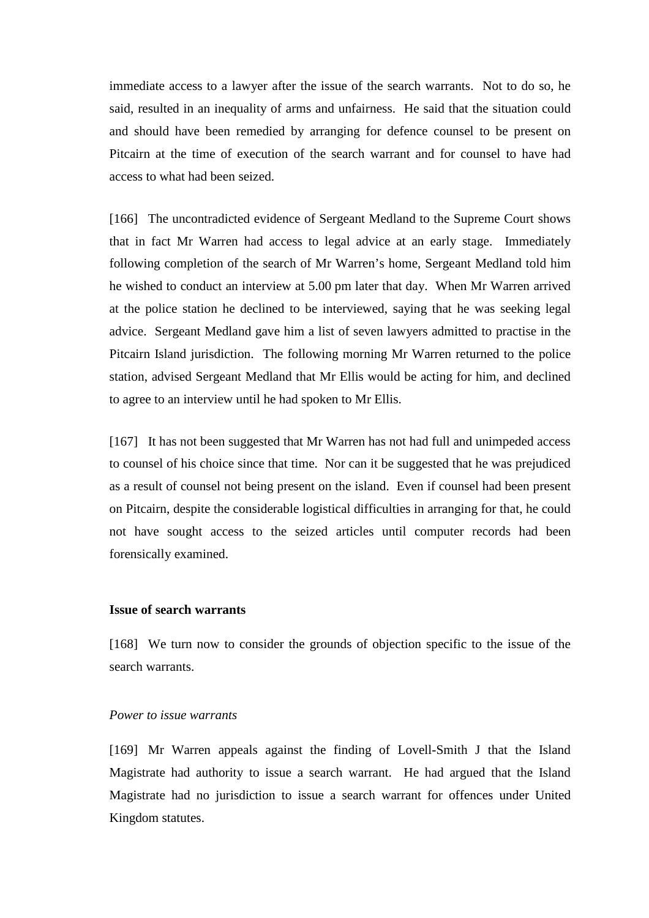immediate access to a lawyer after the issue of the search warrants. Not to do so, he said, resulted in an inequality of arms and unfairness. He said that the situation could and should have been remedied by arranging for defence counsel to be present on Pitcairn at the time of execution of the search warrant and for counsel to have had access to what had been seized.

[166] The uncontradicted evidence of Sergeant Medland to the Supreme Court shows that in fact Mr Warren had access to legal advice at an early stage. Immediately following completion of the search of Mr Warren's home, Sergeant Medland told him he wished to conduct an interview at 5.00 pm later that day. When Mr Warren arrived at the police station he declined to be interviewed, saying that he was seeking legal advice. Sergeant Medland gave him a list of seven lawyers admitted to practise in the Pitcairn Island jurisdiction. The following morning Mr Warren returned to the police station, advised Sergeant Medland that Mr Ellis would be acting for him, and declined to agree to an interview until he had spoken to Mr Ellis.

[167] It has not been suggested that Mr Warren has not had full and unimpeded access to counsel of his choice since that time. Nor can it be suggested that he was prejudiced as a result of counsel not being present on the island. Even if counsel had been present on Pitcairn, despite the considerable logistical difficulties in arranging for that, he could not have sought access to the seized articles until computer records had been forensically examined.

### **Issue of search warrants**

[168] We turn now to consider the grounds of objection specific to the issue of the search warrants.

#### *Power to issue warrants*

[169] Mr Warren appeals against the finding of Lovell-Smith J that the Island Magistrate had authority to issue a search warrant. He had argued that the Island Magistrate had no jurisdiction to issue a search warrant for offences under United Kingdom statutes.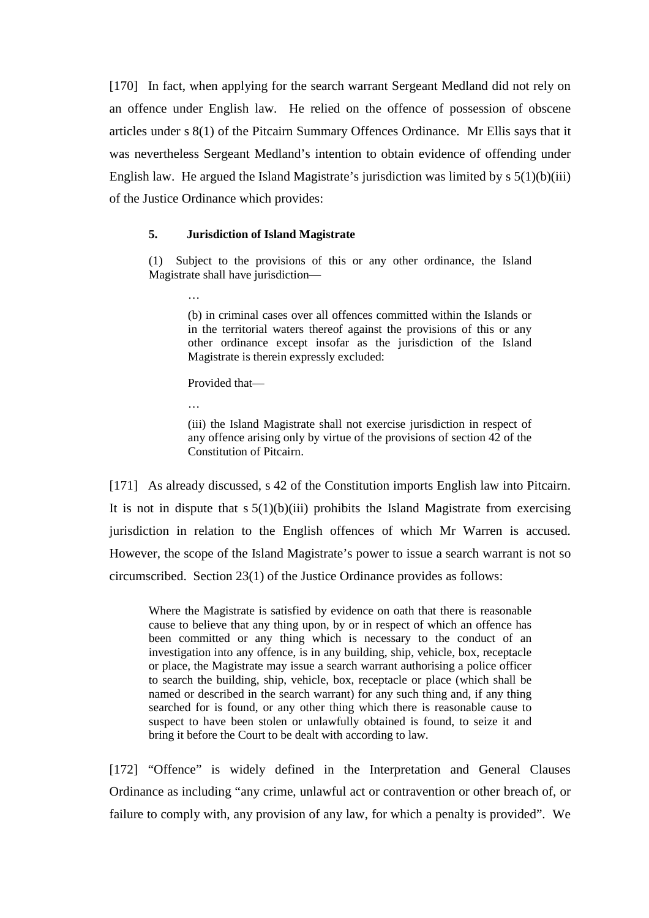[170] In fact, when applying for the search warrant Sergeant Medland did not rely on an offence under English law. He relied on the offence of possession of obscene articles under s 8(1) of the Pitcairn Summary Offences Ordinance. Mr Ellis says that it was nevertheless Sergeant Medland's intention to obtain evidence of offending under English law. He argued the Island Magistrate's jurisdiction was limited by  $s \frac{5(1)}{6}$  (iii) of the Justice Ordinance which provides:

#### **5. Jurisdiction of Island Magistrate**

(1) Subject to the provisions of this or any other ordinance, the Island Magistrate shall have jurisdiction—

> (b) in criminal cases over all offences committed within the Islands or in the territorial waters thereof against the provisions of this or any other ordinance except insofar as the jurisdiction of the Island Magistrate is therein expressly excluded:

Provided that—

…

…

(iii) the Island Magistrate shall not exercise jurisdiction in respect of any offence arising only by virtue of the provisions of section 42 of the Constitution of Pitcairn.

[171] As already discussed, s 42 of the Constitution imports English law into Pitcairn. It is not in dispute that  $s 5(1)(b)(iii)$  prohibits the Island Magistrate from exercising jurisdiction in relation to the English offences of which Mr Warren is accused. However, the scope of the Island Magistrate's power to issue a search warrant is not so circumscribed. Section 23(1) of the Justice Ordinance provides as follows:

Where the Magistrate is satisfied by evidence on oath that there is reasonable cause to believe that any thing upon, by or in respect of which an offence has been committed or any thing which is necessary to the conduct of an investigation into any offence, is in any building, ship, vehicle, box, receptacle or place, the Magistrate may issue a search warrant authorising a police officer to search the building, ship, vehicle, box, receptacle or place (which shall be named or described in the search warrant) for any such thing and, if any thing searched for is found, or any other thing which there is reasonable cause to suspect to have been stolen or unlawfully obtained is found, to seize it and bring it before the Court to be dealt with according to law.

[172] "Offence" is widely defined in the Interpretation and General Clauses Ordinance as including "any crime, unlawful act or contravention or other breach of, or failure to comply with, any provision of any law, for which a penalty is provided". We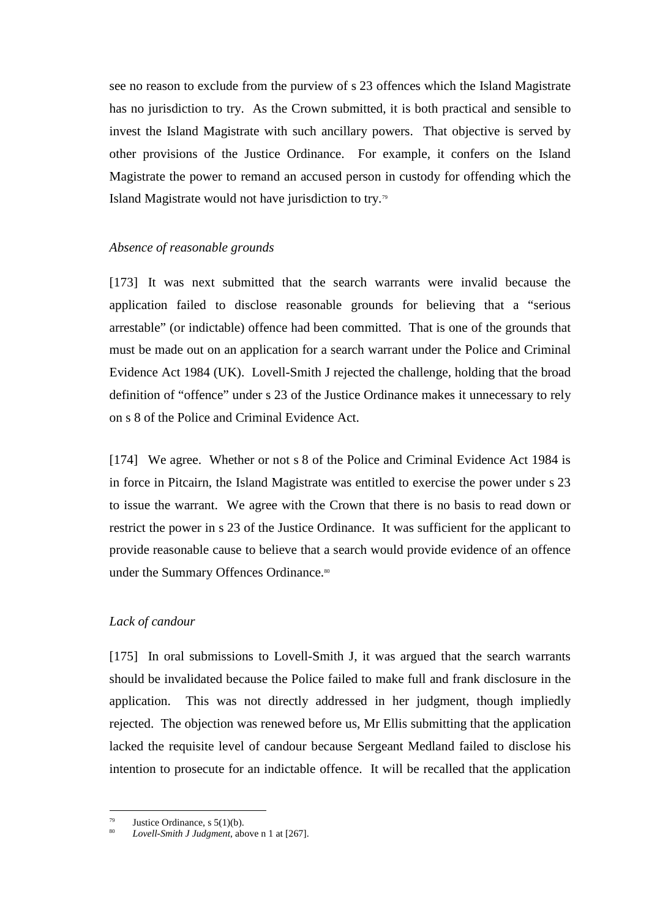see no reason to exclude from the purview of s 23 offences which the Island Magistrate has no jurisdiction to try. As the Crown submitted, it is both practical and sensible to invest the Island Magistrate with such ancillary powers. That objective is served by other provisions of the Justice Ordinance. For example, it confers on the Island Magistrate the power to remand an accused person in custody for offending which the Island Magistrate would not have jurisdiction to try.<sup>79</sup>

# *Absence of reasonable grounds*

[173] It was next submitted that the search warrants were invalid because the application failed to disclose reasonable grounds for believing that a "serious arrestable" (or indictable) offence had been committed. That is one of the grounds that must be made out on an application for a search warrant under the Police and Criminal Evidence Act 1984 (UK). Lovell-Smith J rejected the challenge, holding that the broad definition of "offence" under s 23 of the Justice Ordinance makes it unnecessary to rely on s 8 of the Police and Criminal Evidence Act.

[174] We agree. Whether or not s 8 of the Police and Criminal Evidence Act 1984 is in force in Pitcairn, the Island Magistrate was entitled to exercise the power under s 23 to issue the warrant. We agree with the Crown that there is no basis to read down or restrict the power in s 23 of the Justice Ordinance. It was sufficient for the applicant to provide reasonable cause to believe that a search would provide evidence of an offence under the Summary Offences Ordinance.<sup>80</sup>

### *Lack of candour*

[175] In oral submissions to Lovell-Smith J, it was argued that the search warrants should be invalidated because the Police failed to make full and frank disclosure in the application. This was not directly addressed in her judgment, though impliedly rejected. The objection was renewed before us, Mr Ellis submitting that the application lacked the requisite level of candour because Sergeant Medland failed to disclose his intention to prosecute for an indictable offence. It will be recalled that the application

Justice Ordinance, s  $5(1)(b)$ .

<sup>80</sup> *Lovell-Smith J Judgment*, above n 1 at [267].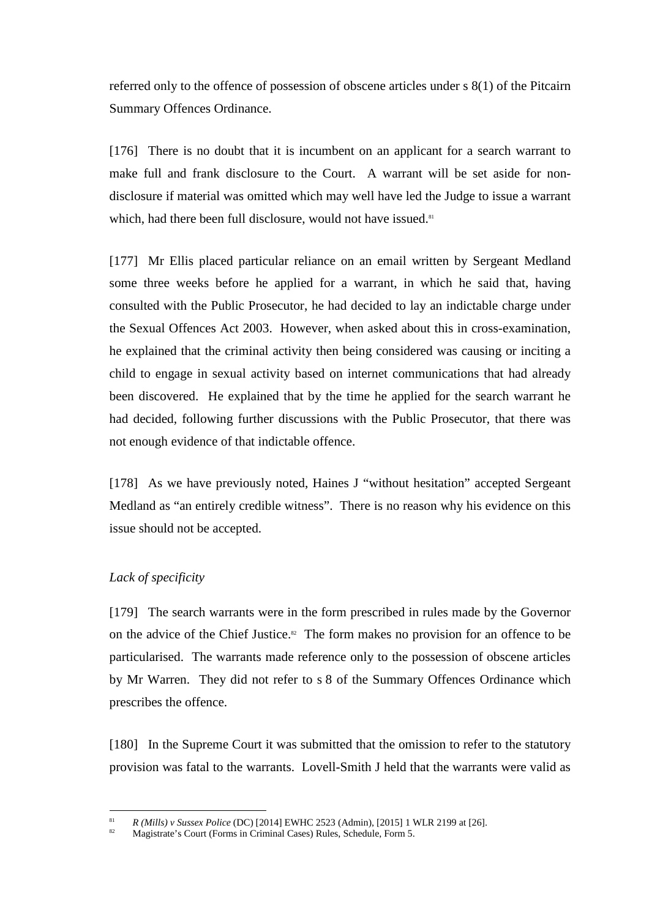referred only to the offence of possession of obscene articles under s 8(1) of the Pitcairn Summary Offences Ordinance.

[176] There is no doubt that it is incumbent on an applicant for a search warrant to make full and frank disclosure to the Court. A warrant will be set aside for nondisclosure if material was omitted which may well have led the Judge to issue a warrant which, had there been full disclosure, would not have issued.<sup>81</sup>

[177] Mr Ellis placed particular reliance on an email written by Sergeant Medland some three weeks before he applied for a warrant, in which he said that, having consulted with the Public Prosecutor, he had decided to lay an indictable charge under the Sexual Offences Act 2003. However, when asked about this in cross-examination, he explained that the criminal activity then being considered was causing or inciting a child to engage in sexual activity based on internet communications that had already been discovered. He explained that by the time he applied for the search warrant he had decided, following further discussions with the Public Prosecutor, that there was not enough evidence of that indictable offence.

[178] As we have previously noted, Haines J "without hesitation" accepted Sergeant Medland as "an entirely credible witness". There is no reason why his evidence on this issue should not be accepted.

# *Lack of specificity*

 $\overline{a}$ 

[179] The search warrants were in the form prescribed in rules made by the Governor on the advice of the Chief Justice.<sup>82</sup> The form makes no provision for an offence to be particularised. The warrants made reference only to the possession of obscene articles by Mr Warren. They did not refer to s 8 of the Summary Offences Ordinance which prescribes the offence.

[180] In the Supreme Court it was submitted that the omission to refer to the statutory provision was fatal to the warrants. Lovell-Smith J held that the warrants were valid as

<sup>81</sup> *R (Mills) v Sussex Police* (DC) [2014] EWHC 2523 (Admin), [2015] 1 WLR 2199 at [26].

<sup>82</sup> Magistrate's Court (Forms in Criminal Cases) Rules, Schedule, Form 5.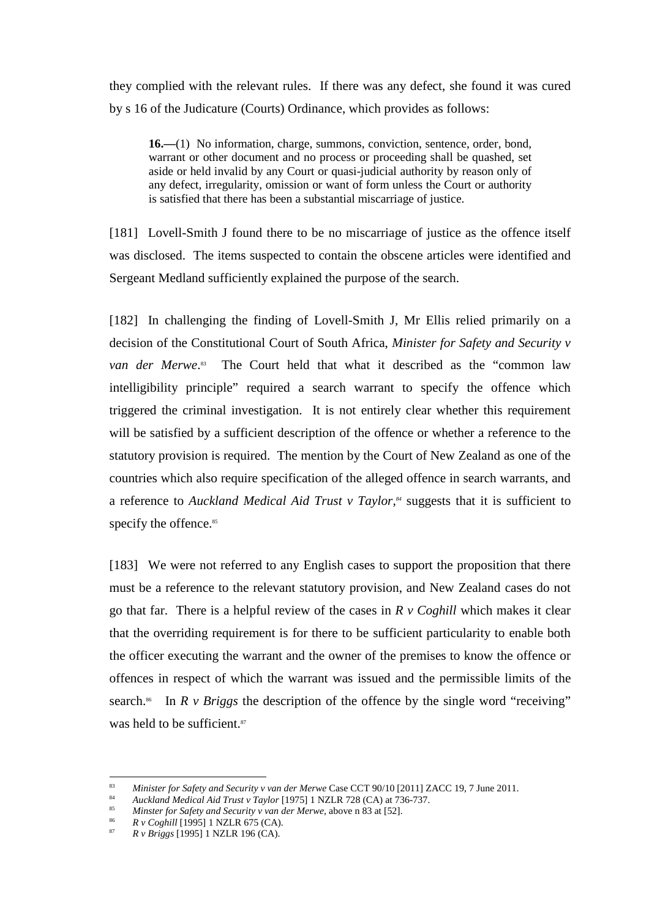they complied with the relevant rules. If there was any defect, she found it was cured by s 16 of the Judicature (Courts) Ordinance, which provides as follows:

**16.—**(1) No information, charge, summons, conviction, sentence, order, bond, warrant or other document and no process or proceeding shall be quashed, set aside or held invalid by any Court or quasi-judicial authority by reason only of any defect, irregularity, omission or want of form unless the Court or authority is satisfied that there has been a substantial miscarriage of justice.

[181] Lovell-Smith J found there to be no miscarriage of justice as the offence itself was disclosed. The items suspected to contain the obscene articles were identified and Sergeant Medland sufficiently explained the purpose of the search.

[182] In challenging the finding of Lovell-Smith J, Mr Ellis relied primarily on a decision of the Constitutional Court of South Africa, *Minister for Safety and Security v van der Merwe*. <sup>83</sup> The Court held that what it described as the "common law intelligibility principle" required a search warrant to specify the offence which triggered the criminal investigation. It is not entirely clear whether this requirement will be satisfied by a sufficient description of the offence or whether a reference to the statutory provision is required. The mention by the Court of New Zealand as one of the countries which also require specification of the alleged offence in search warrants, and a reference to *Auckland Medical Aid Trust v Taylor,<sup>84</sup>* suggests that it is sufficient to specify the offence.<sup>85</sup>

[183] We were not referred to any English cases to support the proposition that there must be a reference to the relevant statutory provision, and New Zealand cases do not go that far. There is a helpful review of the cases in *R v Coghill* which makes it clear that the overriding requirement is for there to be sufficient particularity to enable both the officer executing the warrant and the owner of the premises to know the offence or offences in respect of which the warrant was issued and the permissible limits of the search.<sup>86</sup> In  $R \vee B$  *riggs* the description of the offence by the single word "receiving" was held to be sufficient.<sup>87</sup>

86 *R v Coghill* [1995] 1 NZLR 675 (CA).

<sup>83</sup> *Minister for Safety and Security v van der Merwe* Case CCT 90/10 [2011] ZACC 19, 7 June 2011.

<sup>84</sup> *Auckland Medical Aid Trust v Taylor* [1975] 1 NZLR 728 (CA) at 736-737.

<sup>85</sup> *Minster for Safety and Security v van der Merwe*, above n 83 at [52].

<sup>87</sup> *R v Briggs* [1995] 1 NZLR 196 (CA).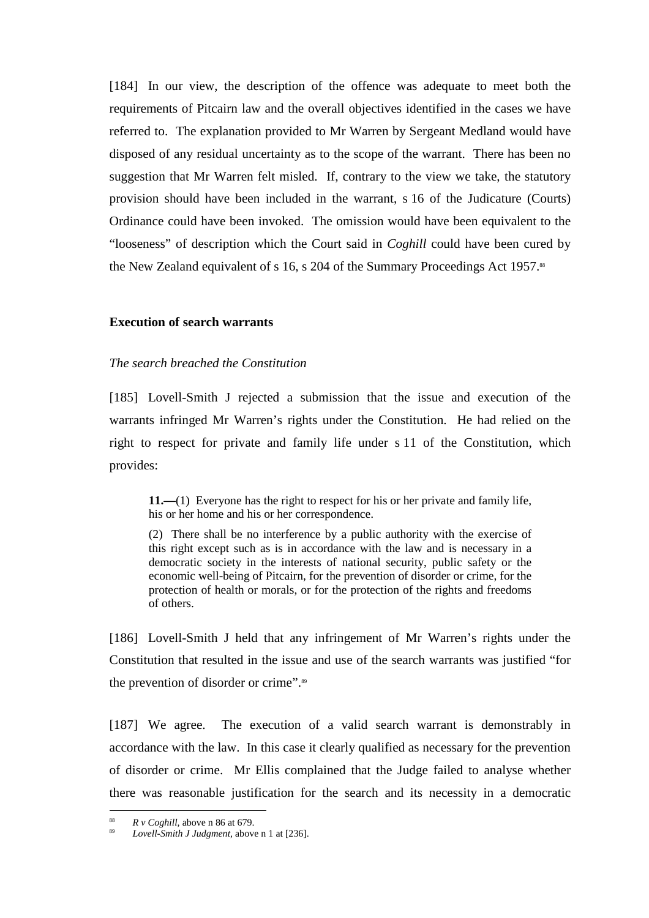[184] In our view, the description of the offence was adequate to meet both the requirements of Pitcairn law and the overall objectives identified in the cases we have referred to. The explanation provided to Mr Warren by Sergeant Medland would have disposed of any residual uncertainty as to the scope of the warrant. There has been no suggestion that Mr Warren felt misled. If, contrary to the view we take, the statutory provision should have been included in the warrant, s 16 of the Judicature (Courts) Ordinance could have been invoked. The omission would have been equivalent to the "looseness" of description which the Court said in *Coghill* could have been cured by the New Zealand equivalent of s 16, s 204 of the Summary Proceedings Act 1957.<sup>88</sup>

# **Execution of search warrants**

### *The search breached the Constitution*

[185] Lovell-Smith J rejected a submission that the issue and execution of the warrants infringed Mr Warren's rights under the Constitution. He had relied on the right to respect for private and family life under s 11 of the Constitution, which provides:

**11.—**(1) Everyone has the right to respect for his or her private and family life, his or her home and his or her correspondence.

(2) There shall be no interference by a public authority with the exercise of this right except such as is in accordance with the law and is necessary in a democratic society in the interests of national security, public safety or the economic well-being of Pitcairn, for the prevention of disorder or crime, for the protection of health or morals, or for the protection of the rights and freedoms of others.

[186] Lovell-Smith J held that any infringement of Mr Warren's rights under the Constitution that resulted in the issue and use of the search warrants was justified "for the prevention of disorder or crime".<sup>89</sup>

[187] We agree. The execution of a valid search warrant is demonstrably in accordance with the law. In this case it clearly qualified as necessary for the prevention of disorder or crime. Mr Ellis complained that the Judge failed to analyse whether there was reasonable justification for the search and its necessity in a democratic

<sup>88</sup> *R v Coghill*, above n 86 at 679.

<sup>89</sup> *Lovell-Smith J Judgment*, above n 1 at [236].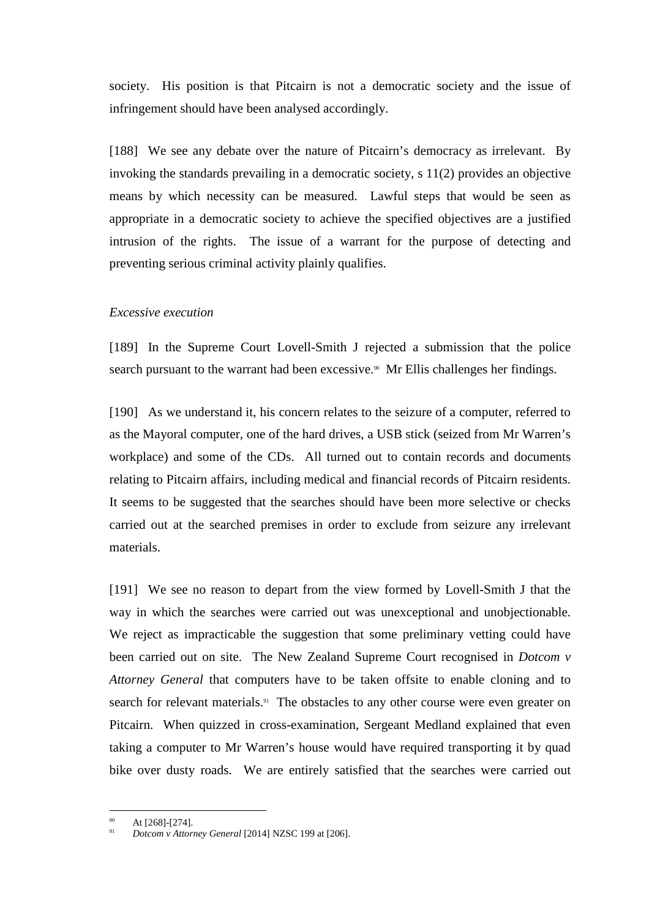society. His position is that Pitcairn is not a democratic society and the issue of infringement should have been analysed accordingly.

[188] We see any debate over the nature of Pitcairn's democracy as irrelevant. By invoking the standards prevailing in a democratic society, s 11(2) provides an objective means by which necessity can be measured. Lawful steps that would be seen as appropriate in a democratic society to achieve the specified objectives are a justified intrusion of the rights. The issue of a warrant for the purpose of detecting and preventing serious criminal activity plainly qualifies.

# *Excessive execution*

[189] In the Supreme Court Lovell-Smith J rejected a submission that the police search pursuant to the warrant had been excessive.<sup> $90$ </sup> Mr Ellis challenges her findings.

[190] As we understand it, his concern relates to the seizure of a computer, referred to as the Mayoral computer, one of the hard drives, a USB stick (seized from Mr Warren's workplace) and some of the CDs. All turned out to contain records and documents relating to Pitcairn affairs, including medical and financial records of Pitcairn residents. It seems to be suggested that the searches should have been more selective or checks carried out at the searched premises in order to exclude from seizure any irrelevant materials.

[191] We see no reason to depart from the view formed by Lovell-Smith J that the way in which the searches were carried out was unexceptional and unobjectionable. We reject as impracticable the suggestion that some preliminary vetting could have been carried out on site. The New Zealand Supreme Court recognised in *Dotcom v Attorney General* that computers have to be taken offsite to enable cloning and to search for relevant materials.<sup>91</sup> The obstacles to any other course were even greater on Pitcairn. When quizzed in cross-examination, Sergeant Medland explained that even taking a computer to Mr Warren's house would have required transporting it by quad bike over dusty roads. We are entirely satisfied that the searches were carried out

At [268]-[274].

<sup>91</sup> *Dotcom v Attorney General* [2014] NZSC 199 at [206].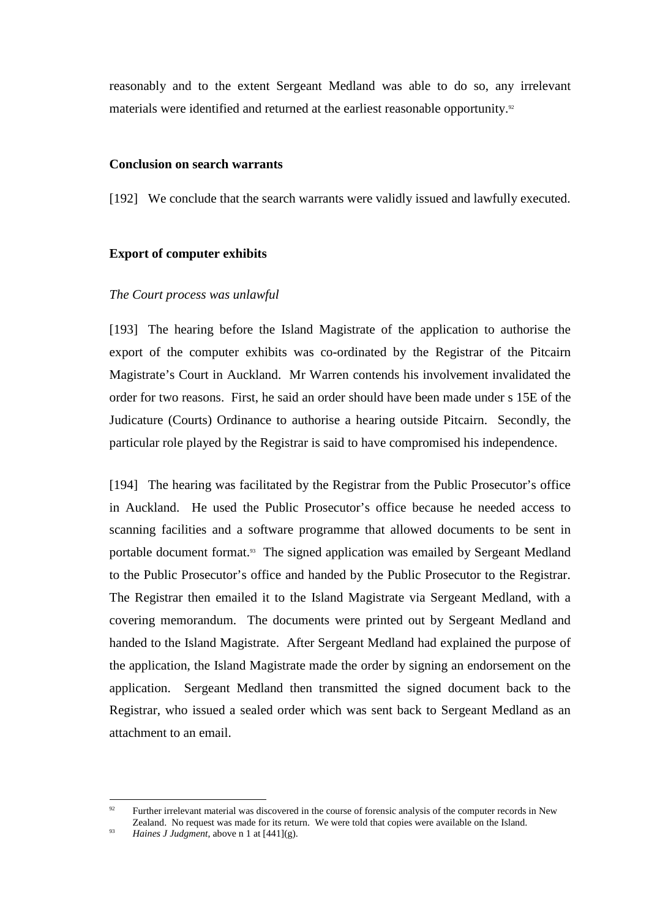reasonably and to the extent Sergeant Medland was able to do so, any irrelevant materials were identified and returned at the earliest reasonable opportunity.<sup>92</sup>

# **Conclusion on search warrants**

[192] We conclude that the search warrants were validly issued and lawfully executed.

# **Export of computer exhibits**

# *The Court process was unlawful*

[193] The hearing before the Island Magistrate of the application to authorise the export of the computer exhibits was co-ordinated by the Registrar of the Pitcairn Magistrate's Court in Auckland. Mr Warren contends his involvement invalidated the order for two reasons. First, he said an order should have been made under s 15E of the Judicature (Courts) Ordinance to authorise a hearing outside Pitcairn. Secondly, the particular role played by the Registrar is said to have compromised his independence.

[194] The hearing was facilitated by the Registrar from the Public Prosecutor's office in Auckland. He used the Public Prosecutor's office because he needed access to scanning facilities and a software programme that allowed documents to be sent in portable document format.93 The signed application was emailed by Sergeant Medland to the Public Prosecutor's office and handed by the Public Prosecutor to the Registrar. The Registrar then emailed it to the Island Magistrate via Sergeant Medland, with a covering memorandum. The documents were printed out by Sergeant Medland and handed to the Island Magistrate. After Sergeant Medland had explained the purpose of the application, the Island Magistrate made the order by signing an endorsement on the application. Sergeant Medland then transmitted the signed document back to the Registrar, who issued a sealed order which was sent back to Sergeant Medland as an attachment to an email.

<sup>&</sup>lt;sup>92</sup> Further irrelevant material was discovered in the course of forensic analysis of the computer records in New Zealand. No request was made for its return. We were told that copies were available on the Island.

<sup>93</sup> *Haines J Judgment*, above n 1 at [441](g).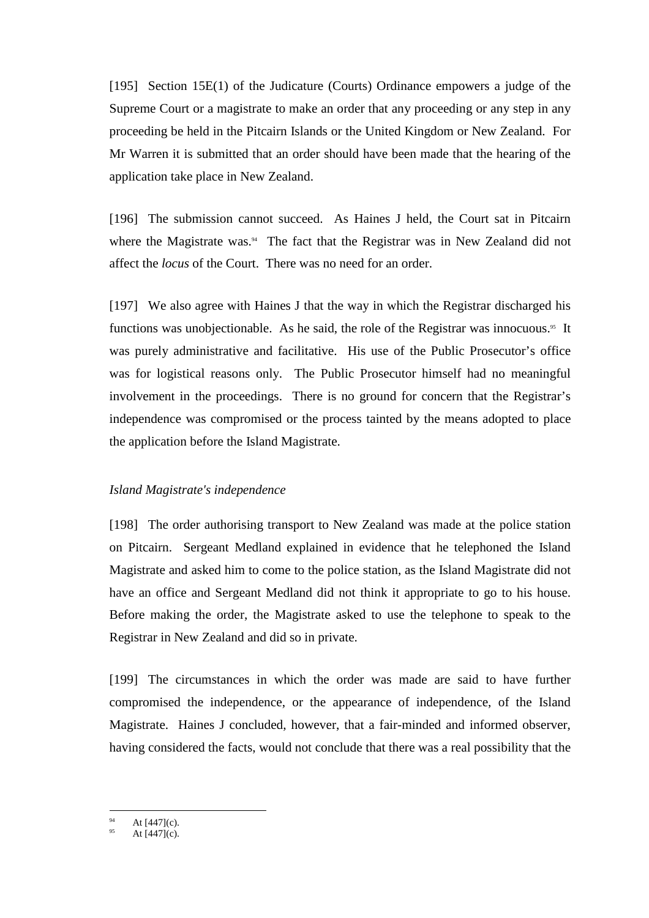[195] Section 15E(1) of the Judicature (Courts) Ordinance empowers a judge of the Supreme Court or a magistrate to make an order that any proceeding or any step in any proceeding be held in the Pitcairn Islands or the United Kingdom or New Zealand. For Mr Warren it is submitted that an order should have been made that the hearing of the application take place in New Zealand.

[196] The submission cannot succeed. As Haines J held, the Court sat in Pitcairn where the Magistrate was. $4$  The fact that the Registrar was in New Zealand did not affect the *locus* of the Court. There was no need for an order.

[197] We also agree with Haines J that the way in which the Registrar discharged his functions was unobjectionable. As he said, the role of the Registrar was innocuous.<sup>95</sup> It was purely administrative and facilitative. His use of the Public Prosecutor's office was for logistical reasons only. The Public Prosecutor himself had no meaningful involvement in the proceedings. There is no ground for concern that the Registrar's independence was compromised or the process tainted by the means adopted to place the application before the Island Magistrate.

### *Island Magistrate's independence*

[198] The order authorising transport to New Zealand was made at the police station on Pitcairn. Sergeant Medland explained in evidence that he telephoned the Island Magistrate and asked him to come to the police station, as the Island Magistrate did not have an office and Sergeant Medland did not think it appropriate to go to his house. Before making the order, the Magistrate asked to use the telephone to speak to the Registrar in New Zealand and did so in private.

[199] The circumstances in which the order was made are said to have further compromised the independence, or the appearance of independence, of the Island Magistrate. Haines J concluded, however, that a fair-minded and informed observer, having considered the facts, would not conclude that there was a real possibility that the

 $\overline{a}$ At  $[447]$ (c).

At  $[447]$ (c).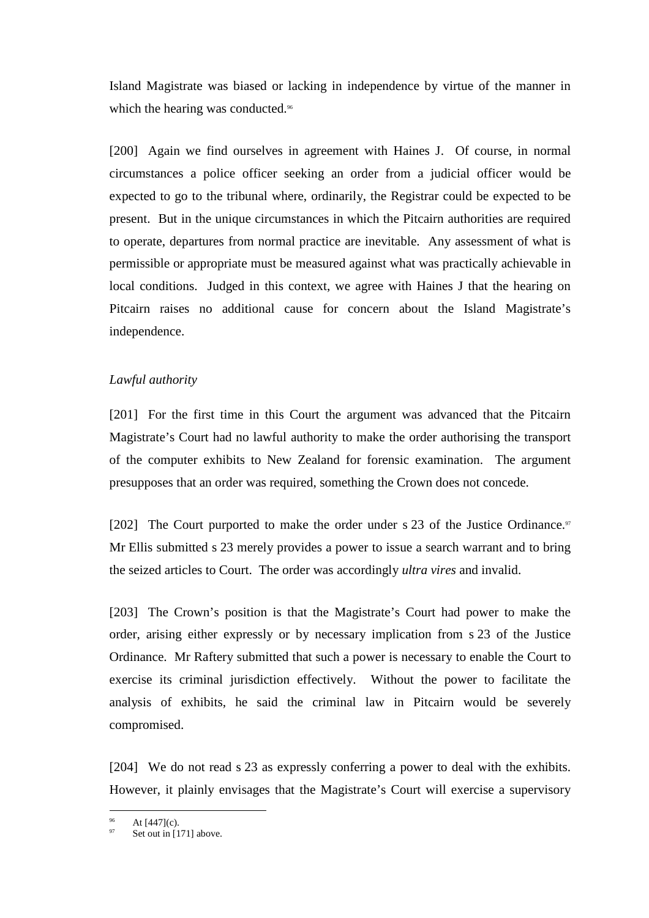Island Magistrate was biased or lacking in independence by virtue of the manner in which the hearing was conducted.<sup>96</sup>

[200] Again we find ourselves in agreement with Haines J. Of course, in normal circumstances a police officer seeking an order from a judicial officer would be expected to go to the tribunal where, ordinarily, the Registrar could be expected to be present. But in the unique circumstances in which the Pitcairn authorities are required to operate, departures from normal practice are inevitable. Any assessment of what is permissible or appropriate must be measured against what was practically achievable in local conditions. Judged in this context, we agree with Haines J that the hearing on Pitcairn raises no additional cause for concern about the Island Magistrate's independence.

# *Lawful authority*

[201] For the first time in this Court the argument was advanced that the Pitcairn Magistrate's Court had no lawful authority to make the order authorising the transport of the computer exhibits to New Zealand for forensic examination. The argument presupposes that an order was required, something the Crown does not concede.

[202] The Court purported to make the order under s 23 of the Justice Ordinance.<sup>97</sup> Mr Ellis submitted s 23 merely provides a power to issue a search warrant and to bring the seized articles to Court. The order was accordingly *ultra vires* and invalid.

[203] The Crown's position is that the Magistrate's Court had power to make the order, arising either expressly or by necessary implication from s 23 of the Justice Ordinance. Mr Raftery submitted that such a power is necessary to enable the Court to exercise its criminal jurisdiction effectively. Without the power to facilitate the analysis of exhibits, he said the criminal law in Pitcairn would be severely compromised.

[204] We do not read s 23 as expressly conferring a power to deal with the exhibits. However, it plainly envisages that the Magistrate's Court will exercise a supervisory

At  $[447]$ (c).

Set out in [171] above.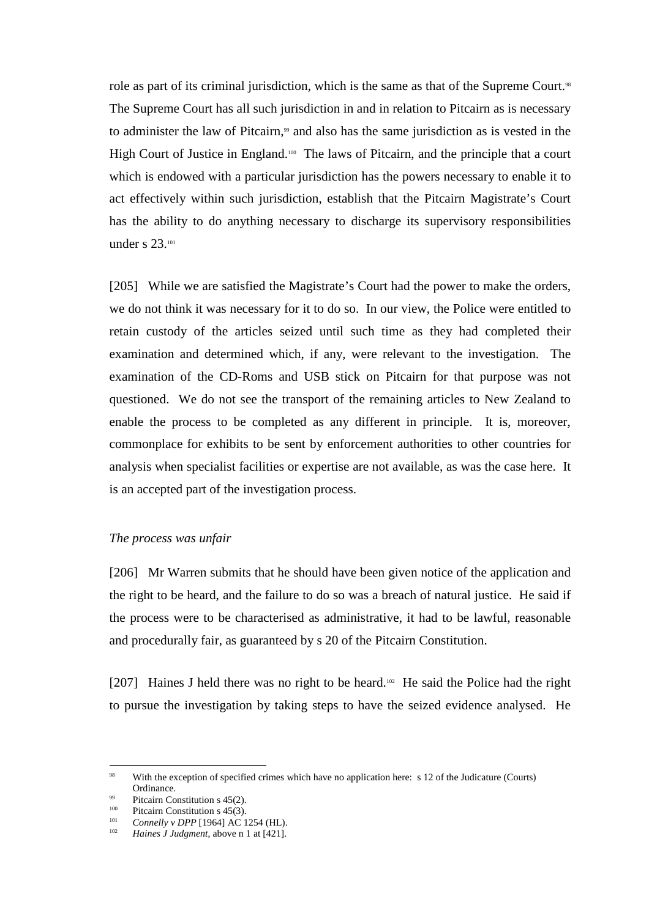role as part of its criminal jurisdiction, which is the same as that of the Supreme Court.<sup>98</sup> The Supreme Court has all such jurisdiction in and in relation to Pitcairn as is necessary to administer the law of Pitcairn,<sup>99</sup> and also has the same jurisdiction as is vested in the High Court of Justice in England.<sup>100</sup> The laws of Pitcairn, and the principle that a court which is endowed with a particular jurisdiction has the powers necessary to enable it to act effectively within such jurisdiction, establish that the Pitcairn Magistrate's Court has the ability to do anything necessary to discharge its supervisory responsibilities under s 23.<sup>101</sup>

[205] While we are satisfied the Magistrate's Court had the power to make the orders, we do not think it was necessary for it to do so. In our view, the Police were entitled to retain custody of the articles seized until such time as they had completed their examination and determined which, if any, were relevant to the investigation. The examination of the CD-Roms and USB stick on Pitcairn for that purpose was not questioned. We do not see the transport of the remaining articles to New Zealand to enable the process to be completed as any different in principle. It is, moreover, commonplace for exhibits to be sent by enforcement authorities to other countries for analysis when specialist facilities or expertise are not available, as was the case here. It is an accepted part of the investigation process.

### *The process was unfair*

[206] Mr Warren submits that he should have been given notice of the application and the right to be heard, and the failure to do so was a breach of natural justice. He said if the process were to be characterised as administrative, it had to be lawful, reasonable and procedurally fair, as guaranteed by s 20 of the Pitcairn Constitution.

[207] Haines J held there was no right to be heard.<sup>102</sup> He said the Police had the right to pursue the investigation by taking steps to have the seized evidence analysed. He

<sup>98</sup> With the exception of specified crimes which have no application here: s 12 of the Judicature (Courts) Ordinance.

<sup>&</sup>lt;sup>99</sup> Pitcairn Constitution s 45(2).

<sup>&</sup>lt;sup>100</sup> Pitcairn Constitution s 45(3).

Connelly v DPP [1964] AC 1254 (HL). 102 *Haines J Judgment*, above n 1 at [421].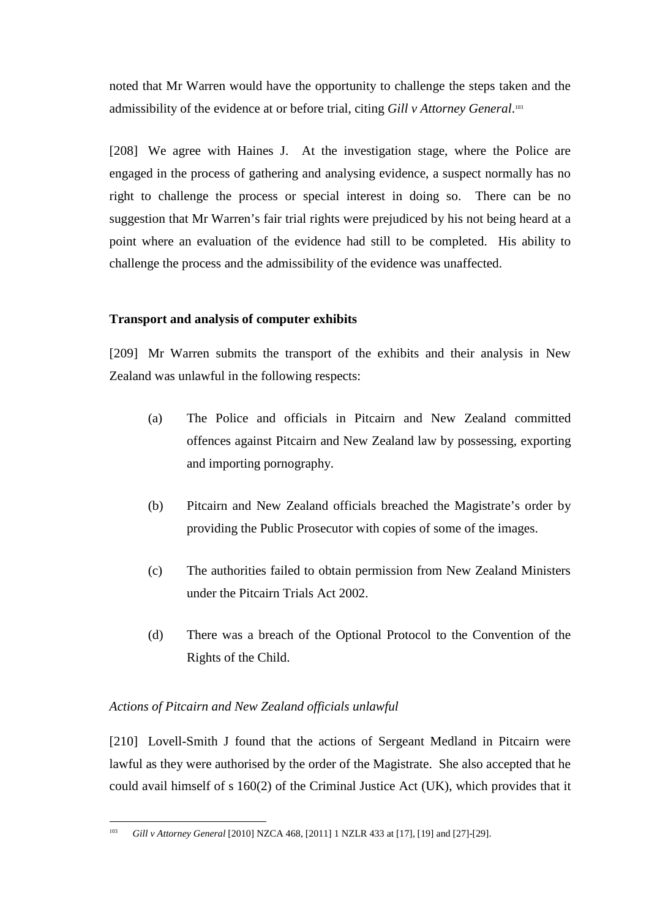noted that Mr Warren would have the opportunity to challenge the steps taken and the admissibility of the evidence at or before trial, citing *Gill v Attorney General*. 103

[208] We agree with Haines J. At the investigation stage, where the Police are engaged in the process of gathering and analysing evidence, a suspect normally has no right to challenge the process or special interest in doing so. There can be no suggestion that Mr Warren's fair trial rights were prejudiced by his not being heard at a point where an evaluation of the evidence had still to be completed. His ability to challenge the process and the admissibility of the evidence was unaffected.

# **Transport and analysis of computer exhibits**

[209] Mr Warren submits the transport of the exhibits and their analysis in New Zealand was unlawful in the following respects:

- (a) The Police and officials in Pitcairn and New Zealand committed offences against Pitcairn and New Zealand law by possessing, exporting and importing pornography.
- (b) Pitcairn and New Zealand officials breached the Magistrate's order by providing the Public Prosecutor with copies of some of the images.
- (c) The authorities failed to obtain permission from New Zealand Ministers under the Pitcairn Trials Act 2002.
- (d) There was a breach of the Optional Protocol to the Convention of the Rights of the Child.

# *Actions of Pitcairn and New Zealand officials unlawful*

[210] Lovell-Smith J found that the actions of Sergeant Medland in Pitcairn were lawful as they were authorised by the order of the Magistrate. She also accepted that he could avail himself of s 160(2) of the Criminal Justice Act (UK), which provides that it

<sup>&</sup>lt;sup>103</sup> *Gill v Attorney General* [2010] NZCA 468, [2011] 1 NZLR 433 at [17], [19] and [27]-[29].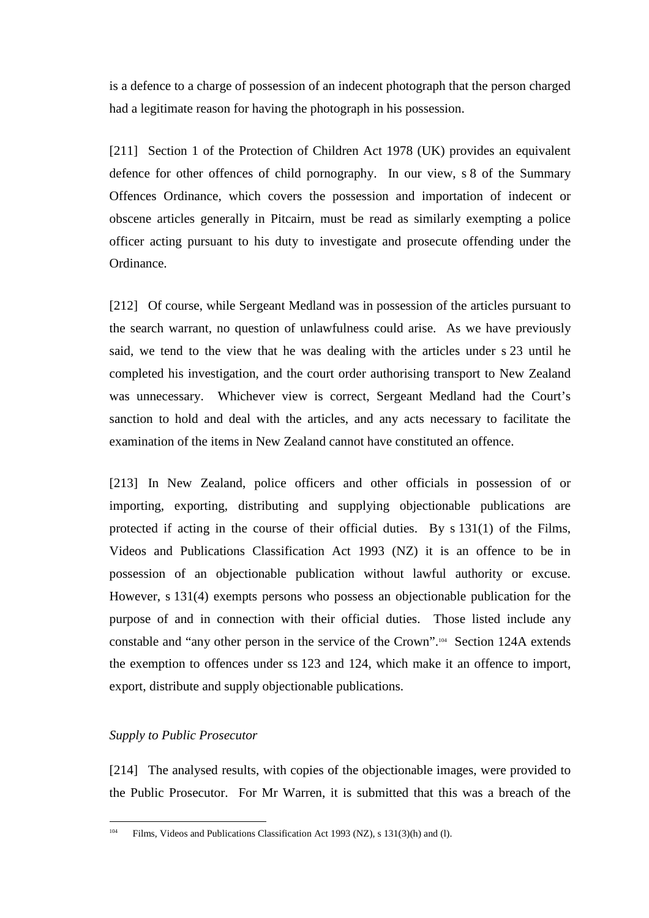is a defence to a charge of possession of an indecent photograph that the person charged had a legitimate reason for having the photograph in his possession.

[211] Section 1 of the Protection of Children Act 1978 (UK) provides an equivalent defence for other offences of child pornography. In our view, s 8 of the Summary Offences Ordinance, which covers the possession and importation of indecent or obscene articles generally in Pitcairn, must be read as similarly exempting a police officer acting pursuant to his duty to investigate and prosecute offending under the Ordinance.

[212] Of course, while Sergeant Medland was in possession of the articles pursuant to the search warrant, no question of unlawfulness could arise. As we have previously said, we tend to the view that he was dealing with the articles under s 23 until he completed his investigation, and the court order authorising transport to New Zealand was unnecessary. Whichever view is correct, Sergeant Medland had the Court's sanction to hold and deal with the articles, and any acts necessary to facilitate the examination of the items in New Zealand cannot have constituted an offence.

[213] In New Zealand, police officers and other officials in possession of or importing, exporting, distributing and supplying objectionable publications are protected if acting in the course of their official duties. By s 131(1) of the Films, Videos and Publications Classification Act 1993 (NZ) it is an offence to be in possession of an objectionable publication without lawful authority or excuse. However, s 131(4) exempts persons who possess an objectionable publication for the purpose of and in connection with their official duties. Those listed include any constable and "any other person in the service of the Crown".104 Section 124A extends the exemption to offences under ss 123 and 124, which make it an offence to import, export, distribute and supply objectionable publications.

# *Supply to Public Prosecutor*

[214] The analysed results, with copies of the objectionable images, were provided to the Public Prosecutor. For Mr Warren, it is submitted that this was a breach of the

<sup>104</sup> Films, Videos and Publications Classification Act 1993 (NZ), s 131(3)(h) and (l).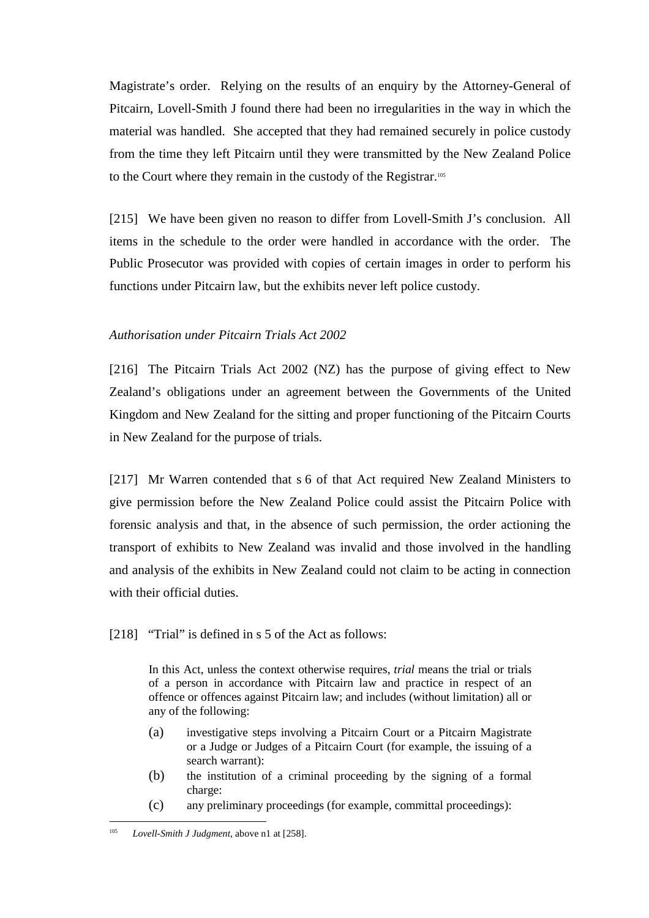Magistrate's order. Relying on the results of an enquiry by the Attorney-General of Pitcairn, Lovell-Smith J found there had been no irregularities in the way in which the material was handled. She accepted that they had remained securely in police custody from the time they left Pitcairn until they were transmitted by the New Zealand Police to the Court where they remain in the custody of the Registrar.<sup>105</sup>

[215] We have been given no reason to differ from Lovell-Smith J's conclusion. All items in the schedule to the order were handled in accordance with the order. The Public Prosecutor was provided with copies of certain images in order to perform his functions under Pitcairn law, but the exhibits never left police custody.

# *Authorisation under Pitcairn Trials Act 2002*

[216] The Pitcairn Trials Act 2002 (NZ) has the purpose of giving effect to New Zealand's obligations under an agreement between the Governments of the United Kingdom and New Zealand for the sitting and proper functioning of the Pitcairn Courts in New Zealand for the purpose of trials.

[217] Mr Warren contended that s 6 of that Act required New Zealand Ministers to give permission before the New Zealand Police could assist the Pitcairn Police with forensic analysis and that, in the absence of such permission, the order actioning the transport of exhibits to New Zealand was invalid and those involved in the handling and analysis of the exhibits in New Zealand could not claim to be acting in connection with their official duties.

### [218] "Trial" is defined in s 5 of the Act as follows:

In this Act, unless the context otherwise requires, *trial* means the trial or trials of a person in accordance with Pitcairn law and practice in respect of an offence or offences against Pitcairn law; and includes (without limitation) all or any of the following:

- (a) investigative steps involving a Pitcairn Court or a Pitcairn Magistrate or a Judge or Judges of a Pitcairn Court (for example, the issuing of a search warrant):
- (b) the institution of a criminal proceeding by the signing of a formal charge:
- (c) any preliminary proceedings (for example, committal proceedings):

<sup>105</sup> *Lovell-Smith J Judgment*, above n1 at [258].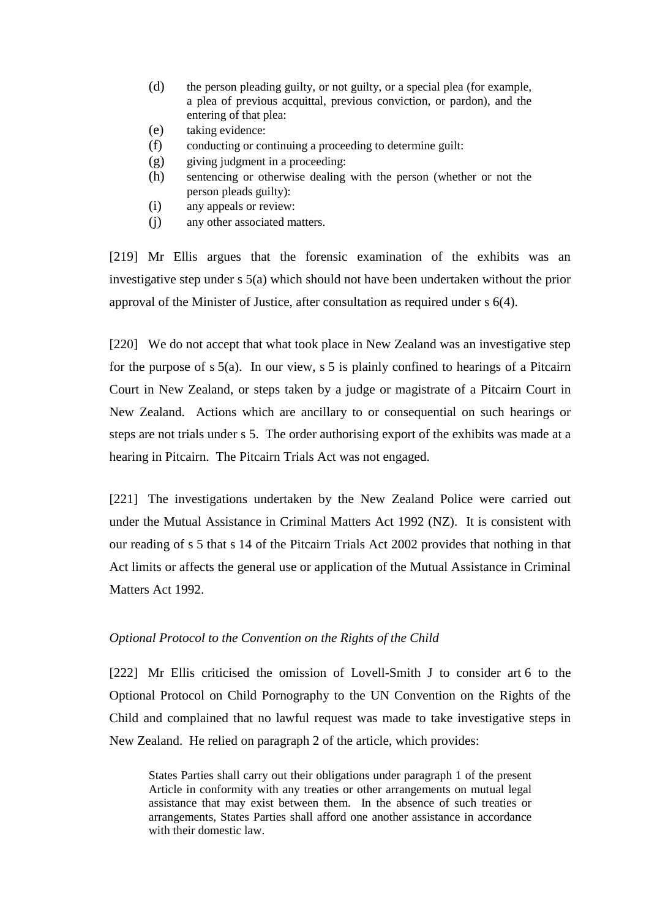- (d) the person pleading guilty, or not guilty, or a special plea (for example, a plea of previous acquittal, previous conviction, or pardon), and the entering of that plea:
- (e) taking evidence:
- (f) conducting or continuing a proceeding to determine guilt:
- (g) giving judgment in a proceeding:
- (h) sentencing or otherwise dealing with the person (whether or not the person pleads guilty):
- (i) any appeals or review:
- (j) any other associated matters.

[219] Mr Ellis argues that the forensic examination of the exhibits was an investigative step under s 5(a) which should not have been undertaken without the prior approval of the Minister of Justice, after consultation as required under s 6(4).

[220] We do not accept that what took place in New Zealand was an investigative step for the purpose of  $s$  5(a). In our view,  $s$  5 is plainly confined to hearings of a Pitcairn Court in New Zealand, or steps taken by a judge or magistrate of a Pitcairn Court in New Zealand. Actions which are ancillary to or consequential on such hearings or steps are not trials under s 5. The order authorising export of the exhibits was made at a hearing in Pitcairn. The Pitcairn Trials Act was not engaged.

[221] The investigations undertaken by the New Zealand Police were carried out under the Mutual Assistance in Criminal Matters Act 1992 (NZ). It is consistent with our reading of s 5 that s 14 of the Pitcairn Trials Act 2002 provides that nothing in that Act limits or affects the general use or application of the Mutual Assistance in Criminal Matters Act 1992.

# *Optional Protocol to the Convention on the Rights of the Child*

[222] Mr Ellis criticised the omission of Lovell-Smith J to consider art 6 to the Optional Protocol on Child Pornography to the UN Convention on the Rights of the Child and complained that no lawful request was made to take investigative steps in New Zealand. He relied on paragraph 2 of the article, which provides:

States Parties shall carry out their obligations under paragraph 1 of the present Article in conformity with any treaties or other arrangements on mutual legal assistance that may exist between them. In the absence of such treaties or arrangements, States Parties shall afford one another assistance in accordance with their domestic law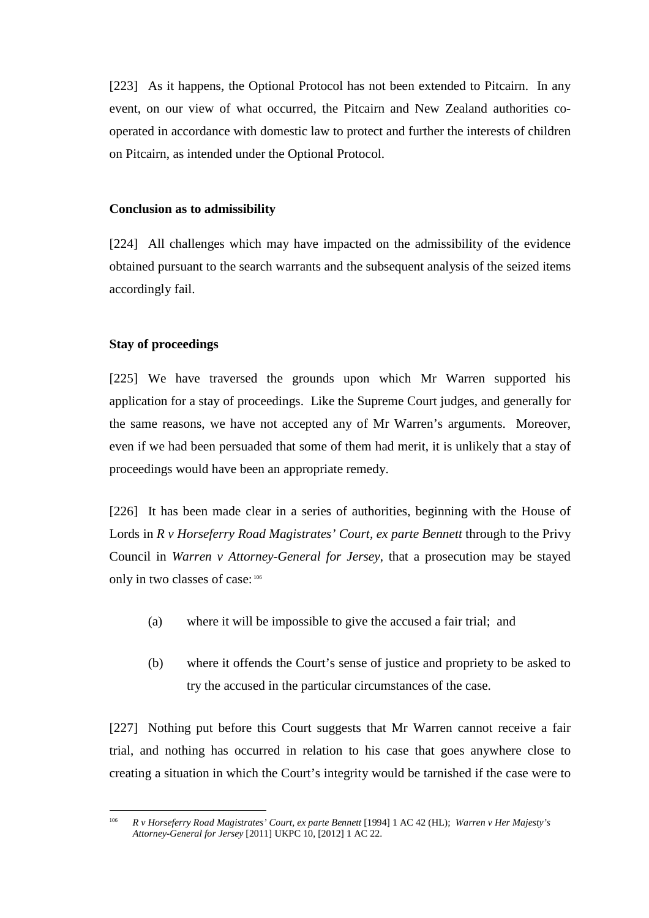[223] As it happens, the Optional Protocol has not been extended to Pitcairn. In any event, on our view of what occurred, the Pitcairn and New Zealand authorities cooperated in accordance with domestic law to protect and further the interests of children on Pitcairn, as intended under the Optional Protocol.

### **Conclusion as to admissibility**

[224] All challenges which may have impacted on the admissibility of the evidence obtained pursuant to the search warrants and the subsequent analysis of the seized items accordingly fail.

### **Stay of proceedings**

[225] We have traversed the grounds upon which Mr Warren supported his application for a stay of proceedings. Like the Supreme Court judges, and generally for the same reasons, we have not accepted any of Mr Warren's arguments. Moreover, even if we had been persuaded that some of them had merit, it is unlikely that a stay of proceedings would have been an appropriate remedy.

[226] It has been made clear in a series of authorities, beginning with the House of Lords in *R v Horseferry Road Magistrates' Court, ex parte Bennett* through to the Privy Council in *Warren v Attorney-General for Jersey*, that a prosecution may be stayed only in two classes of case: <sup>106</sup>

- (a) where it will be impossible to give the accused a fair trial; and
- (b) where it offends the Court's sense of justice and propriety to be asked to try the accused in the particular circumstances of the case.

[227] Nothing put before this Court suggests that Mr Warren cannot receive a fair trial, and nothing has occurred in relation to his case that goes anywhere close to creating a situation in which the Court's integrity would be tarnished if the case were to

 $\overline{a}$ 106 *R v Horseferry Road Magistrates' Court, ex parte Bennett* [1994] 1 AC 42 (HL); *Warren v Her Majesty's Attorney-General for Jersey* [2011] UKPC 10, [2012] 1 AC 22.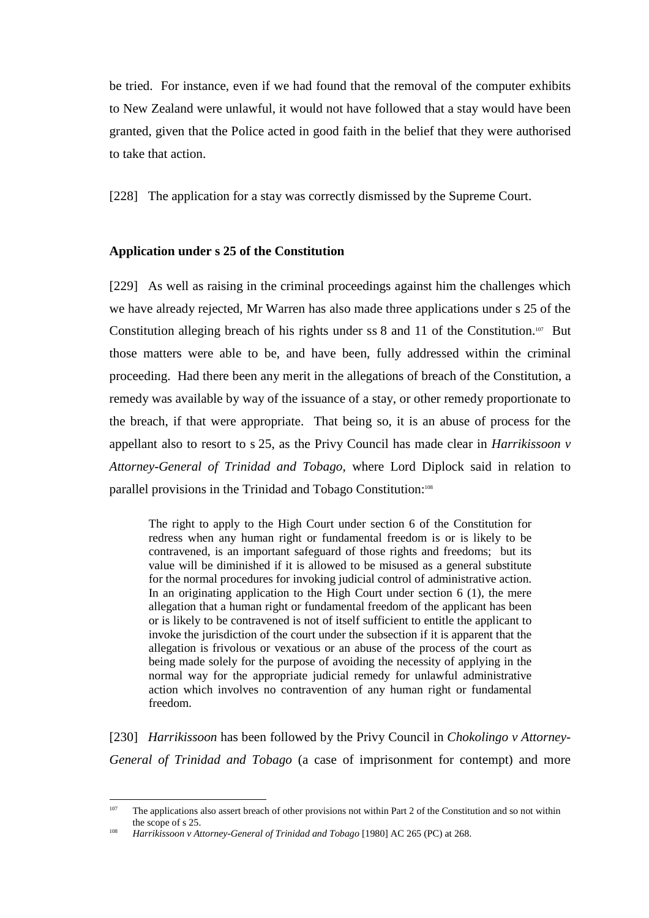be tried. For instance, even if we had found that the removal of the computer exhibits to New Zealand were unlawful, it would not have followed that a stay would have been granted, given that the Police acted in good faith in the belief that they were authorised to take that action.

[228] The application for a stay was correctly dismissed by the Supreme Court.

# **Application under s 25 of the Constitution**

[229] As well as raising in the criminal proceedings against him the challenges which we have already rejected, Mr Warren has also made three applications under s 25 of the Constitution alleging breach of his rights under ss 8 and 11 of the Constitution.107 But those matters were able to be, and have been, fully addressed within the criminal proceeding. Had there been any merit in the allegations of breach of the Constitution, a remedy was available by way of the issuance of a stay, or other remedy proportionate to the breach, if that were appropriate. That being so, it is an abuse of process for the appellant also to resort to s 25, as the Privy Council has made clear in *Harrikissoon v Attorney-General of Trinidad and Tobago*, where Lord Diplock said in relation to parallel provisions in the Trinidad and Tobago Constitution:<sup>108</sup>

The right to apply to the High Court under section 6 of the Constitution for redress when any human right or fundamental freedom is or is likely to be contravened, is an important safeguard of those rights and freedoms; but its value will be diminished if it is allowed to be misused as a general substitute for the normal procedures for invoking judicial control of administrative action. In an originating application to the High Court under section  $6(1)$ , the mere allegation that a human right or fundamental freedom of the applicant has been or is likely to be contravened is not of itself sufficient to entitle the applicant to invoke the jurisdiction of the court under the subsection if it is apparent that the allegation is frivolous or vexatious or an abuse of the process of the court as being made solely for the purpose of avoiding the necessity of applying in the normal way for the appropriate judicial remedy for unlawful administrative action which involves no contravention of any human right or fundamental freedom.

[230] *Harrikissoon* has been followed by the Privy Council in *Chokolingo v Attorney-General of Trinidad and Tobago* (a case of imprisonment for contempt) and more

 $107$ The applications also assert breach of other provisions not within Part 2 of the Constitution and so not within the scope of s 25.

<sup>108</sup> *Harrikissoon v Attorney-General of Trinidad and Tobago* [1980] AC 265 (PC) at 268.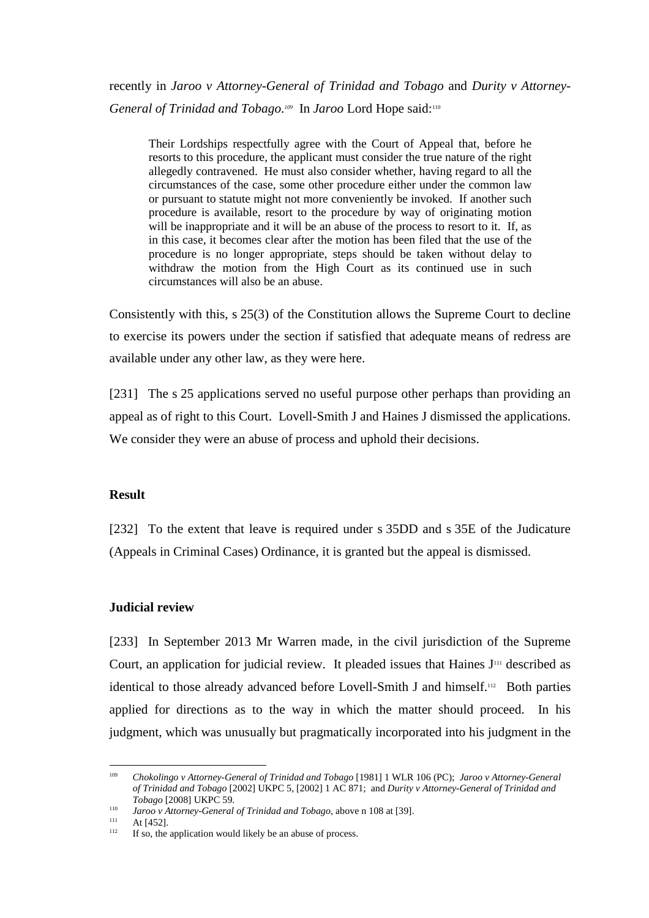recently in *Jaroo v Attorney-General of Trinidad and Tobago* and *Durity v Attorney-*General of Trinidad and Tobago.<sup>109</sup> In Jaroo Lord Hope said:<sup>110</sup>

Their Lordships respectfully agree with the Court of Appeal that, before he resorts to this procedure, the applicant must consider the true nature of the right allegedly contravened. He must also consider whether, having regard to all the circumstances of the case, some other procedure either under the common law or pursuant to statute might not more conveniently be invoked. If another such procedure is available, resort to the procedure by way of originating motion will be inappropriate and it will be an abuse of the process to resort to it. If, as in this case, it becomes clear after the motion has been filed that the use of the procedure is no longer appropriate, steps should be taken without delay to withdraw the motion from the High Court as its continued use in such circumstances will also be an abuse.

Consistently with this, s 25(3) of the Constitution allows the Supreme Court to decline to exercise its powers under the section if satisfied that adequate means of redress are available under any other law, as they were here.

[231] The s 25 applications served no useful purpose other perhaps than providing an appeal as of right to this Court. Lovell-Smith J and Haines J dismissed the applications. We consider they were an abuse of process and uphold their decisions.

### **Result**

[232] To the extent that leave is required under s 35DD and s 35E of the Judicature (Appeals in Criminal Cases) Ordinance, it is granted but the appeal is dismissed.

### **Judicial review**

[233] In September 2013 Mr Warren made, in the civil jurisdiction of the Supreme Court, an application for judicial review. It pleaded issues that Haines  $J<sup>111</sup>$  described as identical to those already advanced before Lovell-Smith J and himself.<sup>112</sup> Both parties applied for directions as to the way in which the matter should proceed. In his judgment, which was unusually but pragmatically incorporated into his judgment in the

<sup>&</sup>lt;sup>109</sup> *Chokolingo v Attorney-General of Trinidad and Tobago* [1981] 1 WLR 106 (PC); *Jaroo v Attorney-General of Trinidad and Tobago* [2002] UKPC 5, [2002] 1 AC 871; and *Durity v Attorney-General of Trinidad and Tobago* [2008] UKPC 59.

<sup>110</sup> *Jaroo v Attorney-General of Trinidad and Tobago*, above n 108 at [39].

<sup>&</sup>lt;sup>111</sup> At [452].

If so, the application would likely be an abuse of process.